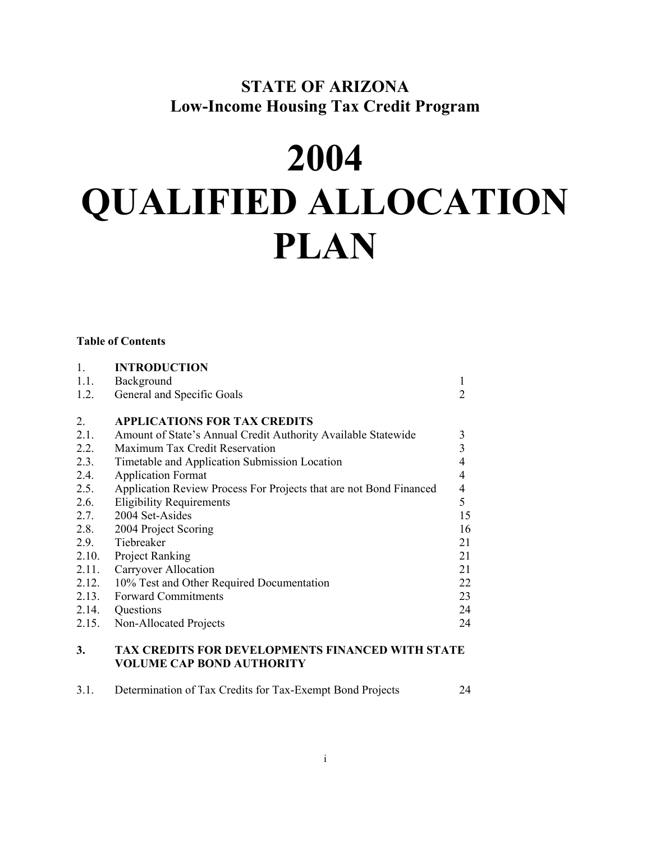## **STATE OF ARIZONA Low-Income Housing Tax Credit Program**

# **2004 QUALIFIED ALLOCATION PLAN**

## **Table of Contents**

| $\mathbf{1}$ . | <b>INTRODUCTION</b>                                                |                |
|----------------|--------------------------------------------------------------------|----------------|
| 1.1.           | Background                                                         | 1              |
| 1.2.           | General and Specific Goals                                         | $\overline{2}$ |
| $2_{\cdot}$    | <b>APPLICATIONS FOR TAX CREDITS</b>                                |                |
| 2.1.           | Amount of State's Annual Credit Authority Available Statewide      | 3              |
| 2.2.           | Maximum Tax Credit Reservation                                     | 3              |
| 2.3.           | Timetable and Application Submission Location                      | $\overline{4}$ |
| 2.4.           | <b>Application Format</b>                                          | 4              |
| 2.5.           | Application Review Process For Projects that are not Bond Financed | $\overline{4}$ |
| 2.6.           | <b>Eligibility Requirements</b>                                    | 5              |
| 2.7.           | 2004 Set-Asides                                                    | 15             |
| 2.8.           | 2004 Project Scoring                                               | 16             |
| 2.9.           | Tiebreaker                                                         | 21             |
| 2.10.          | <b>Project Ranking</b>                                             | 21             |
| 2.11.          | Carryover Allocation                                               | 21             |
| 2.12.          | 10% Test and Other Required Documentation                          | 22             |
| 2.13.          | <b>Forward Commitments</b>                                         | 23             |
| 2.14.          | Questions                                                          | 24             |
| 2.15.          | Non-Allocated Projects                                             | 24             |
|                |                                                                    |                |

## **3. TAX CREDITS FOR DEVELOPMENTS FINANCED WITH STATE VOLUME CAP BOND AUTHORITY**

| 3.1. | Determination of Tax Credits for Tax-Exempt Bond Projects |  |
|------|-----------------------------------------------------------|--|
|      |                                                           |  |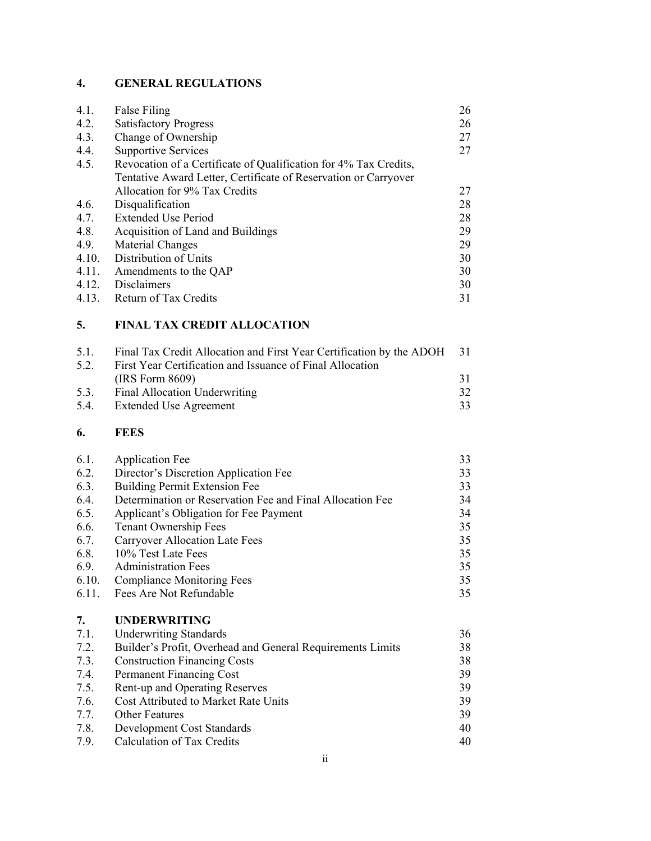## **4. GENERAL REGULATIONS**

| 4.1.  | False Filing                                                     | 26 |
|-------|------------------------------------------------------------------|----|
| 4.2.  | <b>Satisfactory Progress</b>                                     | 26 |
| 4.3.  | Change of Ownership                                              | 27 |
| 4.4.  | <b>Supportive Services</b>                                       | 27 |
| 4.5.  | Revocation of a Certificate of Qualification for 4% Tax Credits, |    |
|       | Tentative Award Letter, Certificate of Reservation or Carryover  |    |
|       | Allocation for 9% Tax Credits                                    | 27 |
| 4.6.  | Disqualification                                                 | 28 |
| 4.7.  | <b>Extended Use Period</b>                                       | 28 |
| 4.8.  | Acquisition of Land and Buildings                                | 29 |
| 4.9.  | Material Changes                                                 | 29 |
| 4.10. | Distribution of Units                                            | 30 |
| 4.11. | Amendments to the QAP                                            | 30 |
| 4.12. | <b>Disclaimers</b>                                               | 30 |
| 4.13. | Return of Tax Credits                                            | 31 |
|       |                                                                  |    |

## **5. FINAL TAX CREDIT ALLOCATION**

| $5.1$ . | Final Tax Credit Allocation and First Year Certification by the ADOH | - 31 |
|---------|----------------------------------------------------------------------|------|
| 5.2.    | First Year Certification and Issuance of Final Allocation            |      |
|         | (IRS Form 8609)                                                      | 31   |
| 5.3.    | Final Allocation Underwriting                                        | 32   |
| 5.4.    | <b>Extended Use Agreement</b>                                        | 33   |

## **6. FEES**

| 6.1.       | <b>Application Fee</b>                                     | 33 |
|------------|------------------------------------------------------------|----|
| 6.2.       | Director's Discretion Application Fee                      | 33 |
| 6.3.       | <b>Building Permit Extension Fee</b>                       | 33 |
| 6.4.       | Determination or Reservation Fee and Final Allocation Fee  | 34 |
| 6.5.       | Applicant's Obligation for Fee Payment                     | 34 |
| 6.6.       | <b>Tenant Ownership Fees</b>                               | 35 |
| 6.7.       | Carryover Allocation Late Fees                             | 35 |
| 6.8.       | 10% Test Late Fees                                         | 35 |
| 6.9.       | <b>Administration Fees</b>                                 | 35 |
| 6.10.      | <b>Compliance Monitoring Fees</b>                          | 35 |
| 6.11.      | Fees Are Not Refundable                                    | 35 |
| 7.         | <b>UNDERWRITING</b>                                        |    |
| 7.1.       | <b>Underwriting Standards</b>                              | 36 |
| 7.2.       | Builder's Profit, Overhead and General Requirements Limits | 38 |
| 7.3.       | <b>Construction Financing Costs</b>                        | 38 |
| $7\Lambda$ | Dormonant Financing $\Gamma$ ost                           | 20 |

| <b>Permanent Financing Cost</b>      | 39 |
|--------------------------------------|----|
| Rent-up and Operating Reserves       | 39 |
| Cost Attributed to Market Rate Units | 39 |
| <b>Other Features</b>                | 39 |
| Development Cost Standards           | 40 |
| Calculation of Tax Credits           | 40 |
|                                      |    |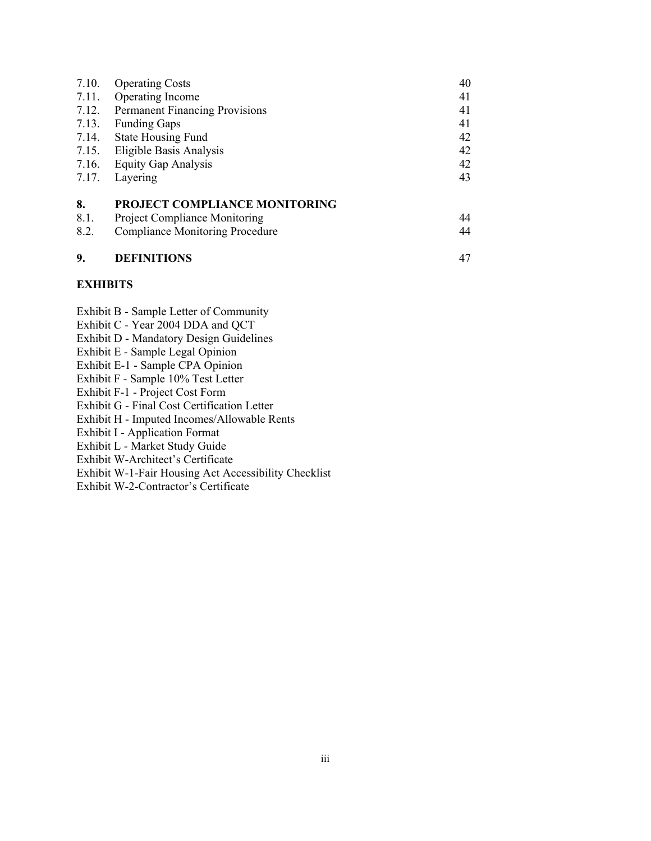| 9.         | <b>DEFINITIONS</b>                     | 47 |
|------------|----------------------------------------|----|
| 8.2.       | <b>Compliance Monitoring Procedure</b> | 44 |
|            | Project Compliance Monitoring          |    |
| 8.<br>8.1. | PROJECT COMPLIANCE MONITORING          | 44 |
| 7.17.      | Layering                               | 43 |
| 7.16.      | <b>Equity Gap Analysis</b>             | 42 |
|            |                                        |    |
| 7.15.      | Eligible Basis Analysis                | 42 |
| 7.14.      | <b>State Housing Fund</b>              | 42 |
| 7.13.      | <b>Funding Gaps</b>                    | 41 |
| 7.12.      | Permanent Financing Provisions         | 41 |
| 7.11.      | Operating Income                       | 41 |
| 7.10.      | <b>Operating Costs</b>                 | 40 |
|            |                                        |    |

#### **EXHIBITS**

- Exhibit B Sample Letter of Community
- Exhibit C Year 2004 DDA and QCT
- Exhibit D Mandatory Design Guidelines
- Exhibit E Sample Legal Opinion
- Exhibit E-1 Sample CPA Opinion
- Exhibit F Sample 10% Test Letter
- Exhibit F-1 Project Cost Form
- Exhibit G Final Cost Certification Letter
- Exhibit H Imputed Incomes/Allowable Rents
- Exhibit I Application Format
- Exhibit L Market Study Guide
- Exhibit W-Architect's Certificate
- Exhibit W-1-Fair Housing Act Accessibility Checklist
- Exhibit W-2-Contractor's Certificate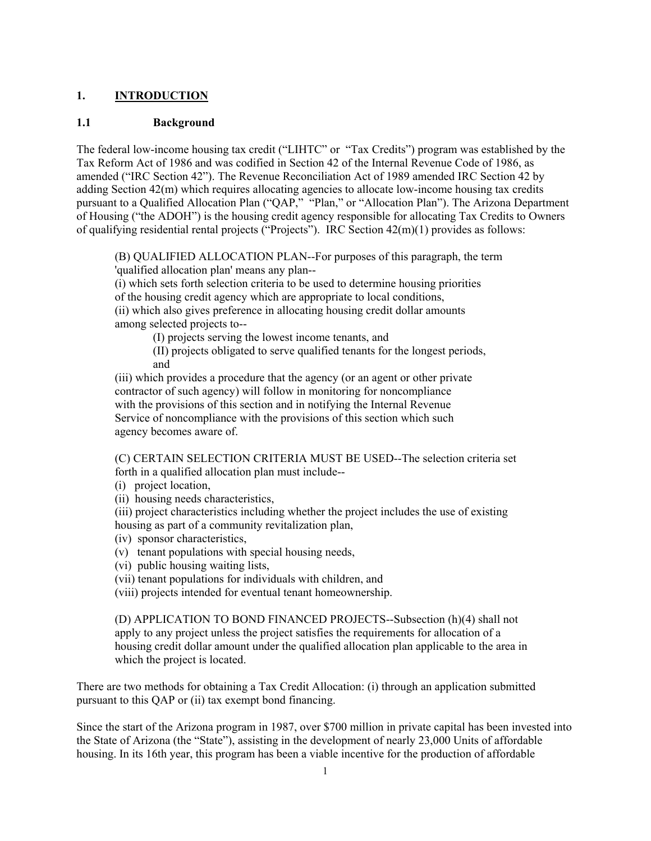## **1. INTRODUCTION**

#### **1.1 Background**

The federal low-income housing tax credit ("LIHTC" or "Tax Credits") program was established by the Tax Reform Act of 1986 and was codified in Section 42 of the Internal Revenue Code of 1986, as amended ("IRC Section 42"). The Revenue Reconciliation Act of 1989 amended IRC Section 42 by adding Section 42(m) which requires allocating agencies to allocate low-income housing tax credits pursuant to a Qualified Allocation Plan ("QAP," "Plan," or "Allocation Plan"). The Arizona Department of Housing ("the ADOH") is the housing credit agency responsible for allocating Tax Credits to Owners of qualifying residential rental projects ("Projects"). IRC Section 42(m)(1) provides as follows:

(B) QUALIFIED ALLOCATION PLAN--For purposes of this paragraph, the term 'qualified allocation plan' means any plan--

(i) which sets forth selection criteria to be used to determine housing priorities of the housing credit agency which are appropriate to local conditions, (ii) which also gives preference in allocating housing credit dollar amounts among selected projects to--

(I) projects serving the lowest income tenants, and

(II) projects obligated to serve qualified tenants for the longest periods, and

(iii) which provides a procedure that the agency (or an agent or other private contractor of such agency) will follow in monitoring for noncompliance with the provisions of this section and in notifying the Internal Revenue Service of noncompliance with the provisions of this section which such agency becomes aware of.

(C) CERTAIN SELECTION CRITERIA MUST BE USED--The selection criteria set forth in a qualified allocation plan must include--

(i) project location,

(ii) housing needs characteristics,

(iii) project characteristics including whether the project includes the use of existing housing as part of a community revitalization plan,

(iv) sponsor characteristics,

(v) tenant populations with special housing needs,

(vi) public housing waiting lists,

(vii) tenant populations for individuals with children, and

(viii) projects intended for eventual tenant homeownership.

(D) APPLICATION TO BOND FINANCED PROJECTS--Subsection (h)(4) shall not apply to any project unless the project satisfies the requirements for allocation of a housing credit dollar amount under the qualified allocation plan applicable to the area in which the project is located.

There are two methods for obtaining a Tax Credit Allocation: (i) through an application submitted pursuant to this QAP or (ii) tax exempt bond financing.

Since the start of the Arizona program in 1987, over \$700 million in private capital has been invested into the State of Arizona (the "State"), assisting in the development of nearly 23,000 Units of affordable housing. In its 16th year, this program has been a viable incentive for the production of affordable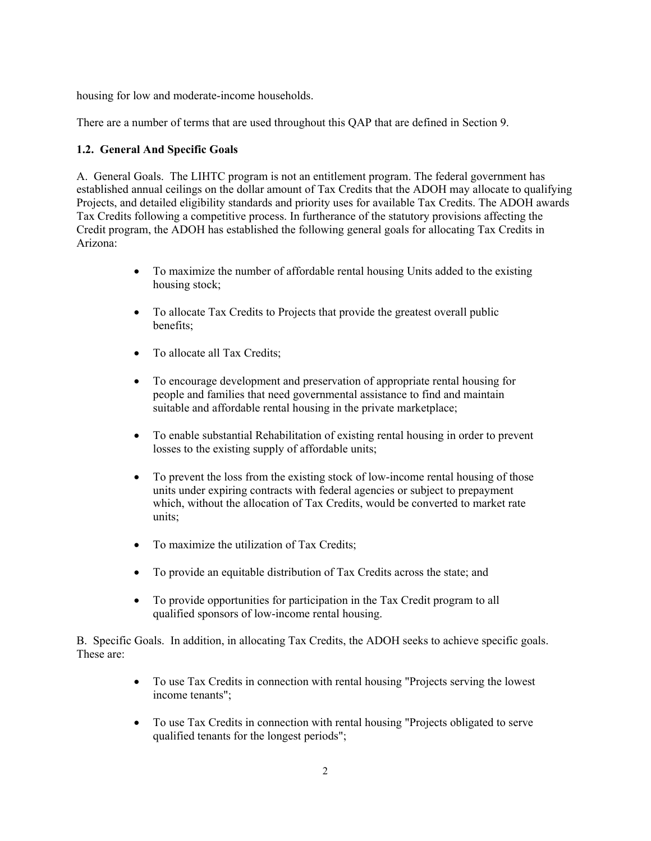housing for low and moderate-income households.

There are a number of terms that are used throughout this QAP that are defined in Section 9.

## **1.2. General And Specific Goals**

A. General Goals. The LIHTC program is not an entitlement program. The federal government has established annual ceilings on the dollar amount of Tax Credits that the ADOH may allocate to qualifying Projects, and detailed eligibility standards and priority uses for available Tax Credits. The ADOH awards Tax Credits following a competitive process. In furtherance of the statutory provisions affecting the Credit program, the ADOH has established the following general goals for allocating Tax Credits in Arizona:

- To maximize the number of affordable rental housing Units added to the existing housing stock;
- To allocate Tax Credits to Projects that provide the greatest overall public benefits;
- To allocate all Tax Credits;
- To encourage development and preservation of appropriate rental housing for people and families that need governmental assistance to find and maintain suitable and affordable rental housing in the private marketplace;
- To enable substantial Rehabilitation of existing rental housing in order to prevent losses to the existing supply of affordable units;
- To prevent the loss from the existing stock of low-income rental housing of those units under expiring contracts with federal agencies or subject to prepayment which, without the allocation of Tax Credits, would be converted to market rate units;
- To maximize the utilization of Tax Credits;
- To provide an equitable distribution of Tax Credits across the state; and
- To provide opportunities for participation in the Tax Credit program to all qualified sponsors of low-income rental housing.

B. Specific Goals. In addition, in allocating Tax Credits, the ADOH seeks to achieve specific goals. These are:

- To use Tax Credits in connection with rental housing "Projects serving the lowest income tenants";
- To use Tax Credits in connection with rental housing "Projects obligated to serve qualified tenants for the longest periods";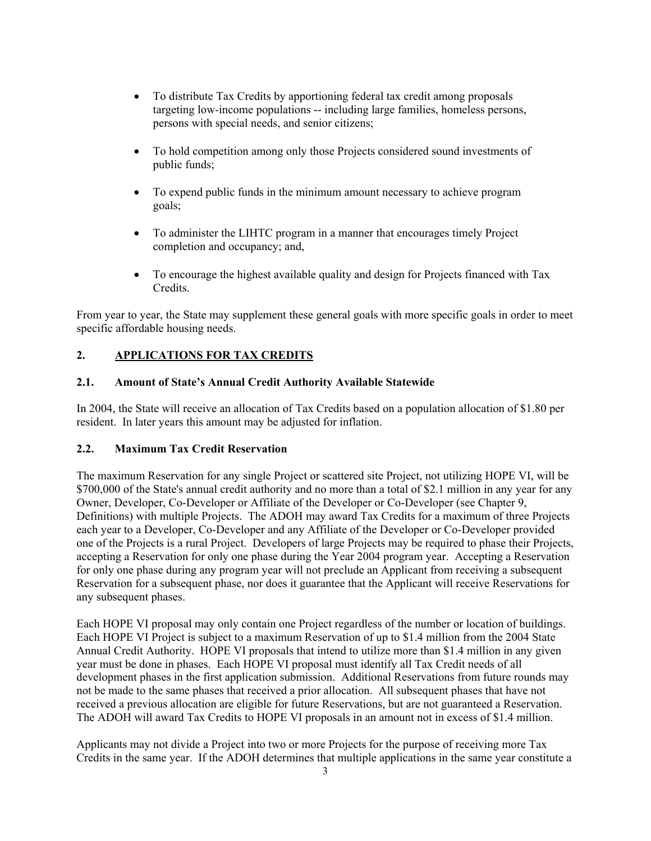- To distribute Tax Credits by apportioning federal tax credit among proposals targeting low-income populations -- including large families, homeless persons, persons with special needs, and senior citizens;
- To hold competition among only those Projects considered sound investments of public funds;
- To expend public funds in the minimum amount necessary to achieve program goals;
- To administer the LIHTC program in a manner that encourages timely Project completion and occupancy; and,
- To encourage the highest available quality and design for Projects financed with Tax Credits.

From year to year, the State may supplement these general goals with more specific goals in order to meet specific affordable housing needs.

## **2. APPLICATIONS FOR TAX CREDITS**

## **2.1. Amount of State's Annual Credit Authority Available Statewide**

In 2004, the State will receive an allocation of Tax Credits based on a population allocation of \$1.80 per resident. In later years this amount may be adjusted for inflation.

#### **2.2. Maximum Tax Credit Reservation**

The maximum Reservation for any single Project or scattered site Project, not utilizing HOPE VI, will be \$700,000 of the State's annual credit authority and no more than a total of \$2.1 million in any year for any Owner, Developer, Co-Developer or Affiliate of the Developer or Co-Developer (see Chapter 9, Definitions) with multiple Projects. The ADOH may award Tax Credits for a maximum of three Projects each year to a Developer, Co-Developer and any Affiliate of the Developer or Co-Developer provided one of the Projects is a rural Project. Developers of large Projects may be required to phase their Projects, accepting a Reservation for only one phase during the Year 2004 program year. Accepting a Reservation for only one phase during any program year will not preclude an Applicant from receiving a subsequent Reservation for a subsequent phase, nor does it guarantee that the Applicant will receive Reservations for any subsequent phases.

Each HOPE VI proposal may only contain one Project regardless of the number or location of buildings. Each HOPE VI Project is subject to a maximum Reservation of up to \$1.4 million from the 2004 State Annual Credit Authority. HOPE VI proposals that intend to utilize more than \$1.4 million in any given year must be done in phases. Each HOPE VI proposal must identify all Tax Credit needs of all development phases in the first application submission. Additional Reservations from future rounds may not be made to the same phases that received a prior allocation. All subsequent phases that have not received a previous allocation are eligible for future Reservations, but are not guaranteed a Reservation. The ADOH will award Tax Credits to HOPE VI proposals in an amount not in excess of \$1.4 million.

Applicants may not divide a Project into two or more Projects for the purpose of receiving more Tax Credits in the same year. If the ADOH determines that multiple applications in the same year constitute a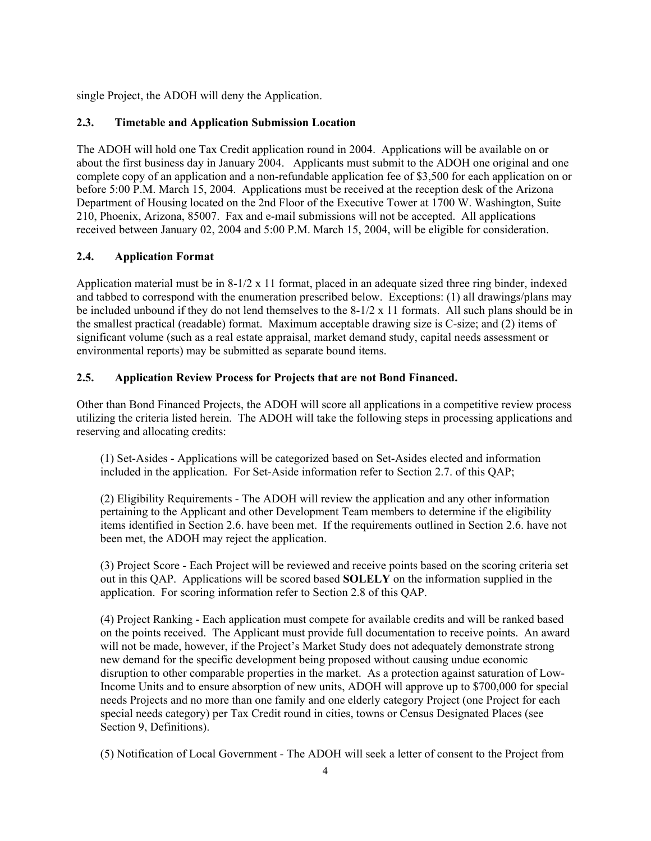single Project, the ADOH will deny the Application.

## **2.3. Timetable and Application Submission Location**

The ADOH will hold one Tax Credit application round in 2004. Applications will be available on or about the first business day in January 2004. Applicants must submit to the ADOH one original and one complete copy of an application and a non-refundable application fee of \$3,500 for each application on or before 5:00 P.M. March 15, 2004. Applications must be received at the reception desk of the Arizona Department of Housing located on the 2nd Floor of the Executive Tower at 1700 W. Washington, Suite 210, Phoenix, Arizona, 85007. Fax and e-mail submissions will not be accepted. All applications received between January 02, 2004 and 5:00 P.M. March 15, 2004, will be eligible for consideration.

## **2.4. Application Format**

Application material must be in 8-1/2 x 11 format, placed in an adequate sized three ring binder, indexed and tabbed to correspond with the enumeration prescribed below. Exceptions: (1) all drawings/plans may be included unbound if they do not lend themselves to the 8-1/2 x 11 formats. All such plans should be in the smallest practical (readable) format. Maximum acceptable drawing size is C-size; and (2) items of significant volume (such as a real estate appraisal, market demand study, capital needs assessment or environmental reports) may be submitted as separate bound items.

## **2.5. Application Review Process for Projects that are not Bond Financed.**

Other than Bond Financed Projects, the ADOH will score all applications in a competitive review process utilizing the criteria listed herein. The ADOH will take the following steps in processing applications and reserving and allocating credits:

(1) Set-Asides - Applications will be categorized based on Set-Asides elected and information included in the application. For Set-Aside information refer to Section 2.7. of this QAP;

(2) Eligibility Requirements - The ADOH will review the application and any other information pertaining to the Applicant and other Development Team members to determine if the eligibility items identified in Section 2.6. have been met. If the requirements outlined in Section 2.6. have not been met, the ADOH may reject the application.

(3) Project Score - Each Project will be reviewed and receive points based on the scoring criteria set out in this QAP. Applications will be scored based **SOLELY** on the information supplied in the application. For scoring information refer to Section 2.8 of this QAP.

(4) Project Ranking - Each application must compete for available credits and will be ranked based on the points received. The Applicant must provide full documentation to receive points. An award will not be made, however, if the Project's Market Study does not adequately demonstrate strong new demand for the specific development being proposed without causing undue economic disruption to other comparable properties in the market. As a protection against saturation of Low-Income Units and to ensure absorption of new units, ADOH will approve up to \$700,000 for special needs Projects and no more than one family and one elderly category Project (one Project for each special needs category) per Tax Credit round in cities, towns or Census Designated Places (see Section 9, Definitions).

(5) Notification of Local Government - The ADOH will seek a letter of consent to the Project from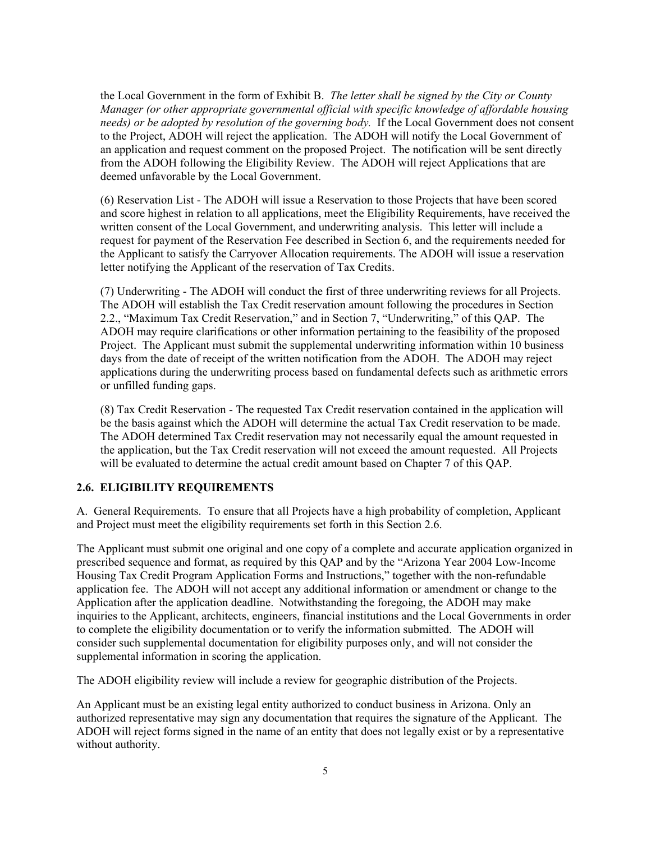the Local Government in the form of Exhibit B. *The letter shall be signed by the City or County Manager (or other appropriate governmental official with specific knowledge of affordable housing needs) or be adopted by resolution of the governing body.* If the Local Government does not consent to the Project, ADOH will reject the application. The ADOH will notify the Local Government of an application and request comment on the proposed Project. The notification will be sent directly from the ADOH following the Eligibility Review. The ADOH will reject Applications that are deemed unfavorable by the Local Government.

(6) Reservation List - The ADOH will issue a Reservation to those Projects that have been scored and score highest in relation to all applications, meet the Eligibility Requirements, have received the written consent of the Local Government, and underwriting analysis. This letter will include a request for payment of the Reservation Fee described in Section 6, and the requirements needed for the Applicant to satisfy the Carryover Allocation requirements. The ADOH will issue a reservation letter notifying the Applicant of the reservation of Tax Credits.

(7) Underwriting - The ADOH will conduct the first of three underwriting reviews for all Projects. The ADOH will establish the Tax Credit reservation amount following the procedures in Section 2.2., "Maximum Tax Credit Reservation," and in Section 7, "Underwriting," of this QAP. The ADOH may require clarifications or other information pertaining to the feasibility of the proposed Project. The Applicant must submit the supplemental underwriting information within 10 business days from the date of receipt of the written notification from the ADOH. The ADOH may reject applications during the underwriting process based on fundamental defects such as arithmetic errors or unfilled funding gaps.

(8) Tax Credit Reservation - The requested Tax Credit reservation contained in the application will be the basis against which the ADOH will determine the actual Tax Credit reservation to be made. The ADOH determined Tax Credit reservation may not necessarily equal the amount requested in the application, but the Tax Credit reservation will not exceed the amount requested. All Projects will be evaluated to determine the actual credit amount based on Chapter 7 of this OAP.

## **2.6. ELIGIBILITY REQUIREMENTS**

A. General Requirements. To ensure that all Projects have a high probability of completion, Applicant and Project must meet the eligibility requirements set forth in this Section 2.6.

The Applicant must submit one original and one copy of a complete and accurate application organized in prescribed sequence and format, as required by this QAP and by the "Arizona Year 2004 Low-Income Housing Tax Credit Program Application Forms and Instructions," together with the non-refundable application fee. The ADOH will not accept any additional information or amendment or change to the Application after the application deadline. Notwithstanding the foregoing, the ADOH may make inquiries to the Applicant, architects, engineers, financial institutions and the Local Governments in order to complete the eligibility documentation or to verify the information submitted. The ADOH will consider such supplemental documentation for eligibility purposes only, and will not consider the supplemental information in scoring the application.

The ADOH eligibility review will include a review for geographic distribution of the Projects.

An Applicant must be an existing legal entity authorized to conduct business in Arizona. Only an authorized representative may sign any documentation that requires the signature of the Applicant. The ADOH will reject forms signed in the name of an entity that does not legally exist or by a representative without authority.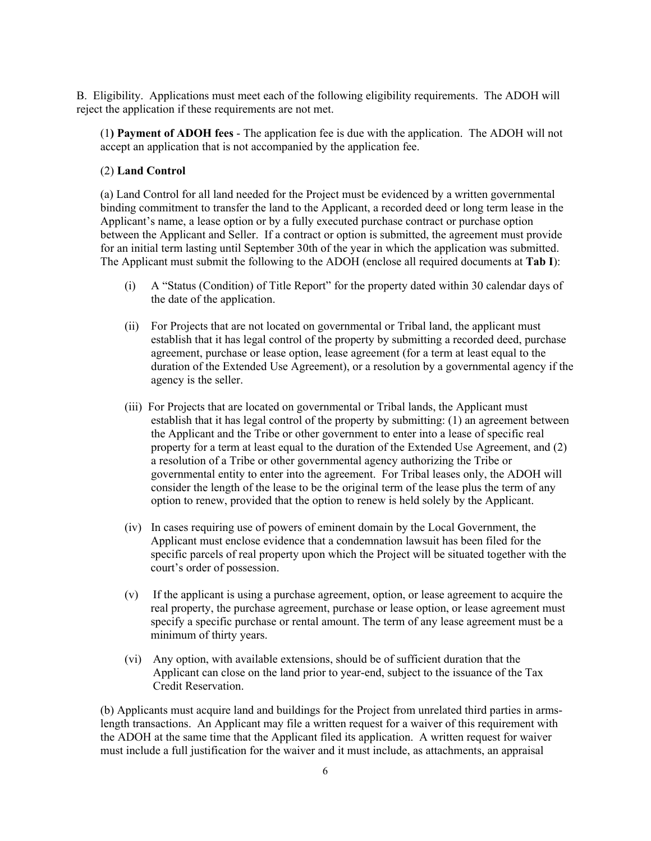B. Eligibility. Applications must meet each of the following eligibility requirements. The ADOH will reject the application if these requirements are not met.

(1**) Payment of ADOH fees** - The application fee is due with the application. The ADOH will not accept an application that is not accompanied by the application fee.

#### (2) **Land Control**

(a) Land Control for all land needed for the Project must be evidenced by a written governmental binding commitment to transfer the land to the Applicant, a recorded deed or long term lease in the Applicant's name, a lease option or by a fully executed purchase contract or purchase option between the Applicant and Seller. If a contract or option is submitted, the agreement must provide for an initial term lasting until September 30th of the year in which the application was submitted. The Applicant must submit the following to the ADOH (enclose all required documents at **Tab I**):

- (i) A "Status (Condition) of Title Report" for the property dated within 30 calendar days of the date of the application.
- (ii) For Projects that are not located on governmental or Tribal land, the applicant must establish that it has legal control of the property by submitting a recorded deed, purchase agreement, purchase or lease option, lease agreement (for a term at least equal to the duration of the Extended Use Agreement), or a resolution by a governmental agency if the agency is the seller.
- (iii) For Projects that are located on governmental or Tribal lands, the Applicant must establish that it has legal control of the property by submitting: (1) an agreement between the Applicant and the Tribe or other government to enter into a lease of specific real property for a term at least equal to the duration of the Extended Use Agreement, and (2) a resolution of a Tribe or other governmental agency authorizing the Tribe or governmental entity to enter into the agreement. For Tribal leases only, the ADOH will consider the length of the lease to be the original term of the lease plus the term of any option to renew, provided that the option to renew is held solely by the Applicant.
- (iv) In cases requiring use of powers of eminent domain by the Local Government, the Applicant must enclose evidence that a condemnation lawsuit has been filed for the specific parcels of real property upon which the Project will be situated together with the court's order of possession.
- (v) If the applicant is using a purchase agreement, option, or lease agreement to acquire the real property, the purchase agreement, purchase or lease option, or lease agreement must specify a specific purchase or rental amount. The term of any lease agreement must be a minimum of thirty years.
- (vi) Any option, with available extensions, should be of sufficient duration that the Applicant can close on the land prior to year-end, subject to the issuance of the Tax Credit Reservation.

(b) Applicants must acquire land and buildings for the Project from unrelated third parties in armslength transactions. An Applicant may file a written request for a waiver of this requirement with the ADOH at the same time that the Applicant filed its application. A written request for waiver must include a full justification for the waiver and it must include, as attachments, an appraisal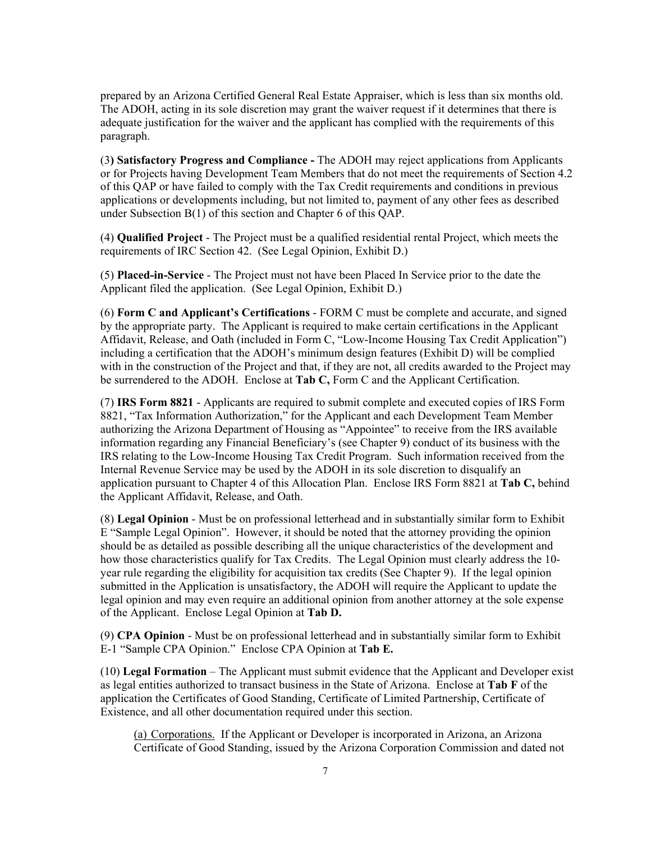prepared by an Arizona Certified General Real Estate Appraiser, which is less than six months old. The ADOH, acting in its sole discretion may grant the waiver request if it determines that there is adequate justification for the waiver and the applicant has complied with the requirements of this paragraph.

(3**) Satisfactory Progress and Compliance -** The ADOH may reject applications from Applicants or for Projects having Development Team Members that do not meet the requirements of Section 4.2 of this QAP or have failed to comply with the Tax Credit requirements and conditions in previous applications or developments including, but not limited to, payment of any other fees as described under Subsection B(1) of this section and Chapter 6 of this QAP.

(4) **Qualified Project** - The Project must be a qualified residential rental Project, which meets the requirements of IRC Section 42. (See Legal Opinion, Exhibit D.)

(5) **Placed-in-Service** - The Project must not have been Placed In Service prior to the date the Applicant filed the application. (See Legal Opinion, Exhibit D.)

(6) **Form C and Applicant's Certifications** - FORM C must be complete and accurate, and signed by the appropriate party. The Applicant is required to make certain certifications in the Applicant Affidavit, Release, and Oath (included in Form C, "Low-Income Housing Tax Credit Application") including a certification that the ADOH's minimum design features (Exhibit D) will be complied with in the construction of the Project and that, if they are not, all credits awarded to the Project may be surrendered to the ADOH. Enclose at **Tab C,** Form C and the Applicant Certification.

(7) **IRS Form 8821** - Applicants are required to submit complete and executed copies of IRS Form 8821, "Tax Information Authorization," for the Applicant and each Development Team Member authorizing the Arizona Department of Housing as "Appointee" to receive from the IRS available information regarding any Financial Beneficiary's (see Chapter 9) conduct of its business with the IRS relating to the Low-Income Housing Tax Credit Program. Such information received from the Internal Revenue Service may be used by the ADOH in its sole discretion to disqualify an application pursuant to Chapter 4 of this Allocation Plan. Enclose IRS Form 8821 at **Tab C,** behind the Applicant Affidavit, Release, and Oath.

(8) **Legal Opinion** - Must be on professional letterhead and in substantially similar form to Exhibit E "Sample Legal Opinion". However, it should be noted that the attorney providing the opinion should be as detailed as possible describing all the unique characteristics of the development and how those characteristics qualify for Tax Credits. The Legal Opinion must clearly address the 10 year rule regarding the eligibility for acquisition tax credits (See Chapter 9). If the legal opinion submitted in the Application is unsatisfactory, the ADOH will require the Applicant to update the legal opinion and may even require an additional opinion from another attorney at the sole expense of the Applicant. Enclose Legal Opinion at **Tab D.**

(9) **CPA Opinion** - Must be on professional letterhead and in substantially similar form to Exhibit E-1 "Sample CPA Opinion." Enclose CPA Opinion at **Tab E.**

(10) **Legal Formation** – The Applicant must submit evidence that the Applicant and Developer exist as legal entities authorized to transact business in the State of Arizona. Enclose at **Tab F** of the application the Certificates of Good Standing, Certificate of Limited Partnership, Certificate of Existence, and all other documentation required under this section.

(a) Corporations. If the Applicant or Developer is incorporated in Arizona, an Arizona Certificate of Good Standing, issued by the Arizona Corporation Commission and dated not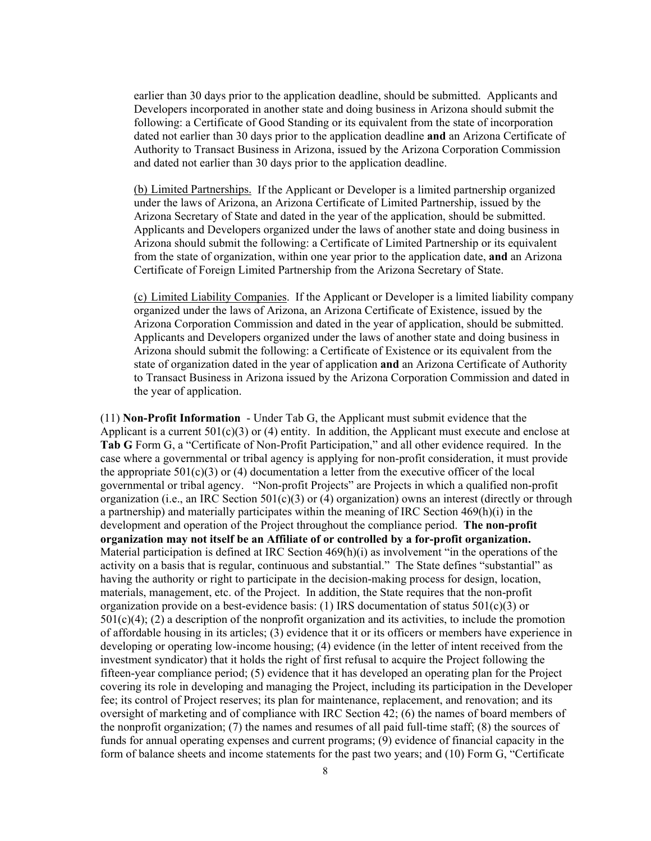earlier than 30 days prior to the application deadline, should be submitted. Applicants and Developers incorporated in another state and doing business in Arizona should submit the following: a Certificate of Good Standing or its equivalent from the state of incorporation dated not earlier than 30 days prior to the application deadline **and** an Arizona Certificate of Authority to Transact Business in Arizona, issued by the Arizona Corporation Commission and dated not earlier than 30 days prior to the application deadline.

(b) Limited Partnerships. If the Applicant or Developer is a limited partnership organized under the laws of Arizona, an Arizona Certificate of Limited Partnership, issued by the Arizona Secretary of State and dated in the year of the application, should be submitted. Applicants and Developers organized under the laws of another state and doing business in Arizona should submit the following: a Certificate of Limited Partnership or its equivalent from the state of organization, within one year prior to the application date, **and** an Arizona Certificate of Foreign Limited Partnership from the Arizona Secretary of State.

(c) Limited Liability Companies. If the Applicant or Developer is a limited liability company organized under the laws of Arizona, an Arizona Certificate of Existence, issued by the Arizona Corporation Commission and dated in the year of application, should be submitted. Applicants and Developers organized under the laws of another state and doing business in Arizona should submit the following: a Certificate of Existence or its equivalent from the state of organization dated in the year of application **and** an Arizona Certificate of Authority to Transact Business in Arizona issued by the Arizona Corporation Commission and dated in the year of application.

(11) **Non-Profit Information** - Under Tab G, the Applicant must submit evidence that the Applicant is a current  $501(c)(3)$  or (4) entity. In addition, the Applicant must execute and enclose at **Tab G** Form G, a "Certificate of Non-Profit Participation," and all other evidence required. In the case where a governmental or tribal agency is applying for non-profit consideration, it must provide the appropriate  $501(c)(3)$  or (4) documentation a letter from the executive officer of the local governmental or tribal agency. "Non-profit Projects" are Projects in which a qualified non-profit organization (i.e., an IRC Section  $501(c)(3)$  or (4) organization) owns an interest (directly or through a partnership) and materially participates within the meaning of IRC Section  $469(h)(i)$  in the development and operation of the Project throughout the compliance period. **The non-profit organization may not itself be an Affiliate of or controlled by a for-profit organization.** Material participation is defined at IRC Section  $469(h)(i)$  as involvement "in the operations of the activity on a basis that is regular, continuous and substantial." The State defines "substantial" as having the authority or right to participate in the decision-making process for design, location, materials, management, etc. of the Project. In addition, the State requires that the non-profit organization provide on a best-evidence basis: (1) IRS documentation of status  $501(c)(3)$  or  $501(c)(4)$ ; (2) a description of the nonprofit organization and its activities, to include the promotion of affordable housing in its articles; (3) evidence that it or its officers or members have experience in developing or operating low-income housing; (4) evidence (in the letter of intent received from the investment syndicator) that it holds the right of first refusal to acquire the Project following the fifteen-year compliance period; (5) evidence that it has developed an operating plan for the Project covering its role in developing and managing the Project, including its participation in the Developer fee; its control of Project reserves; its plan for maintenance, replacement, and renovation; and its oversight of marketing and of compliance with IRC Section 42; (6) the names of board members of the nonprofit organization; (7) the names and resumes of all paid full-time staff; (8) the sources of funds for annual operating expenses and current programs; (9) evidence of financial capacity in the form of balance sheets and income statements for the past two years; and (10) Form G, "Certificate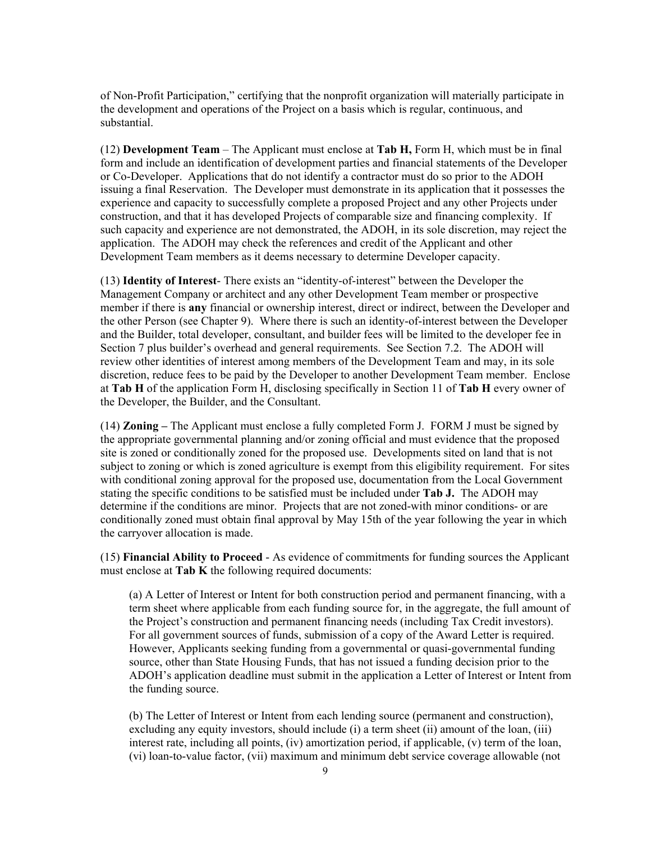of Non-Profit Participation," certifying that the nonprofit organization will materially participate in the development and operations of the Project on a basis which is regular, continuous, and substantial.

(12) **Development Team** – The Applicant must enclose at **Tab H,** Form H, which must be in final form and include an identification of development parties and financial statements of the Developer or Co-Developer. Applications that do not identify a contractor must do so prior to the ADOH issuing a final Reservation. The Developer must demonstrate in its application that it possesses the experience and capacity to successfully complete a proposed Project and any other Projects under construction, and that it has developed Projects of comparable size and financing complexity. If such capacity and experience are not demonstrated, the ADOH, in its sole discretion, may reject the application. The ADOH may check the references and credit of the Applicant and other Development Team members as it deems necessary to determine Developer capacity.

(13) **Identity of Interest**- There exists an "identity-of-interest" between the Developer the Management Company or architect and any other Development Team member or prospective member if there is **any** financial or ownership interest, direct or indirect, between the Developer and the other Person (see Chapter 9). Where there is such an identity-of-interest between the Developer and the Builder, total developer, consultant, and builder fees will be limited to the developer fee in Section 7 plus builder's overhead and general requirements. See Section 7.2. The ADOH will review other identities of interest among members of the Development Team and may, in its sole discretion, reduce fees to be paid by the Developer to another Development Team member. Enclose at **Tab H** of the application Form H, disclosing specifically in Section 11 of **Tab H** every owner of the Developer, the Builder, and the Consultant.

(14) **Zoning –** The Applicant must enclose a fully completed Form J. FORM J must be signed by the appropriate governmental planning and/or zoning official and must evidence that the proposed site is zoned or conditionally zoned for the proposed use. Developments sited on land that is not subject to zoning or which is zoned agriculture is exempt from this eligibility requirement. For sites with conditional zoning approval for the proposed use, documentation from the Local Government stating the specific conditions to be satisfied must be included under **Tab J.** The ADOH may determine if the conditions are minor. Projects that are not zoned-with minor conditions- or are conditionally zoned must obtain final approval by May 15th of the year following the year in which the carryover allocation is made.

(15) **Financial Ability to Proceed** - As evidence of commitments for funding sources the Applicant must enclose at **Tab K** the following required documents:

(a) A Letter of Interest or Intent for both construction period and permanent financing, with a term sheet where applicable from each funding source for, in the aggregate, the full amount of the Project's construction and permanent financing needs (including Tax Credit investors). For all government sources of funds, submission of a copy of the Award Letter is required. However, Applicants seeking funding from a governmental or quasi-governmental funding source, other than State Housing Funds, that has not issued a funding decision prior to the ADOH's application deadline must submit in the application a Letter of Interest or Intent from the funding source.

(b) The Letter of Interest or Intent from each lending source (permanent and construction), excluding any equity investors, should include (i) a term sheet (ii) amount of the loan, (iii) interest rate, including all points, (iv) amortization period, if applicable, (v) term of the loan, (vi) loan-to-value factor, (vii) maximum and minimum debt service coverage allowable (not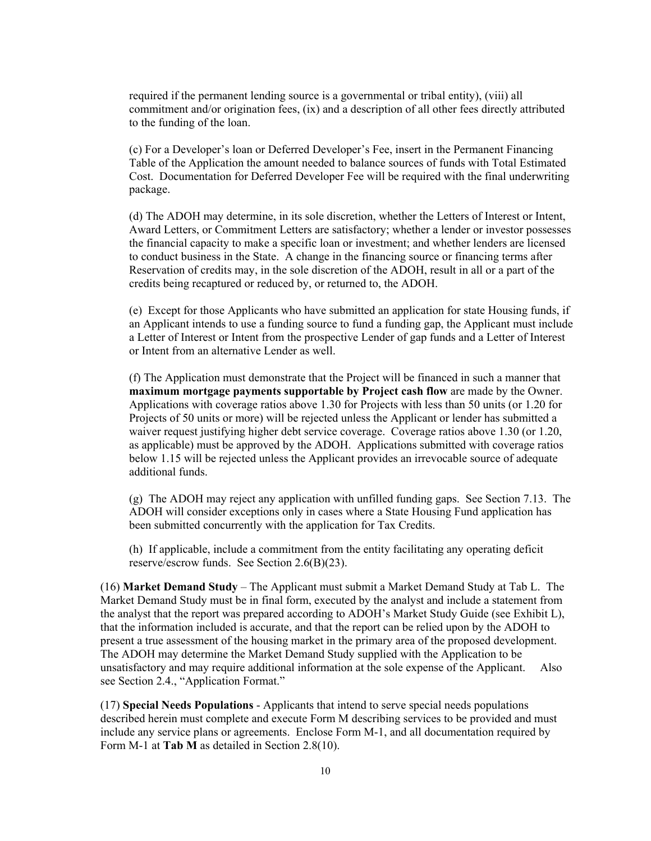required if the permanent lending source is a governmental or tribal entity), (viii) all commitment and/or origination fees, (ix) and a description of all other fees directly attributed to the funding of the loan.

(c) For a Developer's loan or Deferred Developer's Fee, insert in the Permanent Financing Table of the Application the amount needed to balance sources of funds with Total Estimated Cost. Documentation for Deferred Developer Fee will be required with the final underwriting package.

(d) The ADOH may determine, in its sole discretion, whether the Letters of Interest or Intent, Award Letters, or Commitment Letters are satisfactory; whether a lender or investor possesses the financial capacity to make a specific loan or investment; and whether lenders are licensed to conduct business in the State. A change in the financing source or financing terms after Reservation of credits may, in the sole discretion of the ADOH, result in all or a part of the credits being recaptured or reduced by, or returned to, the ADOH.

(e) Except for those Applicants who have submitted an application for state Housing funds, if an Applicant intends to use a funding source to fund a funding gap, the Applicant must include a Letter of Interest or Intent from the prospective Lender of gap funds and a Letter of Interest or Intent from an alternative Lender as well.

(f) The Application must demonstrate that the Project will be financed in such a manner that **maximum mortgage payments supportable by Project cash flow** are made by the Owner. Applications with coverage ratios above 1.30 for Projects with less than 50 units (or 1.20 for Projects of 50 units or more) will be rejected unless the Applicant or lender has submitted a waiver request justifying higher debt service coverage. Coverage ratios above 1.30 (or 1.20, as applicable) must be approved by the ADOH. Applications submitted with coverage ratios below 1.15 will be rejected unless the Applicant provides an irrevocable source of adequate additional funds.

(g) The ADOH may reject any application with unfilled funding gaps. See Section 7.13. The ADOH will consider exceptions only in cases where a State Housing Fund application has been submitted concurrently with the application for Tax Credits.

(h) If applicable, include a commitment from the entity facilitating any operating deficit reserve/escrow funds. See Section 2.6(B)(23).

(16) **Market Demand Study** – The Applicant must submit a Market Demand Study at Tab L. The Market Demand Study must be in final form, executed by the analyst and include a statement from the analyst that the report was prepared according to ADOH's Market Study Guide (see Exhibit L), that the information included is accurate, and that the report can be relied upon by the ADOH to present a true assessment of the housing market in the primary area of the proposed development. The ADOH may determine the Market Demand Study supplied with the Application to be unsatisfactory and may require additional information at the sole expense of the Applicant. Also see Section 2.4., "Application Format."

(17) **Special Needs Populations** - Applicants that intend to serve special needs populations described herein must complete and execute Form M describing services to be provided and must include any service plans or agreements. Enclose Form M-1, and all documentation required by Form M-1 at **Tab M** as detailed in Section 2.8(10).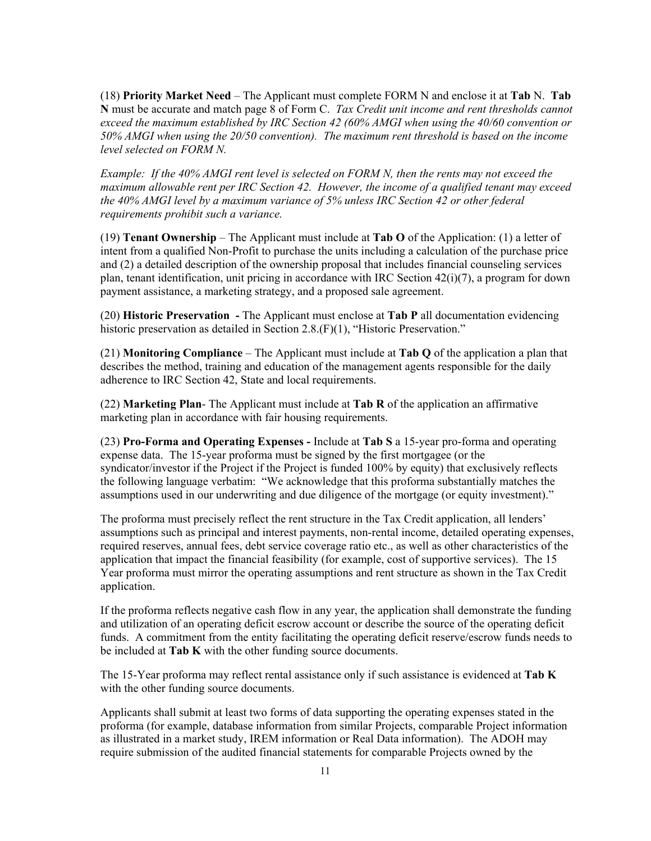(18) **Priority Market Need** – The Applicant must complete FORM N and enclose it at **Tab** N. **Tab N** must be accurate and match page 8 of Form C. *Tax Credit unit income and rent thresholds cannot exceed the maximum established by IRC Section 42 (60% AMGI when using the 40/60 convention or 50% AMGI when using the 20/50 convention). The maximum rent threshold is based on the income level selected on FORM N.* 

*Example: If the 40% AMGI rent level is selected on FORM N, then the rents may not exceed the maximum allowable rent per IRC Section 42. However, the income of a qualified tenant may exceed the 40% AMGI level by a maximum variance of 5% unless IRC Section 42 or other federal requirements prohibit such a variance.*

(19) **Tenant Ownership** – The Applicant must include at **Tab O** of the Application: (1) a letter of intent from a qualified Non-Profit to purchase the units including a calculation of the purchase price and (2) a detailed description of the ownership proposal that includes financial counseling services plan, tenant identification, unit pricing in accordance with IRC Section 42(i)(7), a program for down payment assistance, a marketing strategy, and a proposed sale agreement.

(20) **Historic Preservation -** The Applicant must enclose at **Tab P** all documentation evidencing historic preservation as detailed in Section 2.8.(F)(1), "Historic Preservation."

(21) **Monitoring Compliance** – The Applicant must include at **Tab Q** of the application a plan that describes the method, training and education of the management agents responsible for the daily adherence to IRC Section 42, State and local requirements.

(22) **Marketing Plan**- The Applicant must include at **Tab R** of the application an affirmative marketing plan in accordance with fair housing requirements.

(23) **Pro-Forma and Operating Expenses -** Include at **Tab S** a 15-year pro-forma and operating expense data. The 15-year proforma must be signed by the first mortgagee (or the syndicator/investor if the Project if the Project is funded 100% by equity) that exclusively reflects the following language verbatim: "We acknowledge that this proforma substantially matches the assumptions used in our underwriting and due diligence of the mortgage (or equity investment)."

The proforma must precisely reflect the rent structure in the Tax Credit application, all lenders' assumptions such as principal and interest payments, non-rental income, detailed operating expenses, required reserves, annual fees, debt service coverage ratio etc., as well as other characteristics of the application that impact the financial feasibility (for example, cost of supportive services). The 15 Year proforma must mirror the operating assumptions and rent structure as shown in the Tax Credit application.

If the proforma reflects negative cash flow in any year, the application shall demonstrate the funding and utilization of an operating deficit escrow account or describe the source of the operating deficit funds. A commitment from the entity facilitating the operating deficit reserve/escrow funds needs to be included at **Tab K** with the other funding source documents.

The 15-Year proforma may reflect rental assistance only if such assistance is evidenced at **Tab K** with the other funding source documents.

Applicants shall submit at least two forms of data supporting the operating expenses stated in the proforma (for example, database information from similar Projects, comparable Project information as illustrated in a market study, IREM information or Real Data information). The ADOH may require submission of the audited financial statements for comparable Projects owned by the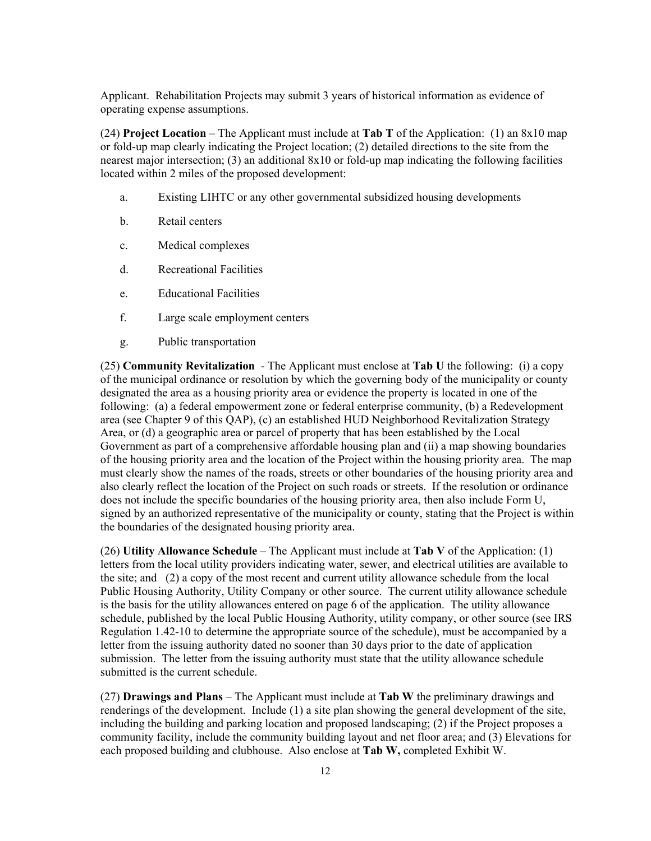Applicant. Rehabilitation Projects may submit 3 years of historical information as evidence of operating expense assumptions.

(24) **Project Location** – The Applicant must include at **Tab T** of the Application: (1) an 8x10 map or fold-up map clearly indicating the Project location; (2) detailed directions to the site from the nearest major intersection; (3) an additional 8x10 or fold-up map indicating the following facilities located within 2 miles of the proposed development:

- a. Existing LIHTC or any other governmental subsidized housing developments
- b. Retail centers
- c. Medical complexes
- d. Recreational Facilities
- e. Educational Facilities
- f. Large scale employment centers
- g. Public transportation

(25) **Community Revitalization** - The Applicant must enclose at **Tab U** the following: (i) a copy of the municipal ordinance or resolution by which the governing body of the municipality or county designated the area as a housing priority area or evidence the property is located in one of the following: (a) a federal empowerment zone or federal enterprise community, (b) a Redevelopment area (see Chapter 9 of this QAP), (c) an established HUD Neighborhood Revitalization Strategy Area, or (d) a geographic area or parcel of property that has been established by the Local Government as part of a comprehensive affordable housing plan and (ii) a map showing boundaries of the housing priority area and the location of the Project within the housing priority area. The map must clearly show the names of the roads, streets or other boundaries of the housing priority area and also clearly reflect the location of the Project on such roads or streets. If the resolution or ordinance does not include the specific boundaries of the housing priority area, then also include Form U, signed by an authorized representative of the municipality or county, stating that the Project is within the boundaries of the designated housing priority area.

(26) **Utility Allowance Schedule** – The Applicant must include at **Tab V** of the Application: (1) letters from the local utility providers indicating water, sewer, and electrical utilities are available to the site; and (2) a copy of the most recent and current utility allowance schedule from the local Public Housing Authority, Utility Company or other source. The current utility allowance schedule is the basis for the utility allowances entered on page 6 of the application. The utility allowance schedule, published by the local Public Housing Authority, utility company, or other source (see IRS Regulation 1.42-10 to determine the appropriate source of the schedule), must be accompanied by a letter from the issuing authority dated no sooner than 30 days prior to the date of application submission. The letter from the issuing authority must state that the utility allowance schedule submitted is the current schedule.

(27) **Drawings and Plans** – The Applicant must include at **Tab W** the preliminary drawings and renderings of the development. Include (1) a site plan showing the general development of the site, including the building and parking location and proposed landscaping; (2) if the Project proposes a community facility, include the community building layout and net floor area; and (3) Elevations for each proposed building and clubhouse. Also enclose at **Tab W,** completed Exhibit W.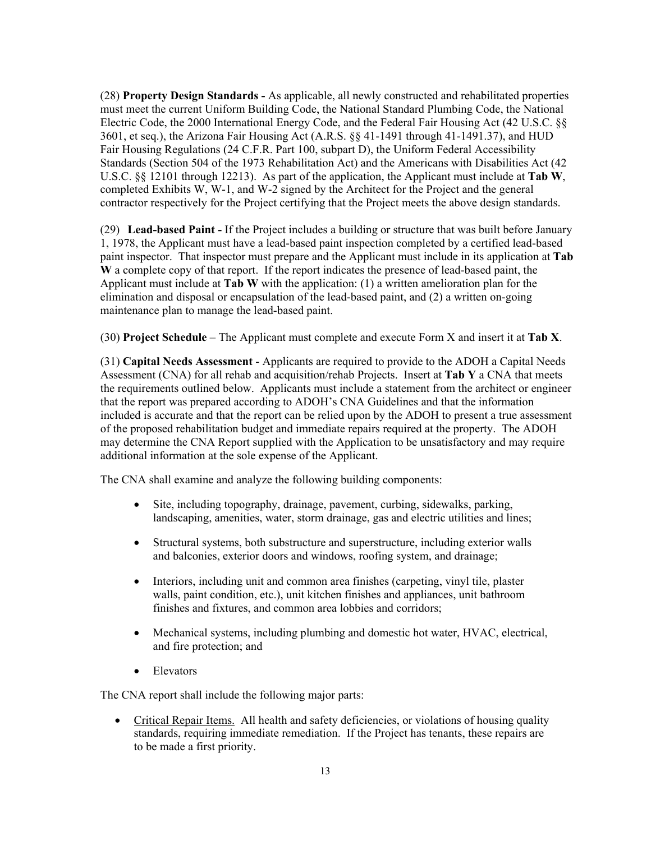(28) **Property Design Standards -** As applicable, all newly constructed and rehabilitated properties must meet the current Uniform Building Code, the National Standard Plumbing Code, the National Electric Code, the 2000 International Energy Code, and the Federal Fair Housing Act (42 U.S.C. §§ 3601, et seq.), the Arizona Fair Housing Act (A.R.S. §§ 41-1491 through 41-1491.37), and HUD Fair Housing Regulations (24 C.F.R. Part 100, subpart D), the Uniform Federal Accessibility Standards (Section 504 of the 1973 Rehabilitation Act) and the Americans with Disabilities Act (42 U.S.C. §§ 12101 through 12213). As part of the application, the Applicant must include at **Tab W**, completed Exhibits W, W-1, and W-2 signed by the Architect for the Project and the general contractor respectively for the Project certifying that the Project meets the above design standards.

(29) **Lead-based Paint -** If the Project includes a building or structure that was built before January 1, 1978, the Applicant must have a lead-based paint inspection completed by a certified lead-based paint inspector. That inspector must prepare and the Applicant must include in its application at **Tab W** a complete copy of that report. If the report indicates the presence of lead-based paint, the Applicant must include at **Tab W** with the application: (1) a written amelioration plan for the elimination and disposal or encapsulation of the lead-based paint, and (2) a written on-going maintenance plan to manage the lead-based paint.

(30) **Project Schedule** – The Applicant must complete and execute Form X and insert it at **Tab X**.

(31) **Capital Needs Assessment** - Applicants are required to provide to the ADOH a Capital Needs Assessment (CNA) for all rehab and acquisition/rehab Projects. Insert at **Tab Y** a CNA that meets the requirements outlined below. Applicants must include a statement from the architect or engineer that the report was prepared according to ADOH's CNA Guidelines and that the information included is accurate and that the report can be relied upon by the ADOH to present a true assessment of the proposed rehabilitation budget and immediate repairs required at the property. The ADOH may determine the CNA Report supplied with the Application to be unsatisfactory and may require additional information at the sole expense of the Applicant.

The CNA shall examine and analyze the following building components:

- Site, including topography, drainage, pavement, curbing, sidewalks, parking, landscaping, amenities, water, storm drainage, gas and electric utilities and lines;
- Structural systems, both substructure and superstructure, including exterior walls and balconies, exterior doors and windows, roofing system, and drainage;
- Interiors, including unit and common area finishes (carpeting, vinyl tile, plaster walls, paint condition, etc.), unit kitchen finishes and appliances, unit bathroom finishes and fixtures, and common area lobbies and corridors;
- Mechanical systems, including plumbing and domestic hot water, HVAC, electrical, and fire protection; and
- Elevators

The CNA report shall include the following major parts:

• Critical Repair Items. All health and safety deficiencies, or violations of housing quality standards, requiring immediate remediation. If the Project has tenants, these repairs are to be made a first priority.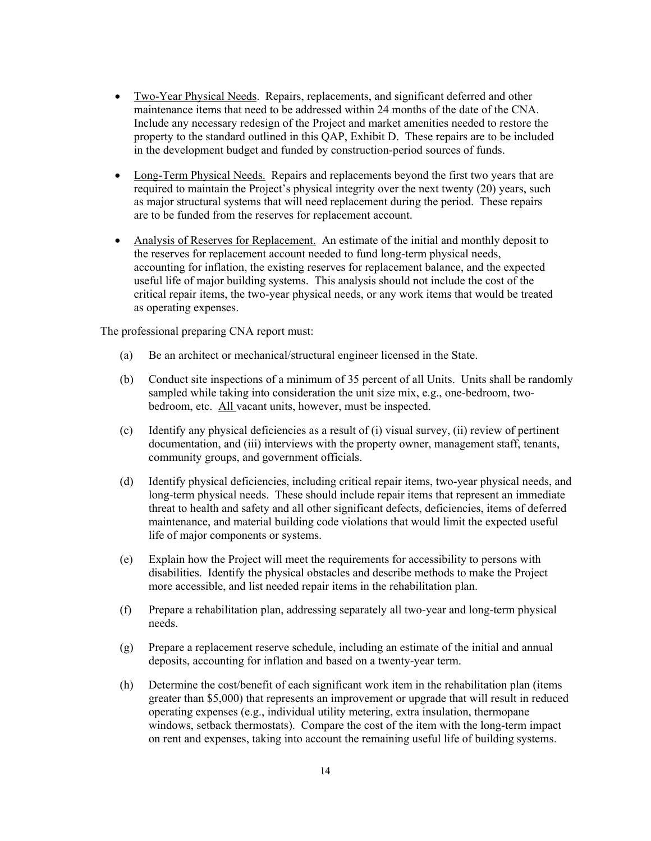- Two-Year Physical Needs. Repairs, replacements, and significant deferred and other maintenance items that need to be addressed within 24 months of the date of the CNA. Include any necessary redesign of the Project and market amenities needed to restore the property to the standard outlined in this QAP, Exhibit D. These repairs are to be included in the development budget and funded by construction-period sources of funds.
- Long-Term Physical Needs. Repairs and replacements beyond the first two years that are required to maintain the Project's physical integrity over the next twenty (20) years, such as major structural systems that will need replacement during the period. These repairs are to be funded from the reserves for replacement account.
- Analysis of Reserves for Replacement. An estimate of the initial and monthly deposit to the reserves for replacement account needed to fund long-term physical needs, accounting for inflation, the existing reserves for replacement balance, and the expected useful life of major building systems. This analysis should not include the cost of the critical repair items, the two-year physical needs, or any work items that would be treated as operating expenses.

The professional preparing CNA report must:

- (a) Be an architect or mechanical/structural engineer licensed in the State.
- (b) Conduct site inspections of a minimum of 35 percent of all Units. Units shall be randomly sampled while taking into consideration the unit size mix, e.g., one-bedroom, twobedroom, etc. All vacant units, however, must be inspected.
- (c) Identify any physical deficiencies as a result of (i) visual survey, (ii) review of pertinent documentation, and (iii) interviews with the property owner, management staff, tenants, community groups, and government officials.
- (d) Identify physical deficiencies, including critical repair items, two-year physical needs, and long-term physical needs. These should include repair items that represent an immediate threat to health and safety and all other significant defects, deficiencies, items of deferred maintenance, and material building code violations that would limit the expected useful life of major components or systems.
- (e) Explain how the Project will meet the requirements for accessibility to persons with disabilities. Identify the physical obstacles and describe methods to make the Project more accessible, and list needed repair items in the rehabilitation plan.
- (f) Prepare a rehabilitation plan, addressing separately all two-year and long-term physical needs.
- (g) Prepare a replacement reserve schedule, including an estimate of the initial and annual deposits, accounting for inflation and based on a twenty-year term.
- (h) Determine the cost/benefit of each significant work item in the rehabilitation plan (items greater than \$5,000) that represents an improvement or upgrade that will result in reduced operating expenses (e.g., individual utility metering, extra insulation, thermopane windows, setback thermostats). Compare the cost of the item with the long-term impact on rent and expenses, taking into account the remaining useful life of building systems.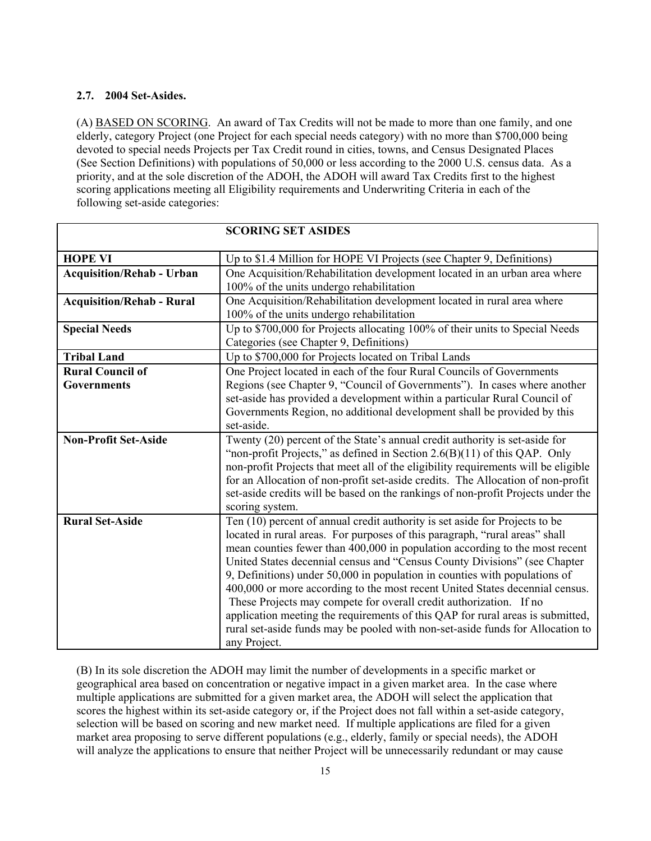## **2.7. 2004 Set-Asides.**

(A) BASED ON SCORING. An award of Tax Credits will not be made to more than one family, and one elderly, category Project (one Project for each special needs category) with no more than \$700,000 being devoted to special needs Projects per Tax Credit round in cities, towns, and Census Designated Places (See Section Definitions) with populations of 50,000 or less according to the 2000 U.S. census data. As a priority, and at the sole discretion of the ADOH, the ADOH will award Tax Credits first to the highest scoring applications meeting all Eligibility requirements and Underwriting Criteria in each of the following set-aside categories:

|                                  | <b>SCORING SET ASIDES</b>                                                          |
|----------------------------------|------------------------------------------------------------------------------------|
|                                  |                                                                                    |
| <b>HOPE VI</b>                   | Up to \$1.4 Million for HOPE VI Projects (see Chapter 9, Definitions)              |
| <b>Acquisition/Rehab - Urban</b> | One Acquisition/Rehabilitation development located in an urban area where          |
|                                  | 100% of the units undergo rehabilitation                                           |
| <b>Acquisition/Rehab - Rural</b> | One Acquisition/Rehabilitation development located in rural area where             |
|                                  | 100% of the units undergo rehabilitation                                           |
| <b>Special Needs</b>             | Up to \$700,000 for Projects allocating 100% of their units to Special Needs       |
|                                  | Categories (see Chapter 9, Definitions)                                            |
| <b>Tribal Land</b>               | Up to \$700,000 for Projects located on Tribal Lands                               |
| <b>Rural Council of</b>          | One Project located in each of the four Rural Councils of Governments              |
| <b>Governments</b>               | Regions (see Chapter 9, "Council of Governments"). In cases where another          |
|                                  | set-aside has provided a development within a particular Rural Council of          |
|                                  | Governments Region, no additional development shall be provided by this            |
|                                  | set-aside.                                                                         |
| <b>Non-Profit Set-Aside</b>      | Twenty (20) percent of the State's annual credit authority is set-aside for        |
|                                  | "non-profit Projects," as defined in Section $2.6(B)(11)$ of this QAP. Only        |
|                                  | non-profit Projects that meet all of the eligibility requirements will be eligible |
|                                  | for an Allocation of non-profit set-aside credits. The Allocation of non-profit    |
|                                  | set-aside credits will be based on the rankings of non-profit Projects under the   |
|                                  | scoring system.                                                                    |
| <b>Rural Set-Aside</b>           | Ten (10) percent of annual credit authority is set aside for Projects to be        |
|                                  | located in rural areas. For purposes of this paragraph, "rural areas" shall        |
|                                  | mean counties fewer than 400,000 in population according to the most recent        |
|                                  | United States decennial census and "Census County Divisions" (see Chapter          |
|                                  | 9, Definitions) under 50,000 in population in counties with populations of         |
|                                  | 400,000 or more according to the most recent United States decennial census.       |
|                                  | These Projects may compete for overall credit authorization. If no                 |
|                                  | application meeting the requirements of this QAP for rural areas is submitted,     |
|                                  | rural set-aside funds may be pooled with non-set-aside funds for Allocation to     |
|                                  | any Project.                                                                       |

(B) In its sole discretion the ADOH may limit the number of developments in a specific market or geographical area based on concentration or negative impact in a given market area. In the case where multiple applications are submitted for a given market area, the ADOH will select the application that scores the highest within its set-aside category or, if the Project does not fall within a set-aside category, selection will be based on scoring and new market need. If multiple applications are filed for a given market area proposing to serve different populations (e.g., elderly, family or special needs), the ADOH will analyze the applications to ensure that neither Project will be unnecessarily redundant or may cause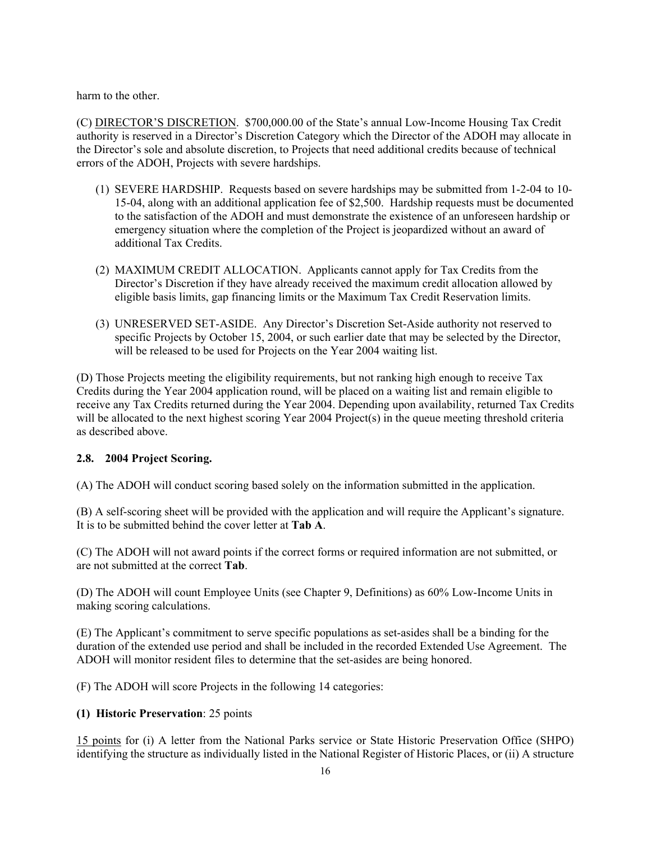harm to the other.

(C) DIRECTOR'S DISCRETION. \$700,000.00 of the State's annual Low-Income Housing Tax Credit authority is reserved in a Director's Discretion Category which the Director of the ADOH may allocate in the Director's sole and absolute discretion, to Projects that need additional credits because of technical errors of the ADOH, Projects with severe hardships.

- (1) SEVERE HARDSHIP. Requests based on severe hardships may be submitted from 1-2-04 to 10- 15-04, along with an additional application fee of \$2,500. Hardship requests must be documented to the satisfaction of the ADOH and must demonstrate the existence of an unforeseen hardship or emergency situation where the completion of the Project is jeopardized without an award of additional Tax Credits.
- (2) MAXIMUM CREDIT ALLOCATION. Applicants cannot apply for Tax Credits from the Director's Discretion if they have already received the maximum credit allocation allowed by eligible basis limits, gap financing limits or the Maximum Tax Credit Reservation limits.
- (3) UNRESERVED SET-ASIDE. Any Director's Discretion Set-Aside authority not reserved to specific Projects by October 15, 2004, or such earlier date that may be selected by the Director, will be released to be used for Projects on the Year 2004 waiting list.

(D) Those Projects meeting the eligibility requirements, but not ranking high enough to receive Tax Credits during the Year 2004 application round, will be placed on a waiting list and remain eligible to receive any Tax Credits returned during the Year 2004. Depending upon availability, returned Tax Credits will be allocated to the next highest scoring Year 2004 Project(s) in the queue meeting threshold criteria as described above.

## **2.8. 2004 Project Scoring.**

(A) The ADOH will conduct scoring based solely on the information submitted in the application.

(B) A self-scoring sheet will be provided with the application and will require the Applicant's signature. It is to be submitted behind the cover letter at **Tab A**.

(C) The ADOH will not award points if the correct forms or required information are not submitted, or are not submitted at the correct **Tab**.

(D) The ADOH will count Employee Units (see Chapter 9, Definitions) as 60% Low-Income Units in making scoring calculations.

(E) The Applicant's commitment to serve specific populations as set-asides shall be a binding for the duration of the extended use period and shall be included in the recorded Extended Use Agreement. The ADOH will monitor resident files to determine that the set-asides are being honored.

(F) The ADOH will score Projects in the following 14 categories:

## **(1) Historic Preservation**: 25 points

15 points for (i) A letter from the National Parks service or State Historic Preservation Office (SHPO) identifying the structure as individually listed in the National Register of Historic Places, or (ii) A structure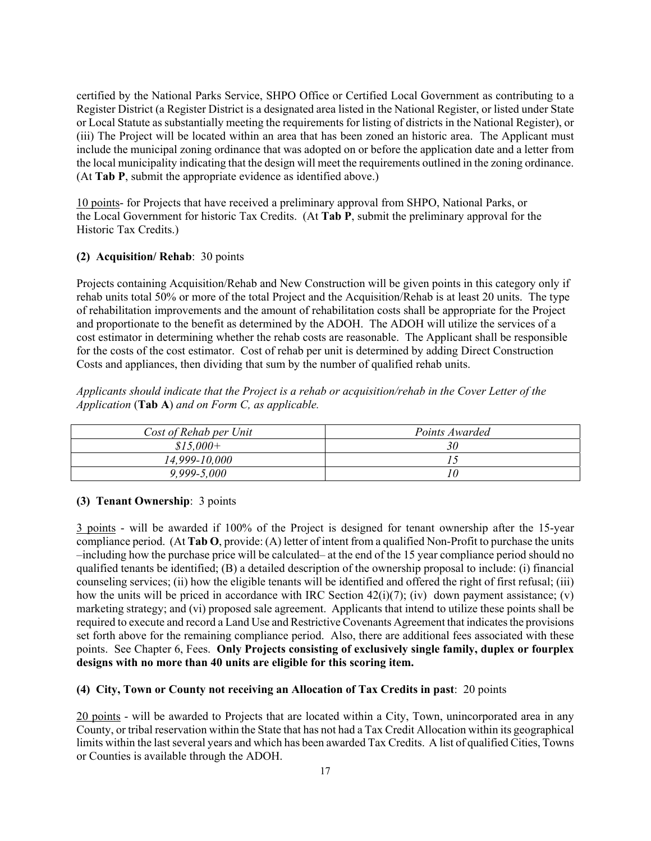certified by the National Parks Service, SHPO Office or Certified Local Government as contributing to a Register District (a Register District is a designated area listed in the National Register, or listed under State or Local Statute as substantially meeting the requirements for listing of districts in the National Register), or (iii) The Project will be located within an area that has been zoned an historic area. The Applicant must include the municipal zoning ordinance that was adopted on or before the application date and a letter from the local municipality indicating that the design will meet the requirements outlined in the zoning ordinance. (At **Tab P**, submit the appropriate evidence as identified above.)

10 points- for Projects that have received a preliminary approval from SHPO, National Parks, or the Local Government for historic Tax Credits. (At **Tab P**, submit the preliminary approval for the Historic Tax Credits.)

## **(2) Acquisition/ Rehab**: 30 points

Projects containing Acquisition/Rehab and New Construction will be given points in this category only if rehab units total 50% or more of the total Project and the Acquisition/Rehab is at least 20 units. The type of rehabilitation improvements and the amount of rehabilitation costs shall be appropriate for the Project and proportionate to the benefit as determined by the ADOH. The ADOH will utilize the services of a cost estimator in determining whether the rehab costs are reasonable. The Applicant shall be responsible for the costs of the cost estimator. Cost of rehab per unit is determined by adding Direct Construction Costs and appliances, then dividing that sum by the number of qualified rehab units.

*Applicants should indicate that the Project is a rehab or acquisition/rehab in the Cover Letter of the Application* (**Tab A**) *and on Form C, as applicable.* 

| Cost of Rehab per Unit | Points Awarded |
|------------------------|----------------|
| $$15,000+$             | 30             |
| 14,999-10,000          |                |
| $9,999 - 5,000$        | 10             |

## **(3) Tenant Ownership**: 3 points

3 points - will be awarded if 100% of the Project is designed for tenant ownership after the 15-year compliance period. (At **Tab O**, provide: (A) letter of intent from a qualified Non-Profit to purchase the units –including how the purchase price will be calculated– at the end of the 15 year compliance period should no qualified tenants be identified; (B) a detailed description of the ownership proposal to include: (i) financial counseling services; (ii) how the eligible tenants will be identified and offered the right of first refusal; (iii) how the units will be priced in accordance with IRC Section 42(i)(7); (iv) down payment assistance; (v) marketing strategy; and (vi) proposed sale agreement. Applicants that intend to utilize these points shall be required to execute and record a Land Use and Restrictive Covenants Agreement that indicates the provisions set forth above for the remaining compliance period. Also, there are additional fees associated with these points. See Chapter 6, Fees. **Only Projects consisting of exclusively single family, duplex or fourplex designs with no more than 40 units are eligible for this scoring item.** 

## **(4) City, Town or County not receiving an Allocation of Tax Credits in past**: 20 points

20 points - will be awarded to Projects that are located within a City, Town, unincorporated area in any County, or tribal reservation within the State that has not had a Tax Credit Allocation within its geographical limits within the last several years and which has been awarded Tax Credits. A list of qualified Cities, Towns or Counties is available through the ADOH.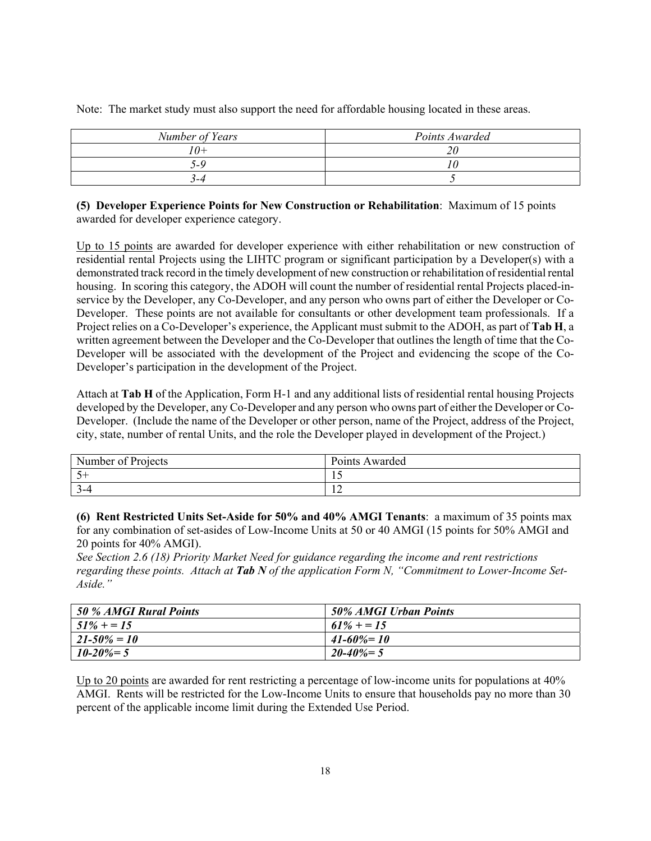| Number of Years        | Points Awarded |
|------------------------|----------------|
| $^{\prime}$ $\theta$ + |                |
| $\overline{ }$         |                |
| $-4$                   |                |

Note: The market study must also support the need for affordable housing located in these areas.

**(5) Developer Experience Points for New Construction or Rehabilitation**: Maximum of 15 points awarded for developer experience category.

Up to 15 points are awarded for developer experience with either rehabilitation or new construction of residential rental Projects using the LIHTC program or significant participation by a Developer(s) with a demonstrated track record in the timely development of new construction or rehabilitation of residential rental housing. In scoring this category, the ADOH will count the number of residential rental Projects placed-inservice by the Developer, any Co-Developer, and any person who owns part of either the Developer or Co-Developer. These points are not available for consultants or other development team professionals. If a Project relies on a Co-Developer's experience, the Applicant must submit to the ADOH, as part of **Tab H**, a written agreement between the Developer and the Co-Developer that outlines the length of time that the Co-Developer will be associated with the development of the Project and evidencing the scope of the Co-Developer's participation in the development of the Project.

Attach at **Tab H** of the Application, Form H-1 and any additional lists of residential rental housing Projects developed by the Developer, any Co-Developer and any person who owns part of either the Developer or Co-Developer. (Include the name of the Developer or other person, name of the Project, address of the Project, city, state, number of rental Units, and the role the Developer played in development of the Project.)

| Number of Projects | Points Awarded |
|--------------------|----------------|
|                    | - 11           |
| $\sim$<br>$1 - 4$  | $\overline{1}$ |

**(6) Rent Restricted Units Set-Aside for 50% and 40% AMGI Tenants**: a maximum of 35 points max for any combination of set-asides of Low-Income Units at 50 or 40 AMGI (15 points for 50% AMGI and 20 points for 40% AMGI).

*See Section 2.6 (18) Priority Market Need for guidance regarding the income and rent restrictions regarding these points. Attach at Tab N of the application Form N, "Commitment to Lower-Income Set-Aside."* 

| 50 % AMGI Rural Points | 50% AMGI Urban Points |
|------------------------|-----------------------|
| $51\% + 15$            | $61\% + 15$           |
| $21 - 50\% = 10$       | $41 - 60\% = 10$      |
| $10 - 20\% = 5$        | $20 - 40\% = 5$       |

Up to 20 points are awarded for rent restricting a percentage of low-income units for populations at 40% AMGI. Rents will be restricted for the Low-Income Units to ensure that households pay no more than 30 percent of the applicable income limit during the Extended Use Period.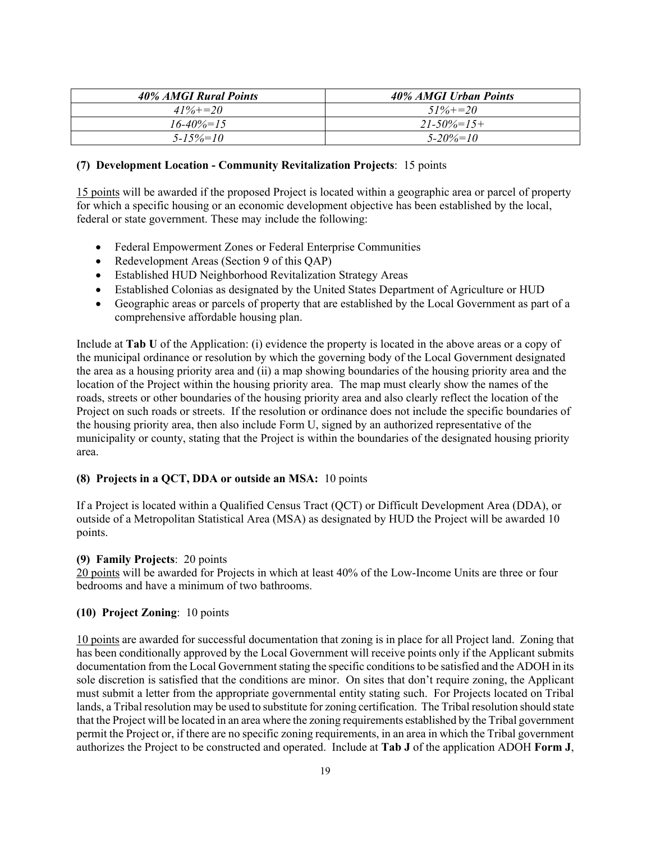| 40% AMGI Rural Points | 40% AMGI Urban Points |
|-----------------------|-----------------------|
| $41\% + 20$           | $51\% + 20$           |
| $16 - 40\% = 15$      | $21 - 50\% = 15 +$    |
| $5 - 15\% = 10$       | $5 - 20\% = 10$       |

#### **(7) Development Location - Community Revitalization Projects**: 15 points

15 points will be awarded if the proposed Project is located within a geographic area or parcel of property for which a specific housing or an economic development objective has been established by the local, federal or state government. These may include the following:

- Federal Empowerment Zones or Federal Enterprise Communities
- Redevelopment Areas (Section 9 of this QAP)
- Established HUD Neighborhood Revitalization Strategy Areas
- Established Colonias as designated by the United States Department of Agriculture or HUD
- Geographic areas or parcels of property that are established by the Local Government as part of a comprehensive affordable housing plan.

Include at **Tab U** of the Application: (i) evidence the property is located in the above areas or a copy of the municipal ordinance or resolution by which the governing body of the Local Government designated the area as a housing priority area and (ii) a map showing boundaries of the housing priority area and the location of the Project within the housing priority area. The map must clearly show the names of the roads, streets or other boundaries of the housing priority area and also clearly reflect the location of the Project on such roads or streets. If the resolution or ordinance does not include the specific boundaries of the housing priority area, then also include Form U, signed by an authorized representative of the municipality or county, stating that the Project is within the boundaries of the designated housing priority area.

## **(8) Projects in a QCT, DDA or outside an MSA:** 10 points

If a Project is located within a Qualified Census Tract (QCT) or Difficult Development Area (DDA), or outside of a Metropolitan Statistical Area (MSA) as designated by HUD the Project will be awarded 10 points.

## **(9) Family Projects**: 20 points

20 points will be awarded for Projects in which at least 40% of the Low-Income Units are three or four bedrooms and have a minimum of two bathrooms.

## **(10) Project Zoning**: 10 points

10 points are awarded for successful documentation that zoning is in place for all Project land. Zoning that has been conditionally approved by the Local Government will receive points only if the Applicant submits documentation from the Local Government stating the specific conditions to be satisfied and the ADOH in its sole discretion is satisfied that the conditions are minor. On sites that don't require zoning, the Applicant must submit a letter from the appropriate governmental entity stating such. For Projects located on Tribal lands, a Tribal resolution may be used to substitute for zoning certification. The Tribal resolution should state that the Project will be located in an area where the zoning requirements established by the Tribal government permit the Project or, if there are no specific zoning requirements, in an area in which the Tribal government authorizes the Project to be constructed and operated. Include at **Tab J** of the application ADOH **Form J**,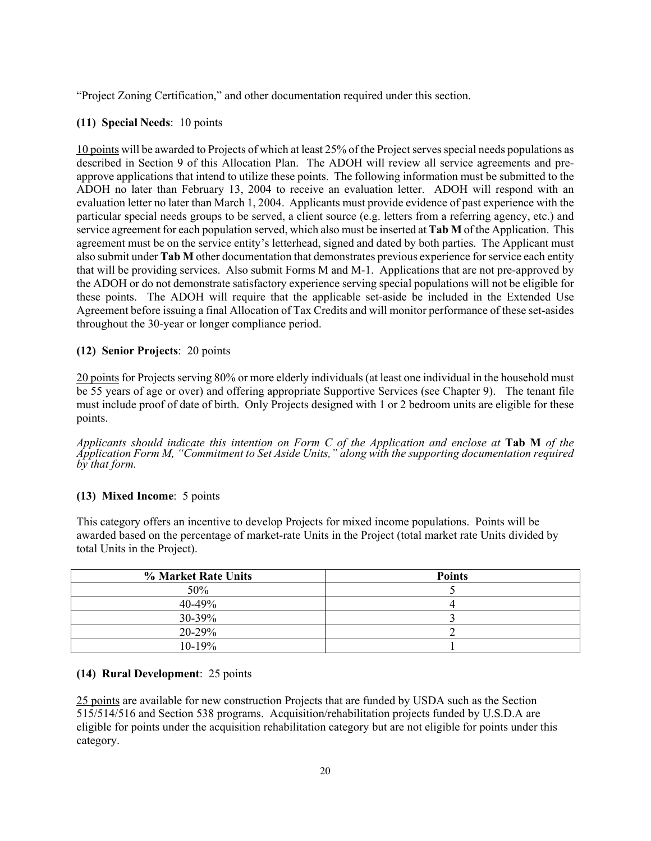"Project Zoning Certification," and other documentation required under this section.

## **(11) Special Needs**: 10 points

10 points will be awarded to Projects of which at least 25% of the Project serves special needs populations as described in Section 9 of this Allocation Plan. The ADOH will review all service agreements and preapprove applications that intend to utilize these points. The following information must be submitted to the ADOH no later than February 13, 2004 to receive an evaluation letter. ADOH will respond with an evaluation letter no later than March 1, 2004. Applicants must provide evidence of past experience with the particular special needs groups to be served, a client source (e.g. letters from a referring agency, etc.) and service agreement for each population served, which also must be inserted at **Tab M** of the Application. This agreement must be on the service entity's letterhead, signed and dated by both parties. The Applicant must also submit under **Tab M** other documentation that demonstrates previous experience for service each entity that will be providing services. Also submit Forms M and M-1. Applications that are not pre-approved by the ADOH or do not demonstrate satisfactory experience serving special populations will not be eligible for these points. The ADOH will require that the applicable set-aside be included in the Extended Use Agreement before issuing a final Allocation of Tax Credits and will monitor performance of these set-asides throughout the 30-year or longer compliance period.

## **(12) Senior Projects**: 20 points

20 points for Projects serving 80% or more elderly individuals (at least one individual in the household must be 55 years of age or over) and offering appropriate Supportive Services (see Chapter 9). The tenant file must include proof of date of birth. Only Projects designed with 1 or 2 bedroom units are eligible for these points.

*Applicants should indicate this intention on Form C of the Application and enclose at* **Tab M** *of the Application Form M, "Commitment to Set Aside Units," along with the supporting documentation required by that form.* 

## **(13) Mixed Income**: 5 points

This category offers an incentive to develop Projects for mixed income populations. Points will be awarded based on the percentage of market-rate Units in the Project (total market rate Units divided by total Units in the Project).

| % Market Rate Units | <b>Points</b> |
|---------------------|---------------|
| 50%                 |               |
| $40 - 49\%$         |               |
| 30-39%              |               |
| 20-29%              |               |
| $10-19%$            |               |

## **(14) Rural Development**: 25 points

25 points are available for new construction Projects that are funded by USDA such as the Section 515/514/516 and Section 538 programs. Acquisition/rehabilitation projects funded by U.S.D.A are eligible for points under the acquisition rehabilitation category but are not eligible for points under this category.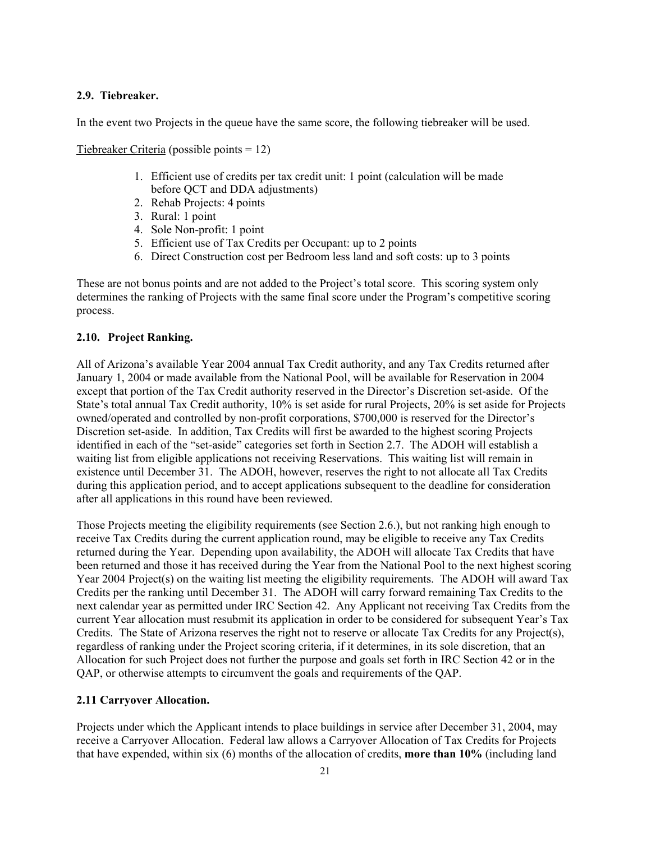#### **2.9. Tiebreaker.**

In the event two Projects in the queue have the same score, the following tiebreaker will be used.

Tiebreaker Criteria (possible points = 12)

- 1. Efficient use of credits per tax credit unit: 1 point (calculation will be made before QCT and DDA adjustments)
- 2. Rehab Projects: 4 points
- 3. Rural: 1 point
- 4. Sole Non-profit: 1 point
- 5. Efficient use of Tax Credits per Occupant: up to 2 points
- 6. Direct Construction cost per Bedroom less land and soft costs: up to 3 points

These are not bonus points and are not added to the Project's total score. This scoring system only determines the ranking of Projects with the same final score under the Program's competitive scoring process.

## **2.10. Project Ranking.**

All of Arizona's available Year 2004 annual Tax Credit authority, and any Tax Credits returned after January 1, 2004 or made available from the National Pool, will be available for Reservation in 2004 except that portion of the Tax Credit authority reserved in the Director's Discretion set-aside. Of the State's total annual Tax Credit authority, 10% is set aside for rural Projects, 20% is set aside for Projects owned/operated and controlled by non-profit corporations, \$700,000 is reserved for the Director's Discretion set-aside. In addition, Tax Credits will first be awarded to the highest scoring Projects identified in each of the "set-aside" categories set forth in Section 2.7. The ADOH will establish a waiting list from eligible applications not receiving Reservations. This waiting list will remain in existence until December 31. The ADOH, however, reserves the right to not allocate all Tax Credits during this application period, and to accept applications subsequent to the deadline for consideration after all applications in this round have been reviewed.

Those Projects meeting the eligibility requirements (see Section 2.6.), but not ranking high enough to receive Tax Credits during the current application round, may be eligible to receive any Tax Credits returned during the Year. Depending upon availability, the ADOH will allocate Tax Credits that have been returned and those it has received during the Year from the National Pool to the next highest scoring Year 2004 Project(s) on the waiting list meeting the eligibility requirements. The ADOH will award Tax Credits per the ranking until December 31. The ADOH will carry forward remaining Tax Credits to the next calendar year as permitted under IRC Section 42. Any Applicant not receiving Tax Credits from the current Year allocation must resubmit its application in order to be considered for subsequent Year's Tax Credits. The State of Arizona reserves the right not to reserve or allocate Tax Credits for any Project(s), regardless of ranking under the Project scoring criteria, if it determines, in its sole discretion, that an Allocation for such Project does not further the purpose and goals set forth in IRC Section 42 or in the QAP, or otherwise attempts to circumvent the goals and requirements of the QAP.

## **2.11 Carryover Allocation.**

Projects under which the Applicant intends to place buildings in service after December 31, 2004, may receive a Carryover Allocation. Federal law allows a Carryover Allocation of Tax Credits for Projects that have expended, within six (6) months of the allocation of credits, **more than 10%** (including land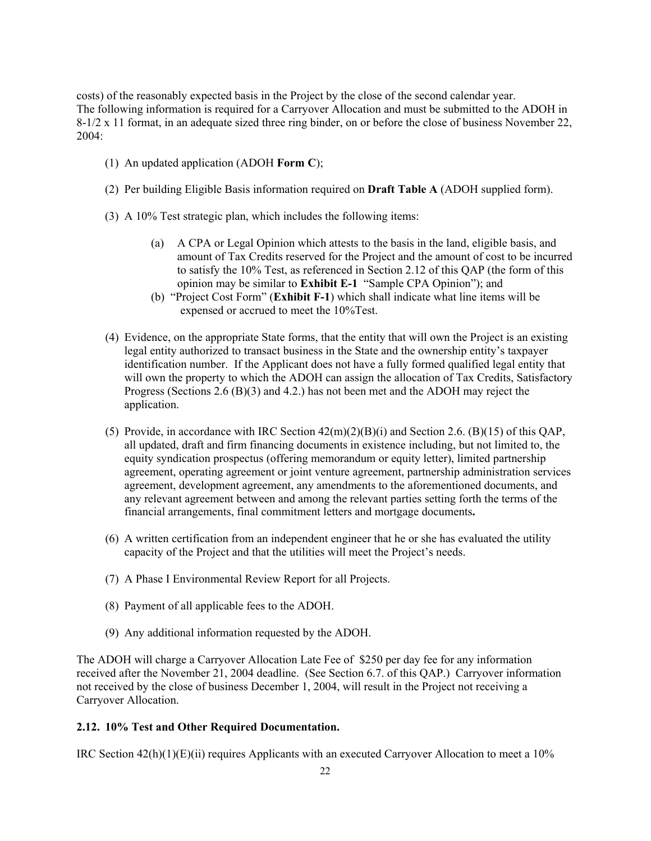costs) of the reasonably expected basis in the Project by the close of the second calendar year. The following information is required for a Carryover Allocation and must be submitted to the ADOH in 8-1/2 x 11 format, in an adequate sized three ring binder, on or before the close of business November 22, 2004:

- (1) An updated application (ADOH **Form C**);
- (2) Per building Eligible Basis information required on **Draft Table A** (ADOH supplied form).
- (3) A 10% Test strategic plan, which includes the following items:
	- (a) A CPA or Legal Opinion which attests to the basis in the land, eligible basis, and amount of Tax Credits reserved for the Project and the amount of cost to be incurred to satisfy the 10% Test, as referenced in Section 2.12 of this QAP (the form of this opinion may be similar to **Exhibit E-1** "Sample CPA Opinion"); and
	- (b) "Project Cost Form" (**Exhibit F-1**) which shall indicate what line items will be expensed or accrued to meet the 10%Test.
- (4) Evidence, on the appropriate State forms, that the entity that will own the Project is an existing legal entity authorized to transact business in the State and the ownership entity's taxpayer identification number. If the Applicant does not have a fully formed qualified legal entity that will own the property to which the ADOH can assign the allocation of Tax Credits, Satisfactory Progress (Sections 2.6 (B)(3) and 4.2.) has not been met and the ADOH may reject the application.
- (5) Provide, in accordance with IRC Section 42(m)(2)(B)(i) and Section 2.6. (B)(15) of this QAP, all updated, draft and firm financing documents in existence including, but not limited to, the equity syndication prospectus (offering memorandum or equity letter), limited partnership agreement, operating agreement or joint venture agreement, partnership administration services agreement, development agreement, any amendments to the aforementioned documents, and any relevant agreement between and among the relevant parties setting forth the terms of the financial arrangements, final commitment letters and mortgage documents**.**
- (6) A written certification from an independent engineer that he or she has evaluated the utility capacity of the Project and that the utilities will meet the Project's needs.
- (7) A Phase I Environmental Review Report for all Projects.
- (8) Payment of all applicable fees to the ADOH.
- (9) Any additional information requested by the ADOH.

The ADOH will charge a Carryover Allocation Late Fee of \$250 per day fee for any information received after the November 21, 2004 deadline. (See Section 6.7. of this QAP.) Carryover information not received by the close of business December 1, 2004, will result in the Project not receiving a Carryover Allocation.

## **2.12. 10% Test and Other Required Documentation.**

IRC Section 42(h)(1)(E)(ii) requires Applicants with an executed Carryover Allocation to meet a 10%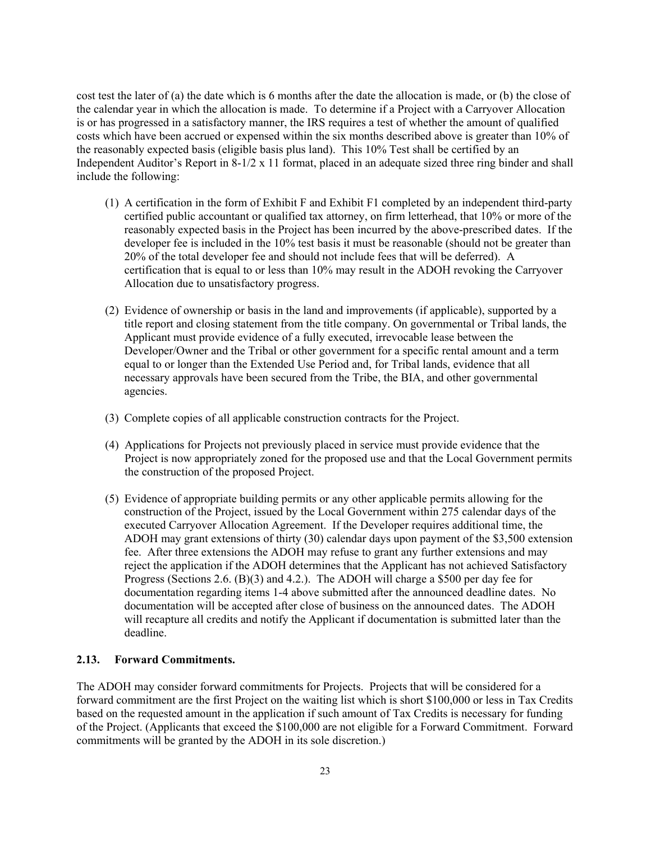cost test the later of (a) the date which is 6 months after the date the allocation is made, or (b) the close of the calendar year in which the allocation is made. To determine if a Project with a Carryover Allocation is or has progressed in a satisfactory manner, the IRS requires a test of whether the amount of qualified costs which have been accrued or expensed within the six months described above is greater than 10% of the reasonably expected basis (eligible basis plus land). This 10% Test shall be certified by an Independent Auditor's Report in 8-1/2 x 11 format, placed in an adequate sized three ring binder and shall include the following:

- (1) A certification in the form of Exhibit F and Exhibit F1 completed by an independent third-party certified public accountant or qualified tax attorney, on firm letterhead, that 10% or more of the reasonably expected basis in the Project has been incurred by the above-prescribed dates. If the developer fee is included in the 10% test basis it must be reasonable (should not be greater than 20% of the total developer fee and should not include fees that will be deferred). A certification that is equal to or less than 10% may result in the ADOH revoking the Carryover Allocation due to unsatisfactory progress.
- (2) Evidence of ownership or basis in the land and improvements (if applicable), supported by a title report and closing statement from the title company. On governmental or Tribal lands, the Applicant must provide evidence of a fully executed, irrevocable lease between the Developer/Owner and the Tribal or other government for a specific rental amount and a term equal to or longer than the Extended Use Period and, for Tribal lands, evidence that all necessary approvals have been secured from the Tribe, the BIA, and other governmental agencies.
- (3) Complete copies of all applicable construction contracts for the Project.
- (4) Applications for Projects not previously placed in service must provide evidence that the Project is now appropriately zoned for the proposed use and that the Local Government permits the construction of the proposed Project.
- (5) Evidence of appropriate building permits or any other applicable permits allowing for the construction of the Project, issued by the Local Government within 275 calendar days of the executed Carryover Allocation Agreement. If the Developer requires additional time, the ADOH may grant extensions of thirty (30) calendar days upon payment of the \$3,500 extension fee. After three extensions the ADOH may refuse to grant any further extensions and may reject the application if the ADOH determines that the Applicant has not achieved Satisfactory Progress (Sections 2.6. (B)(3) and 4.2.).The ADOH will charge a \$500 per day fee for documentation regarding items 1-4 above submitted after the announced deadline dates. No documentation will be accepted after close of business on the announced dates. The ADOH will recapture all credits and notify the Applicant if documentation is submitted later than the deadline.

#### **2.13. Forward Commitments.**

The ADOH may consider forward commitments for Projects. Projects that will be considered for a forward commitment are the first Project on the waiting list which is short \$100,000 or less in Tax Credits based on the requested amount in the application if such amount of Tax Credits is necessary for funding of the Project. (Applicants that exceed the \$100,000 are not eligible for a Forward Commitment. Forward commitments will be granted by the ADOH in its sole discretion.)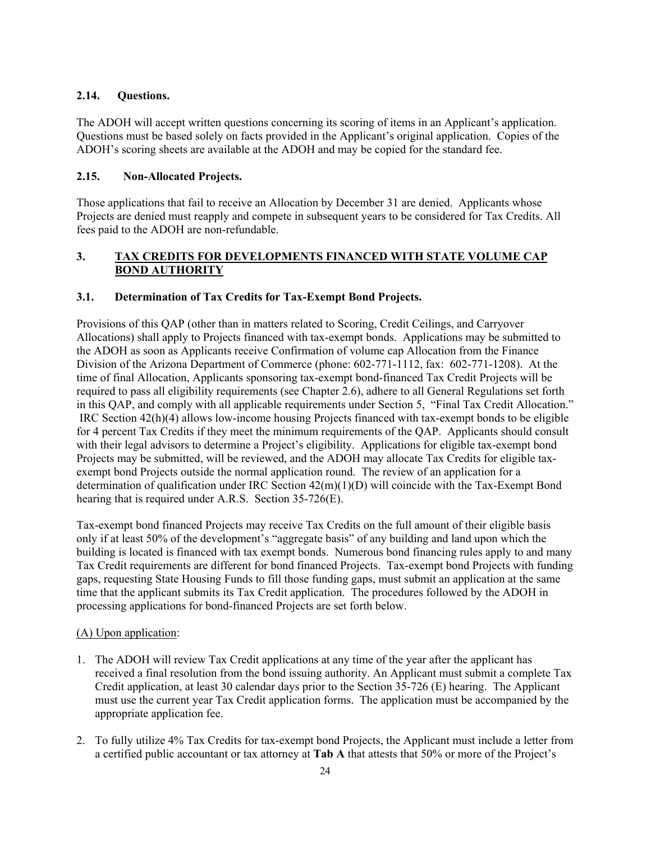## **2.14. Questions.**

The ADOH will accept written questions concerning its scoring of items in an Applicant's application. Questions must be based solely on facts provided in the Applicant's original application. Copies of the ADOH's scoring sheets are available at the ADOH and may be copied for the standard fee.

## **2.15. Non-Allocated Projects.**

Those applications that fail to receive an Allocation by December 31 are denied. Applicants whose Projects are denied must reapply and compete in subsequent years to be considered for Tax Credits. All fees paid to the ADOH are non-refundable.

## **3. TAX CREDITS FOR DEVELOPMENTS FINANCED WITH STATE VOLUME CAP BOND AUTHORITY**

## **3.1. Determination of Tax Credits for Tax-Exempt Bond Projects.**

Provisions of this QAP (other than in matters related to Scoring, Credit Ceilings, and Carryover Allocations) shall apply to Projects financed with tax-exempt bonds. Applications may be submitted to the ADOH as soon as Applicants receive Confirmation of volume cap Allocation from the Finance Division of the Arizona Department of Commerce (phone: 602-771-1112, fax: 602-771-1208). At the time of final Allocation, Applicants sponsoring tax-exempt bond-financed Tax Credit Projects will be required to pass all eligibility requirements (see Chapter 2.6), adhere to all General Regulations set forth in this QAP, and comply with all applicable requirements under Section 5, "Final Tax Credit Allocation." IRC Section 42(h)(4) allows low-income housing Projects financed with tax-exempt bonds to be eligible for 4 percent Tax Credits if they meet the minimum requirements of the QAP. Applicants should consult with their legal advisors to determine a Project's eligibility. Applications for eligible tax-exempt bond Projects may be submitted, will be reviewed, and the ADOH may allocate Tax Credits for eligible taxexempt bond Projects outside the normal application round. The review of an application for a determination of qualification under IRC Section 42(m)(1)(D) will coincide with the Tax-Exempt Bond hearing that is required under A.R.S. Section 35-726(E).

Tax-exempt bond financed Projects may receive Tax Credits on the full amount of their eligible basis only if at least 50% of the development's "aggregate basis" of any building and land upon which the building is located is financed with tax exempt bonds. Numerous bond financing rules apply to and many Tax Credit requirements are different for bond financed Projects. Tax-exempt bond Projects with funding gaps, requesting State Housing Funds to fill those funding gaps, must submit an application at the same time that the applicant submits its Tax Credit application. The procedures followed by the ADOH in processing applications for bond-financed Projects are set forth below.

## (A) Upon application:

- 1. The ADOH will review Tax Credit applications at any time of the year after the applicant has received a final resolution from the bond issuing authority. An Applicant must submit a complete Tax Credit application, at least 30 calendar days prior to the Section 35-726 (E) hearing. The Applicant must use the current year Tax Credit application forms. The application must be accompanied by the appropriate application fee.
- 2. To fully utilize 4% Tax Credits for tax-exempt bond Projects, the Applicant must include a letter from a certified public accountant or tax attorney at **Tab A** that attests that 50% or more of the Project's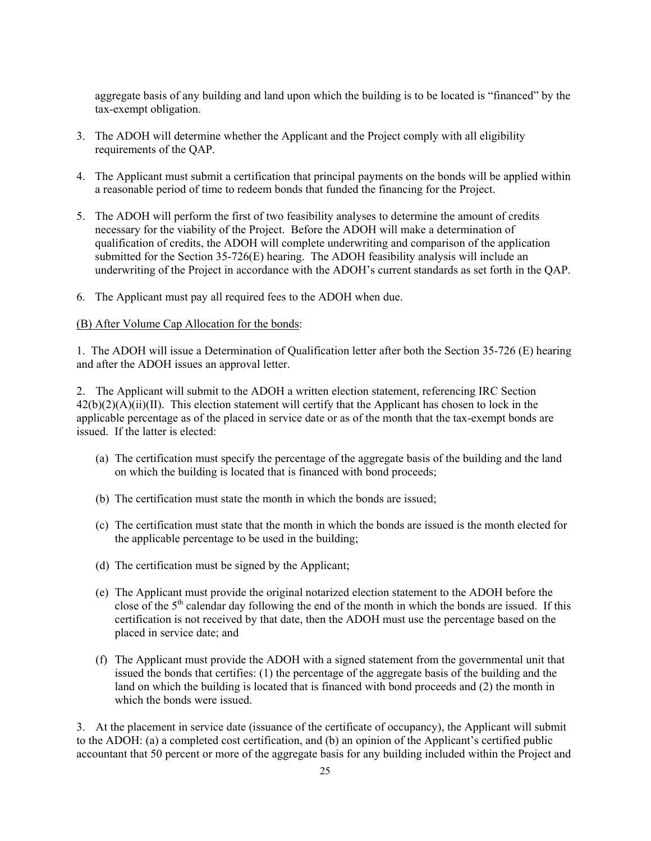aggregate basis of any building and land upon which the building is to be located is "financed" by the tax-exempt obligation.

- 3. The ADOH will determine whether the Applicant and the Project comply with all eligibility requirements of the QAP.
- 4. The Applicant must submit a certification that principal payments on the bonds will be applied within a reasonable period of time to redeem bonds that funded the financing for the Project.
- 5. The ADOH will perform the first of two feasibility analyses to determine the amount of credits necessary for the viability of the Project. Before the ADOH will make a determination of qualification of credits, the ADOH will complete underwriting and comparison of the application submitted for the Section 35-726(E) hearing. The ADOH feasibility analysis will include an underwriting of the Project in accordance with the ADOH's current standards as set forth in the QAP.
- 6. The Applicant must pay all required fees to the ADOH when due.

#### (B) After Volume Cap Allocation for the bonds:

1. The ADOH will issue a Determination of Qualification letter after both the Section 35-726 (E) hearing and after the ADOH issues an approval letter.

2. The Applicant will submit to the ADOH a written election statement, referencing IRC Section  $42(b)(2)(A)(ii)(II)$ . This election statement will certify that the Applicant has chosen to lock in the applicable percentage as of the placed in service date or as of the month that the tax-exempt bonds are issued. If the latter is elected:

- (a) The certification must specify the percentage of the aggregate basis of the building and the land on which the building is located that is financed with bond proceeds;
- (b) The certification must state the month in which the bonds are issued;
- (c) The certification must state that the month in which the bonds are issued is the month elected for the applicable percentage to be used in the building;
- (d) The certification must be signed by the Applicant;
- (e) The Applicant must provide the original notarized election statement to the ADOH before the close of the  $5<sup>th</sup>$  calendar day following the end of the month in which the bonds are issued. If this certification is not received by that date, then the ADOH must use the percentage based on the placed in service date; and
- (f) The Applicant must provide the ADOH with a signed statement from the governmental unit that issued the bonds that certifies: (1) the percentage of the aggregate basis of the building and the land on which the building is located that is financed with bond proceeds and (2) the month in which the bonds were issued.

3. At the placement in service date (issuance of the certificate of occupancy), the Applicant will submit to the ADOH: (a) a completed cost certification, and (b) an opinion of the Applicant's certified public accountant that 50 percent or more of the aggregate basis for any building included within the Project and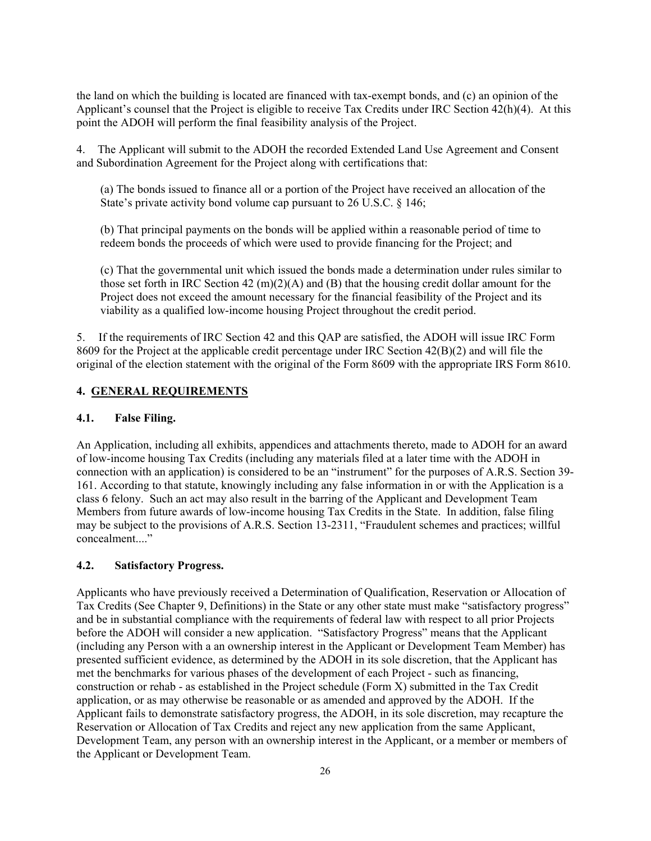the land on which the building is located are financed with tax-exempt bonds, and (c) an opinion of the Applicant's counsel that the Project is eligible to receive Tax Credits under IRC Section 42(h)(4). At this point the ADOH will perform the final feasibility analysis of the Project.

4. The Applicant will submit to the ADOH the recorded Extended Land Use Agreement and Consent and Subordination Agreement for the Project along with certifications that:

(a) The bonds issued to finance all or a portion of the Project have received an allocation of the State's private activity bond volume cap pursuant to 26 U.S.C. § 146;

(b) That principal payments on the bonds will be applied within a reasonable period of time to redeem bonds the proceeds of which were used to provide financing for the Project; and

(c) That the governmental unit which issued the bonds made a determination under rules similar to those set forth in IRC Section 42 (m)(2)(A) and (B) that the housing credit dollar amount for the Project does not exceed the amount necessary for the financial feasibility of the Project and its viability as a qualified low-income housing Project throughout the credit period.

5. If the requirements of IRC Section 42 and this QAP are satisfied, the ADOH will issue IRC Form 8609 for the Project at the applicable credit percentage under IRC Section 42(B)(2) and will file the original of the election statement with the original of the Form 8609 with the appropriate IRS Form 8610.

## **4. GENERAL REQUIREMENTS**

#### **4.1. False Filing.**

An Application, including all exhibits, appendices and attachments thereto, made to ADOH for an award of low-income housing Tax Credits (including any materials filed at a later time with the ADOH in connection with an application) is considered to be an "instrument" for the purposes of A.R.S. Section 39- 161. According to that statute, knowingly including any false information in or with the Application is a class 6 felony. Such an act may also result in the barring of the Applicant and Development Team Members from future awards of low-income housing Tax Credits in the State. In addition, false filing may be subject to the provisions of A.R.S. Section 13-2311, "Fraudulent schemes and practices; willful concealment..."

#### **4.2. Satisfactory Progress.**

Applicants who have previously received a Determination of Qualification, Reservation or Allocation of Tax Credits (See Chapter 9, Definitions) in the State or any other state must make "satisfactory progress" and be in substantial compliance with the requirements of federal law with respect to all prior Projects before the ADOH will consider a new application. "Satisfactory Progress" means that the Applicant (including any Person with a an ownership interest in the Applicant or Development Team Member) has presented sufficient evidence, as determined by the ADOH in its sole discretion, that the Applicant has met the benchmarks for various phases of the development of each Project - such as financing, construction or rehab - as established in the Project schedule (Form X) submitted in the Tax Credit application, or as may otherwise be reasonable or as amended and approved by the ADOH. If the Applicant fails to demonstrate satisfactory progress, the ADOH, in its sole discretion, may recapture the Reservation or Allocation of Tax Credits and reject any new application from the same Applicant, Development Team, any person with an ownership interest in the Applicant, or a member or members of the Applicant or Development Team.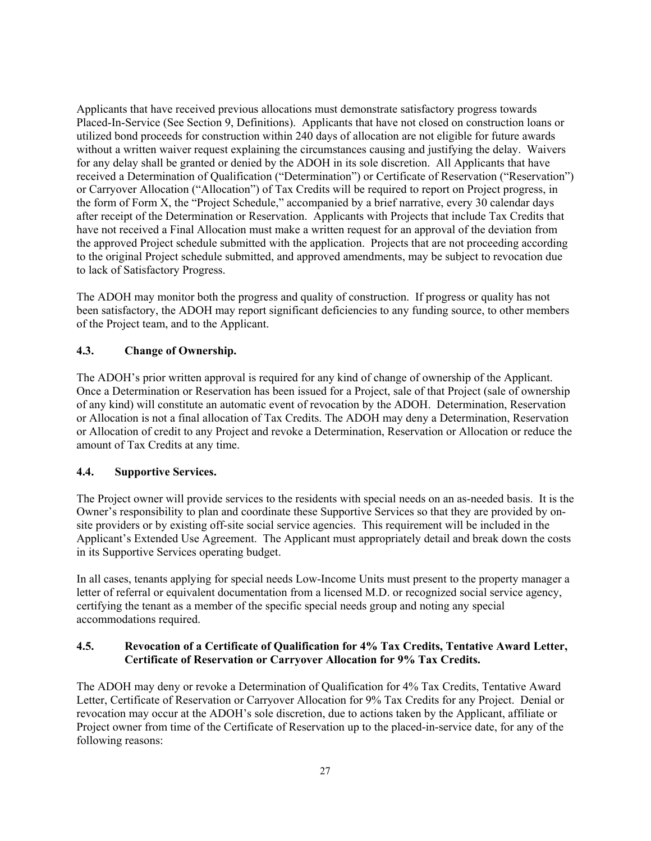Applicants that have received previous allocations must demonstrate satisfactory progress towards Placed-In-Service (See Section 9, Definitions). Applicants that have not closed on construction loans or utilized bond proceeds for construction within 240 days of allocation are not eligible for future awards without a written waiver request explaining the circumstances causing and justifying the delay. Waivers for any delay shall be granted or denied by the ADOH in its sole discretion. All Applicants that have received a Determination of Qualification ("Determination") or Certificate of Reservation ("Reservation") or Carryover Allocation ("Allocation") of Tax Credits will be required to report on Project progress, in the form of Form X, the "Project Schedule," accompanied by a brief narrative, every 30 calendar days after receipt of the Determination or Reservation. Applicants with Projects that include Tax Credits that have not received a Final Allocation must make a written request for an approval of the deviation from the approved Project schedule submitted with the application. Projects that are not proceeding according to the original Project schedule submitted, and approved amendments, may be subject to revocation due to lack of Satisfactory Progress.

The ADOH may monitor both the progress and quality of construction. If progress or quality has not been satisfactory, the ADOH may report significant deficiencies to any funding source, to other members of the Project team, and to the Applicant.

## **4.3. Change of Ownership.**

The ADOH's prior written approval is required for any kind of change of ownership of the Applicant. Once a Determination or Reservation has been issued for a Project, sale of that Project (sale of ownership of any kind) will constitute an automatic event of revocation by the ADOH. Determination, Reservation or Allocation is not a final allocation of Tax Credits. The ADOH may deny a Determination, Reservation or Allocation of credit to any Project and revoke a Determination, Reservation or Allocation or reduce the amount of Tax Credits at any time.

## **4.4. Supportive Services.**

The Project owner will provide services to the residents with special needs on an as-needed basis. It is the Owner's responsibility to plan and coordinate these Supportive Services so that they are provided by onsite providers or by existing off-site social service agencies. This requirement will be included in the Applicant's Extended Use Agreement. The Applicant must appropriately detail and break down the costs in its Supportive Services operating budget.

In all cases, tenants applying for special needs Low-Income Units must present to the property manager a letter of referral or equivalent documentation from a licensed M.D. or recognized social service agency, certifying the tenant as a member of the specific special needs group and noting any special accommodations required.

## **4.5. Revocation of a Certificate of Qualification for 4% Tax Credits, Tentative Award Letter, Certificate of Reservation or Carryover Allocation for 9% Tax Credits.**

The ADOH may deny or revoke a Determination of Qualification for 4% Tax Credits, Tentative Award Letter, Certificate of Reservation or Carryover Allocation for 9% Tax Credits for any Project. Denial or revocation may occur at the ADOH's sole discretion, due to actions taken by the Applicant, affiliate or Project owner from time of the Certificate of Reservation up to the placed-in-service date, for any of the following reasons: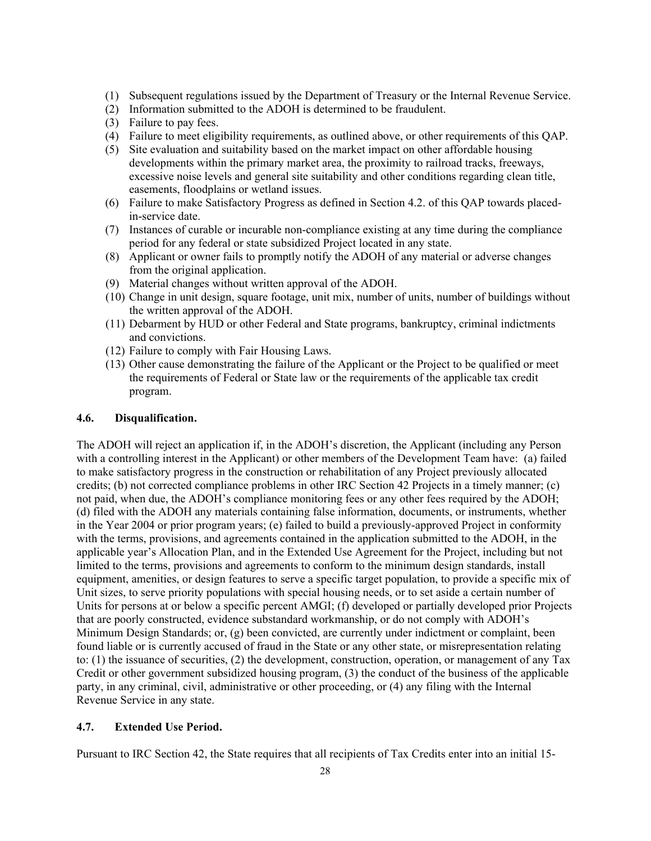- (1) Subsequent regulations issued by the Department of Treasury or the Internal Revenue Service.
- (2) Information submitted to the ADOH is determined to be fraudulent.
- (3) Failure to pay fees.
- (4) Failure to meet eligibility requirements, as outlined above, or other requirements of this QAP.
- (5) Site evaluation and suitability based on the market impact on other affordable housing developments within the primary market area, the proximity to railroad tracks, freeways, excessive noise levels and general site suitability and other conditions regarding clean title, easements, floodplains or wetland issues.
- (6) Failure to make Satisfactory Progress as defined in Section 4.2. of this QAP towards placedin-service date.
- (7) Instances of curable or incurable non-compliance existing at any time during the compliance period for any federal or state subsidized Project located in any state.
- (8) Applicant or owner fails to promptly notify the ADOH of any material or adverse changes from the original application.
- (9) Material changes without written approval of the ADOH.
- (10) Change in unit design, square footage, unit mix, number of units, number of buildings without the written approval of the ADOH.
- (11) Debarment by HUD or other Federal and State programs, bankruptcy, criminal indictments and convictions.
- (12) Failure to comply with Fair Housing Laws.
- (13) Other cause demonstrating the failure of the Applicant or the Project to be qualified or meet the requirements of Federal or State law or the requirements of the applicable tax credit program.

#### **4.6. Disqualification.**

The ADOH will reject an application if, in the ADOH's discretion, the Applicant (including any Person with a controlling interest in the Applicant) or other members of the Development Team have: (a) failed to make satisfactory progress in the construction or rehabilitation of any Project previously allocated credits; (b) not corrected compliance problems in other IRC Section 42 Projects in a timely manner; (c) not paid, when due, the ADOH's compliance monitoring fees or any other fees required by the ADOH; (d) filed with the ADOH any materials containing false information, documents, or instruments, whether in the Year 2004 or prior program years; (e) failed to build a previously-approved Project in conformity with the terms, provisions, and agreements contained in the application submitted to the ADOH, in the applicable year's Allocation Plan, and in the Extended Use Agreement for the Project, including but not limited to the terms, provisions and agreements to conform to the minimum design standards, install equipment, amenities, or design features to serve a specific target population, to provide a specific mix of Unit sizes, to serve priority populations with special housing needs, or to set aside a certain number of Units for persons at or below a specific percent AMGI; (f) developed or partially developed prior Projects that are poorly constructed, evidence substandard workmanship, or do not comply with ADOH's Minimum Design Standards; or, (g) been convicted, are currently under indictment or complaint, been found liable or is currently accused of fraud in the State or any other state, or misrepresentation relating to: (1) the issuance of securities, (2) the development, construction, operation, or management of any Tax Credit or other government subsidized housing program, (3) the conduct of the business of the applicable party, in any criminal, civil, administrative or other proceeding, or (4) any filing with the Internal Revenue Service in any state.

#### **4.7. Extended Use Period.**

Pursuant to IRC Section 42, the State requires that all recipients of Tax Credits enter into an initial 15-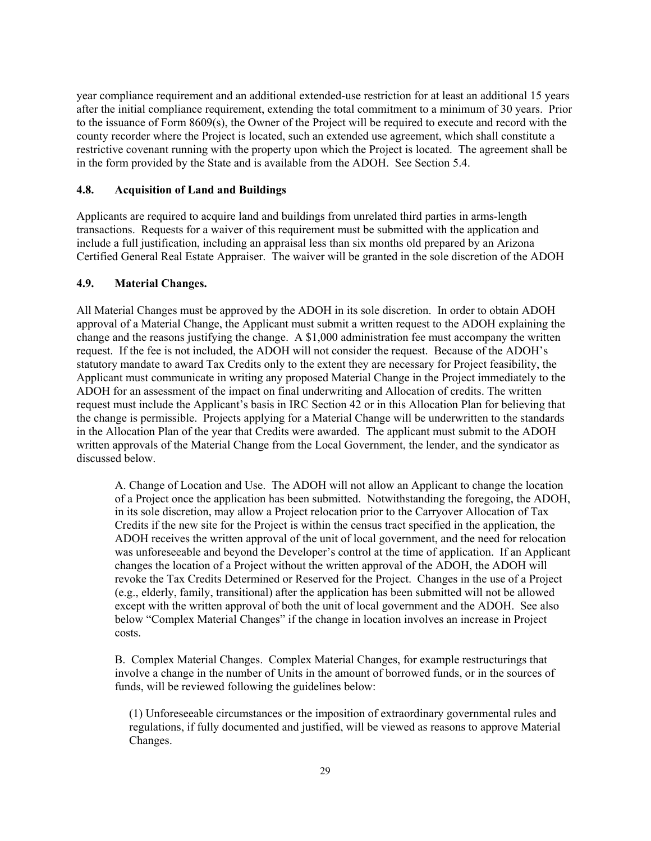year compliance requirement and an additional extended-use restriction for at least an additional 15 years after the initial compliance requirement, extending the total commitment to a minimum of 30 years. Prior to the issuance of Form 8609(s), the Owner of the Project will be required to execute and record with the county recorder where the Project is located, such an extended use agreement, which shall constitute a restrictive covenant running with the property upon which the Project is located. The agreement shall be in the form provided by the State and is available from the ADOH. See Section 5.4.

#### **4.8. Acquisition of Land and Buildings**

Applicants are required to acquire land and buildings from unrelated third parties in arms-length transactions. Requests for a waiver of this requirement must be submitted with the application and include a full justification, including an appraisal less than six months old prepared by an Arizona Certified General Real Estate Appraiser. The waiver will be granted in the sole discretion of the ADOH

#### **4.9. Material Changes.**

All Material Changes must be approved by the ADOH in its sole discretion. In order to obtain ADOH approval of a Material Change, the Applicant must submit a written request to the ADOH explaining the change and the reasons justifying the change. A \$1,000 administration fee must accompany the written request. If the fee is not included, the ADOH will not consider the request. Because of the ADOH's statutory mandate to award Tax Credits only to the extent they are necessary for Project feasibility, the Applicant must communicate in writing any proposed Material Change in the Project immediately to the ADOH for an assessment of the impact on final underwriting and Allocation of credits. The written request must include the Applicant's basis in IRC Section 42 or in this Allocation Plan for believing that the change is permissible. Projects applying for a Material Change will be underwritten to the standards in the Allocation Plan of the year that Credits were awarded. The applicant must submit to the ADOH written approvals of the Material Change from the Local Government, the lender, and the syndicator as discussed below.

A. Change of Location and Use. The ADOH will not allow an Applicant to change the location of a Project once the application has been submitted. Notwithstanding the foregoing, the ADOH, in its sole discretion, may allow a Project relocation prior to the Carryover Allocation of Tax Credits if the new site for the Project is within the census tract specified in the application, the ADOH receives the written approval of the unit of local government, and the need for relocation was unforeseeable and beyond the Developer's control at the time of application. If an Applicant changes the location of a Project without the written approval of the ADOH, the ADOH will revoke the Tax Credits Determined or Reserved for the Project. Changes in the use of a Project (e.g., elderly, family, transitional) after the application has been submitted will not be allowed except with the written approval of both the unit of local government and the ADOH. See also below "Complex Material Changes" if the change in location involves an increase in Project costs.

B. Complex Material Changes. Complex Material Changes, for example restructurings that involve a change in the number of Units in the amount of borrowed funds, or in the sources of funds, will be reviewed following the guidelines below:

(1) Unforeseeable circumstances or the imposition of extraordinary governmental rules and regulations, if fully documented and justified, will be viewed as reasons to approve Material Changes.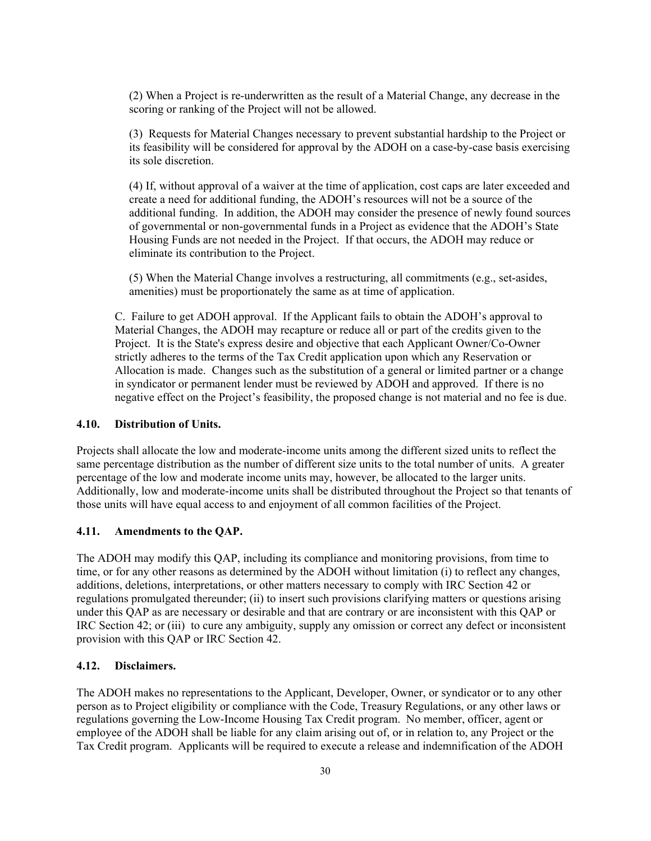(2) When a Project is re-underwritten as the result of a Material Change, any decrease in the scoring or ranking of the Project will not be allowed.

(3) Requests for Material Changes necessary to prevent substantial hardship to the Project or its feasibility will be considered for approval by the ADOH on a case-by-case basis exercising its sole discretion.

(4) If, without approval of a waiver at the time of application, cost caps are later exceeded and create a need for additional funding, the ADOH's resources will not be a source of the additional funding. In addition, the ADOH may consider the presence of newly found sources of governmental or non-governmental funds in a Project as evidence that the ADOH's State Housing Funds are not needed in the Project. If that occurs, the ADOH may reduce or eliminate its contribution to the Project.

(5) When the Material Change involves a restructuring, all commitments (e.g., set-asides, amenities) must be proportionately the same as at time of application.

C. Failure to get ADOH approval. If the Applicant fails to obtain the ADOH's approval to Material Changes, the ADOH may recapture or reduce all or part of the credits given to the Project. It is the State's express desire and objective that each Applicant Owner/Co-Owner strictly adheres to the terms of the Tax Credit application upon which any Reservation or Allocation is made. Changes such as the substitution of a general or limited partner or a change in syndicator or permanent lender must be reviewed by ADOH and approved. If there is no negative effect on the Project's feasibility, the proposed change is not material and no fee is due.

#### **4.10. Distribution of Units.**

Projects shall allocate the low and moderate-income units among the different sized units to reflect the same percentage distribution as the number of different size units to the total number of units. A greater percentage of the low and moderate income units may, however, be allocated to the larger units. Additionally, low and moderate-income units shall be distributed throughout the Project so that tenants of those units will have equal access to and enjoyment of all common facilities of the Project.

#### **4.11. Amendments to the QAP.**

The ADOH may modify this QAP, including its compliance and monitoring provisions, from time to time, or for any other reasons as determined by the ADOH without limitation (i) to reflect any changes, additions, deletions, interpretations, or other matters necessary to comply with IRC Section 42 or regulations promulgated thereunder; (ii) to insert such provisions clarifying matters or questions arising under this QAP as are necessary or desirable and that are contrary or are inconsistent with this QAP or IRC Section 42; or (iii) to cure any ambiguity, supply any omission or correct any defect or inconsistent provision with this QAP or IRC Section 42.

## **4.12. Disclaimers.**

The ADOH makes no representations to the Applicant, Developer, Owner, or syndicator or to any other person as to Project eligibility or compliance with the Code, Treasury Regulations, or any other laws or regulations governing the Low-Income Housing Tax Credit program. No member, officer, agent or employee of the ADOH shall be liable for any claim arising out of, or in relation to, any Project or the Tax Credit program. Applicants will be required to execute a release and indemnification of the ADOH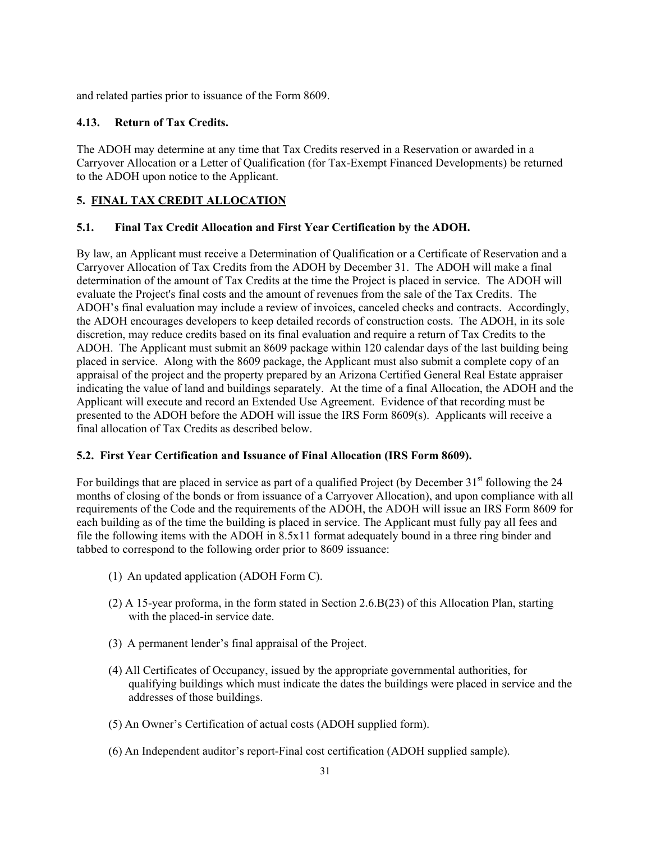and related parties prior to issuance of the Form 8609.

## **4.13. Return of Tax Credits.**

The ADOH may determine at any time that Tax Credits reserved in a Reservation or awarded in a Carryover Allocation or a Letter of Qualification (for Tax-Exempt Financed Developments) be returned to the ADOH upon notice to the Applicant.

## **5. FINAL TAX CREDIT ALLOCATION**

## **5.1. Final Tax Credit Allocation and First Year Certification by the ADOH.**

By law, an Applicant must receive a Determination of Qualification or a Certificate of Reservation and a Carryover Allocation of Tax Credits from the ADOH by December 31. The ADOH will make a final determination of the amount of Tax Credits at the time the Project is placed in service. The ADOH will evaluate the Project's final costs and the amount of revenues from the sale of the Tax Credits. The ADOH's final evaluation may include a review of invoices, canceled checks and contracts. Accordingly, the ADOH encourages developers to keep detailed records of construction costs. The ADOH, in its sole discretion, may reduce credits based on its final evaluation and require a return of Tax Credits to the ADOH. The Applicant must submit an 8609 package within 120 calendar days of the last building being placed in service. Along with the 8609 package, the Applicant must also submit a complete copy of an appraisal of the project and the property prepared by an Arizona Certified General Real Estate appraiser indicating the value of land and buildings separately. At the time of a final Allocation, the ADOH and the Applicant will execute and record an Extended Use Agreement. Evidence of that recording must be presented to the ADOH before the ADOH will issue the IRS Form 8609(s). Applicants will receive a final allocation of Tax Credits as described below.

## **5.2. First Year Certification and Issuance of Final Allocation (IRS Form 8609).**

For buildings that are placed in service as part of a qualified Project (by December  $31<sup>st</sup>$  following the 24 months of closing of the bonds or from issuance of a Carryover Allocation), and upon compliance with all requirements of the Code and the requirements of the ADOH, the ADOH will issue an IRS Form 8609 for each building as of the time the building is placed in service. The Applicant must fully pay all fees and file the following items with the ADOH in 8.5x11 format adequately bound in a three ring binder and tabbed to correspond to the following order prior to 8609 issuance:

- (1) An updated application (ADOH Form C).
- (2) A 15-year proforma, in the form stated in Section 2.6.B(23) of this Allocation Plan, starting with the placed-in service date.
- (3) A permanent lender's final appraisal of the Project.
- (4) All Certificates of Occupancy, issued by the appropriate governmental authorities, for qualifying buildings which must indicate the dates the buildings were placed in service and the addresses of those buildings.
- (5) An Owner's Certification of actual costs (ADOH supplied form).
- (6) An Independent auditor's report-Final cost certification (ADOH supplied sample).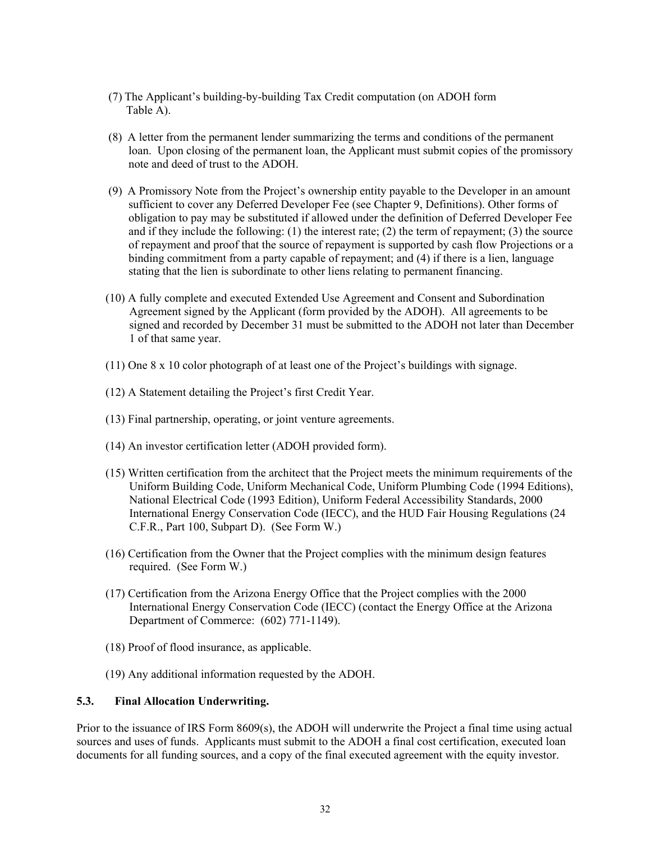- (7) The Applicant's building-by-building Tax Credit computation (on ADOH form Table A).
- (8) A letter from the permanent lender summarizing the terms and conditions of the permanent loan. Upon closing of the permanent loan, the Applicant must submit copies of the promissory note and deed of trust to the ADOH.
- (9) A Promissory Note from the Project's ownership entity payable to the Developer in an amount sufficient to cover any Deferred Developer Fee (see Chapter 9, Definitions). Other forms of obligation to pay may be substituted if allowed under the definition of Deferred Developer Fee and if they include the following:  $(1)$  the interest rate;  $(2)$  the term of repayment;  $(3)$  the source of repayment and proof that the source of repayment is supported by cash flow Projections or a binding commitment from a party capable of repayment; and (4) if there is a lien, language stating that the lien is subordinate to other liens relating to permanent financing.
- (10) A fully complete and executed Extended Use Agreement and Consent and Subordination Agreement signed by the Applicant (form provided by the ADOH). All agreements to be signed and recorded by December 31 must be submitted to the ADOH not later than December 1 of that same year.
- (11) One 8 x 10 color photograph of at least one of the Project's buildings with signage.
- (12) A Statement detailing the Project's first Credit Year.
- (13) Final partnership, operating, or joint venture agreements.
- (14) An investor certification letter (ADOH provided form).
- (15) Written certification from the architect that the Project meets the minimum requirements of the Uniform Building Code, Uniform Mechanical Code, Uniform Plumbing Code (1994 Editions), National Electrical Code (1993 Edition), Uniform Federal Accessibility Standards, 2000 International Energy Conservation Code (IECC), and the HUD Fair Housing Regulations (24 C.F.R., Part 100, Subpart D). (See Form W.)
- (16) Certification from the Owner that the Project complies with the minimum design features required. (See Form W.)
- (17) Certification from the Arizona Energy Office that the Project complies with the 2000 International Energy Conservation Code (IECC) (contact the Energy Office at the Arizona Department of Commerce: (602) 771-1149).
- (18) Proof of flood insurance, as applicable.
- (19) Any additional information requested by the ADOH.

## **5.3. Final Allocation Underwriting.**

Prior to the issuance of IRS Form 8609(s), the ADOH will underwrite the Project a final time using actual sources and uses of funds. Applicants must submit to the ADOH a final cost certification, executed loan documents for all funding sources, and a copy of the final executed agreement with the equity investor.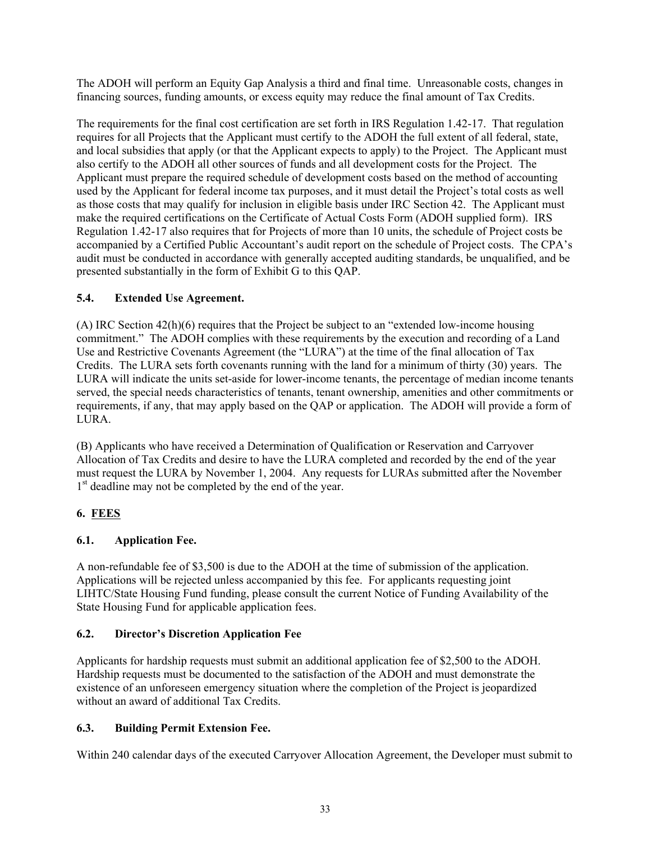The ADOH will perform an Equity Gap Analysis a third and final time. Unreasonable costs, changes in financing sources, funding amounts, or excess equity may reduce the final amount of Tax Credits.

The requirements for the final cost certification are set forth in IRS Regulation 1.42-17. That regulation requires for all Projects that the Applicant must certify to the ADOH the full extent of all federal, state, and local subsidies that apply (or that the Applicant expects to apply) to the Project. The Applicant must also certify to the ADOH all other sources of funds and all development costs for the Project. The Applicant must prepare the required schedule of development costs based on the method of accounting used by the Applicant for federal income tax purposes, and it must detail the Project's total costs as well as those costs that may qualify for inclusion in eligible basis under IRC Section 42. The Applicant must make the required certifications on the Certificate of Actual Costs Form (ADOH supplied form). IRS Regulation 1.42-17 also requires that for Projects of more than 10 units, the schedule of Project costs be accompanied by a Certified Public Accountant's audit report on the schedule of Project costs. The CPA's audit must be conducted in accordance with generally accepted auditing standards, be unqualified, and be presented substantially in the form of Exhibit G to this QAP.

## **5.4. Extended Use Agreement.**

(A) IRC Section 42(h)(6) requires that the Project be subject to an "extended low-income housing commitment." The ADOH complies with these requirements by the execution and recording of a Land Use and Restrictive Covenants Agreement (the "LURA") at the time of the final allocation of Tax Credits. The LURA sets forth covenants running with the land for a minimum of thirty (30) years. The LURA will indicate the units set-aside for lower-income tenants, the percentage of median income tenants served, the special needs characteristics of tenants, tenant ownership, amenities and other commitments or requirements, if any, that may apply based on the QAP or application. The ADOH will provide a form of LURA.

(B) Applicants who have received a Determination of Qualification or Reservation and Carryover Allocation of Tax Credits and desire to have the LURA completed and recorded by the end of the year must request the LURA by November 1, 2004. Any requests for LURAs submitted after the November 1<sup>st</sup> deadline may not be completed by the end of the year.

## **6. FEES**

## **6.1. Application Fee.**

A non-refundable fee of \$3,500 is due to the ADOH at the time of submission of the application. Applications will be rejected unless accompanied by this fee. For applicants requesting joint LIHTC/State Housing Fund funding, please consult the current Notice of Funding Availability of the State Housing Fund for applicable application fees.

## **6.2. Director's Discretion Application Fee**

Applicants for hardship requests must submit an additional application fee of \$2,500 to the ADOH. Hardship requests must be documented to the satisfaction of the ADOH and must demonstrate the existence of an unforeseen emergency situation where the completion of the Project is jeopardized without an award of additional Tax Credits.

## **6.3. Building Permit Extension Fee.**

Within 240 calendar days of the executed Carryover Allocation Agreement, the Developer must submit to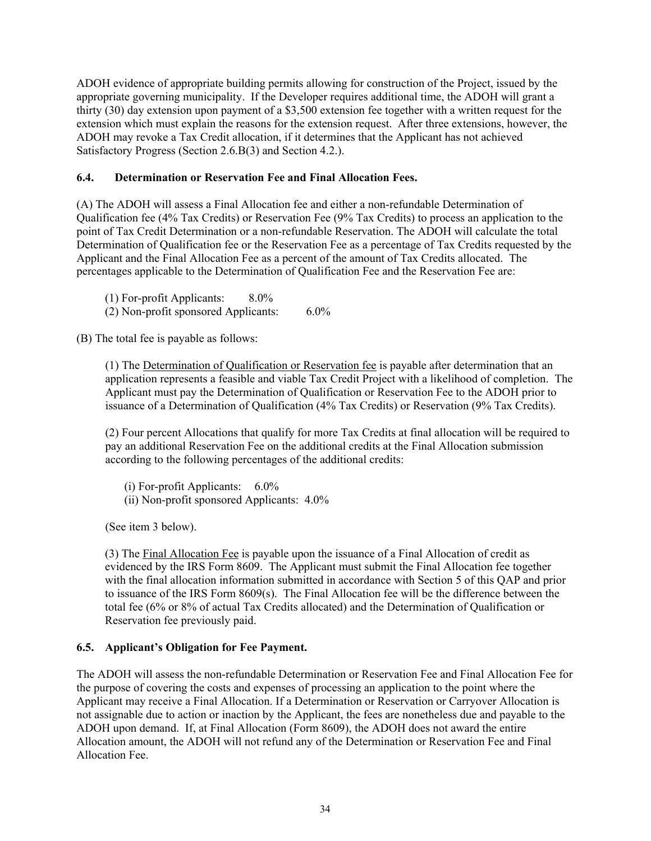ADOH evidence of appropriate building permits allowing for construction of the Project, issued by the appropriate governing municipality. If the Developer requires additional time, the ADOH will grant a thirty (30) day extension upon payment of a \$3,500 extension fee together with a written request for the extension which must explain the reasons for the extension request. After three extensions, however, the ADOH may revoke a Tax Credit allocation, if it determines that the Applicant has not achieved Satisfactory Progress (Section 2.6.B(3) and Section 4.2.).

## **6.4. Determination or Reservation Fee and Final Allocation Fees.**

(A) The ADOH will assess a Final Allocation fee and either a non-refundable Determination of Qualification fee (4% Tax Credits) or Reservation Fee (9% Tax Credits) to process an application to the point of Tax Credit Determination or a non-refundable Reservation. The ADOH will calculate the total Determination of Qualification fee or the Reservation Fee as a percentage of Tax Credits requested by the Applicant and the Final Allocation Fee as a percent of the amount of Tax Credits allocated. The percentages applicable to the Determination of Qualification Fee and the Reservation Fee are:

- (1) For-profit Applicants: 8.0%
- (2) Non-profit sponsored Applicants: 6.0%

(B) The total fee is payable as follows:

(1) The Determination of Qualification or Reservation fee is payable after determination that an application represents a feasible and viable Tax Credit Project with a likelihood of completion. The Applicant must pay the Determination of Qualification or Reservation Fee to the ADOH prior to issuance of a Determination of Qualification (4% Tax Credits) or Reservation (9% Tax Credits).

(2) Four percent Allocations that qualify for more Tax Credits at final allocation will be required to pay an additional Reservation Fee on the additional credits at the Final Allocation submission according to the following percentages of the additional credits:

(i) For-profit Applicants: 6.0% (ii) Non-profit sponsored Applicants: 4.0%

(See item 3 below).

(3) The Final Allocation Fee is payable upon the issuance of a Final Allocation of credit as evidenced by the IRS Form 8609. The Applicant must submit the Final Allocation fee together with the final allocation information submitted in accordance with Section 5 of this QAP and prior to issuance of the IRS Form 8609(s). The Final Allocation fee will be the difference between the total fee (6% or 8% of actual Tax Credits allocated) and the Determination of Qualification or Reservation fee previously paid.

## **6.5. Applicant's Obligation for Fee Payment.**

The ADOH will assess the non-refundable Determination or Reservation Fee and Final Allocation Fee for the purpose of covering the costs and expenses of processing an application to the point where the Applicant may receive a Final Allocation. If a Determination or Reservation or Carryover Allocation is not assignable due to action or inaction by the Applicant, the fees are nonetheless due and payable to the ADOH upon demand. If, at Final Allocation (Form 8609), the ADOH does not award the entire Allocation amount, the ADOH will not refund any of the Determination or Reservation Fee and Final Allocation Fee.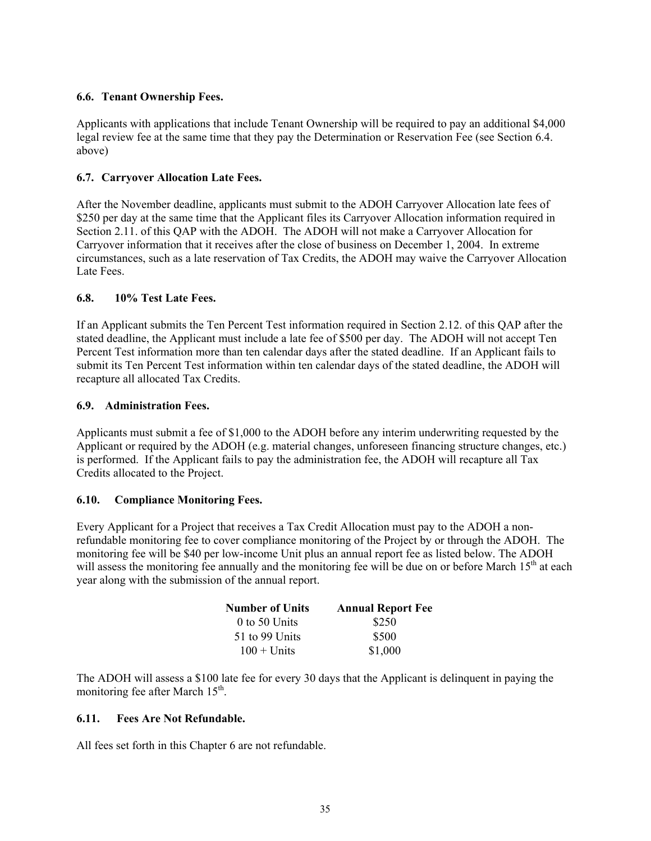## **6.6. Tenant Ownership Fees.**

Applicants with applications that include Tenant Ownership will be required to pay an additional \$4,000 legal review fee at the same time that they pay the Determination or Reservation Fee (see Section 6.4. above)

## **6.7. Carryover Allocation Late Fees.**

After the November deadline, applicants must submit to the ADOH Carryover Allocation late fees of \$250 per day at the same time that the Applicant files its Carryover Allocation information required in Section 2.11. of this QAP with the ADOH. The ADOH will not make a Carryover Allocation for Carryover information that it receives after the close of business on December 1, 2004. In extreme circumstances, such as a late reservation of Tax Credits, the ADOH may waive the Carryover Allocation Late Fees.

## **6.8. 10% Test Late Fees.**

If an Applicant submits the Ten Percent Test information required in Section 2.12. of this QAP after the stated deadline, the Applicant must include a late fee of \$500 per day. The ADOH will not accept Ten Percent Test information more than ten calendar days after the stated deadline. If an Applicant fails to submit its Ten Percent Test information within ten calendar days of the stated deadline, the ADOH will recapture all allocated Tax Credits.

## **6.9. Administration Fees.**

Applicants must submit a fee of \$1,000 to the ADOH before any interim underwriting requested by the Applicant or required by the ADOH (e.g. material changes, unforeseen financing structure changes, etc.) is performed. If the Applicant fails to pay the administration fee, the ADOH will recapture all Tax Credits allocated to the Project.

## **6.10. Compliance Monitoring Fees.**

Every Applicant for a Project that receives a Tax Credit Allocation must pay to the ADOH a nonrefundable monitoring fee to cover compliance monitoring of the Project by or through the ADOH. The monitoring fee will be \$40 per low-income Unit plus an annual report fee as listed below. The ADOH will assess the monitoring fee annually and the monitoring fee will be due on or before March 15<sup>th</sup> at each year along with the submission of the annual report.

| <b>Number of Units</b> | <b>Annual Report Fee</b> |  |  |  |
|------------------------|--------------------------|--|--|--|
| $0$ to 50 Units        | \$250                    |  |  |  |
| 51 to 99 Units         | \$500                    |  |  |  |
| $100 +$ Units          | \$1,000                  |  |  |  |

The ADOH will assess a \$100 late fee for every 30 days that the Applicant is delinquent in paying the monitoring fee after March  $15<sup>th</sup>$ .

## **6.11. Fees Are Not Refundable.**

All fees set forth in this Chapter 6 are not refundable.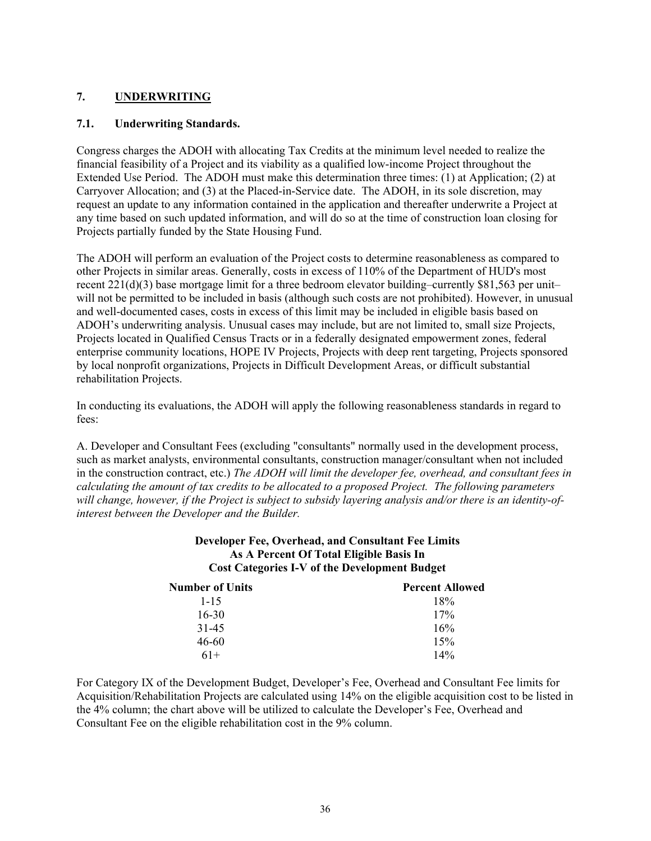## **7. UNDERWRITING**

## **7.1. Underwriting Standards.**

Congress charges the ADOH with allocating Tax Credits at the minimum level needed to realize the financial feasibility of a Project and its viability as a qualified low-income Project throughout the Extended Use Period. The ADOH must make this determination three times: (1) at Application; (2) at Carryover Allocation; and (3) at the Placed-in-Service date. The ADOH, in its sole discretion, may request an update to any information contained in the application and thereafter underwrite a Project at any time based on such updated information, and will do so at the time of construction loan closing for Projects partially funded by the State Housing Fund.

The ADOH will perform an evaluation of the Project costs to determine reasonableness as compared to other Projects in similar areas. Generally, costs in excess of 110% of the Department of HUD's most recent 221(d)(3) base mortgage limit for a three bedroom elevator building–currently \$81,563 per unit– will not be permitted to be included in basis (although such costs are not prohibited). However, in unusual and well-documented cases, costs in excess of this limit may be included in eligible basis based on ADOH's underwriting analysis. Unusual cases may include, but are not limited to, small size Projects, Projects located in Qualified Census Tracts or in a federally designated empowerment zones, federal enterprise community locations, HOPE IV Projects, Projects with deep rent targeting, Projects sponsored by local nonprofit organizations, Projects in Difficult Development Areas, or difficult substantial rehabilitation Projects.

In conducting its evaluations, the ADOH will apply the following reasonableness standards in regard to fees:

A. Developer and Consultant Fees (excluding "consultants" normally used in the development process, such as market analysts, environmental consultants, construction manager/consultant when not included in the construction contract, etc.) *The ADOH will limit the developer fee, overhead, and consultant fees in calculating the amount of tax credits to be allocated to a proposed Project. The following parameters will change, however, if the Project is subject to subsidy layering analysis and/or there is an identity-ofinterest between the Developer and the Builder.*

#### **Developer Fee, Overhead, and Consultant Fee Limits As A Percent Of Total Eligible Basis In Cost Categories I-V of the Development Budget**

| <b>Number of Units</b> | <b>Percent Allowed</b> |  |  |  |
|------------------------|------------------------|--|--|--|
| $1 - 15$               | 18%                    |  |  |  |
| $16 - 30$              | 17%                    |  |  |  |
| 31-45                  | 16%                    |  |  |  |
| 46-60                  | 15%                    |  |  |  |
| $61+$                  | 14%                    |  |  |  |

For Category IX of the Development Budget, Developer's Fee, Overhead and Consultant Fee limits for Acquisition/Rehabilitation Projects are calculated using 14% on the eligible acquisition cost to be listed in the 4% column; the chart above will be utilized to calculate the Developer's Fee, Overhead and Consultant Fee on the eligible rehabilitation cost in the 9% column.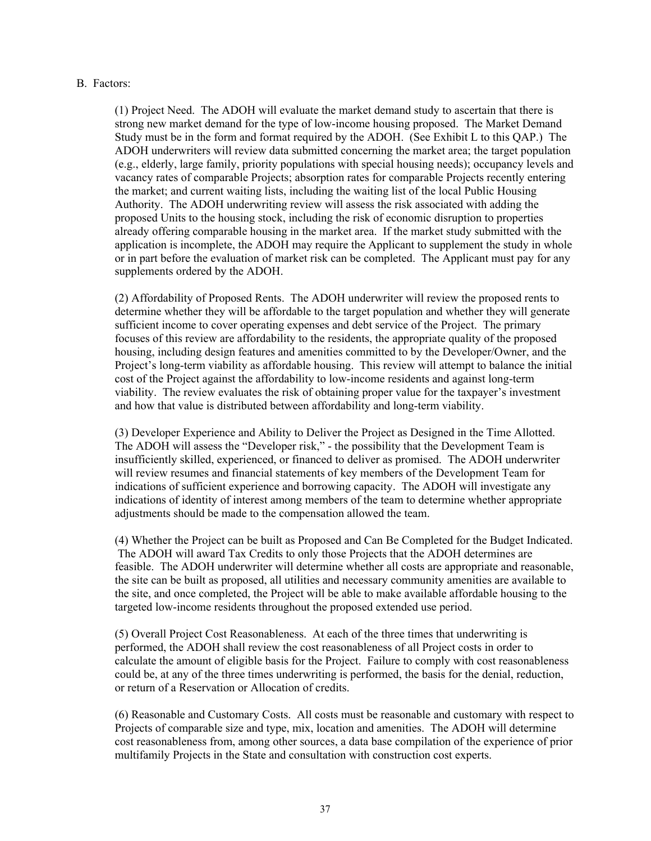#### B. Factors:

(1) Project Need. The ADOH will evaluate the market demand study to ascertain that there is strong new market demand for the type of low-income housing proposed. The Market Demand Study must be in the form and format required by the ADOH. (See Exhibit L to this QAP.) The ADOH underwriters will review data submitted concerning the market area; the target population (e.g., elderly, large family, priority populations with special housing needs); occupancy levels and vacancy rates of comparable Projects; absorption rates for comparable Projects recently entering the market; and current waiting lists, including the waiting list of the local Public Housing Authority. The ADOH underwriting review will assess the risk associated with adding the proposed Units to the housing stock, including the risk of economic disruption to properties already offering comparable housing in the market area. If the market study submitted with the application is incomplete, the ADOH may require the Applicant to supplement the study in whole or in part before the evaluation of market risk can be completed. The Applicant must pay for any supplements ordered by the ADOH.

(2) Affordability of Proposed Rents. The ADOH underwriter will review the proposed rents to determine whether they will be affordable to the target population and whether they will generate sufficient income to cover operating expenses and debt service of the Project. The primary focuses of this review are affordability to the residents, the appropriate quality of the proposed housing, including design features and amenities committed to by the Developer/Owner, and the Project's long-term viability as affordable housing. This review will attempt to balance the initial cost of the Project against the affordability to low-income residents and against long-term viability. The review evaluates the risk of obtaining proper value for the taxpayer's investment and how that value is distributed between affordability and long-term viability.

(3) Developer Experience and Ability to Deliver the Project as Designed in the Time Allotted. The ADOH will assess the "Developer risk," - the possibility that the Development Team is insufficiently skilled, experienced, or financed to deliver as promised. The ADOH underwriter will review resumes and financial statements of key members of the Development Team for indications of sufficient experience and borrowing capacity. The ADOH will investigate any indications of identity of interest among members of the team to determine whether appropriate adjustments should be made to the compensation allowed the team.

(4) Whether the Project can be built as Proposed and Can Be Completed for the Budget Indicated. The ADOH will award Tax Credits to only those Projects that the ADOH determines are feasible. The ADOH underwriter will determine whether all costs are appropriate and reasonable, the site can be built as proposed, all utilities and necessary community amenities are available to the site, and once completed, the Project will be able to make available affordable housing to the targeted low-income residents throughout the proposed extended use period.

(5) Overall Project Cost Reasonableness. At each of the three times that underwriting is performed, the ADOH shall review the cost reasonableness of all Project costs in order to calculate the amount of eligible basis for the Project. Failure to comply with cost reasonableness could be, at any of the three times underwriting is performed, the basis for the denial, reduction, or return of a Reservation or Allocation of credits.

(6) Reasonable and Customary Costs. All costs must be reasonable and customary with respect to Projects of comparable size and type, mix, location and amenities. The ADOH will determine cost reasonableness from, among other sources, a data base compilation of the experience of prior multifamily Projects in the State and consultation with construction cost experts.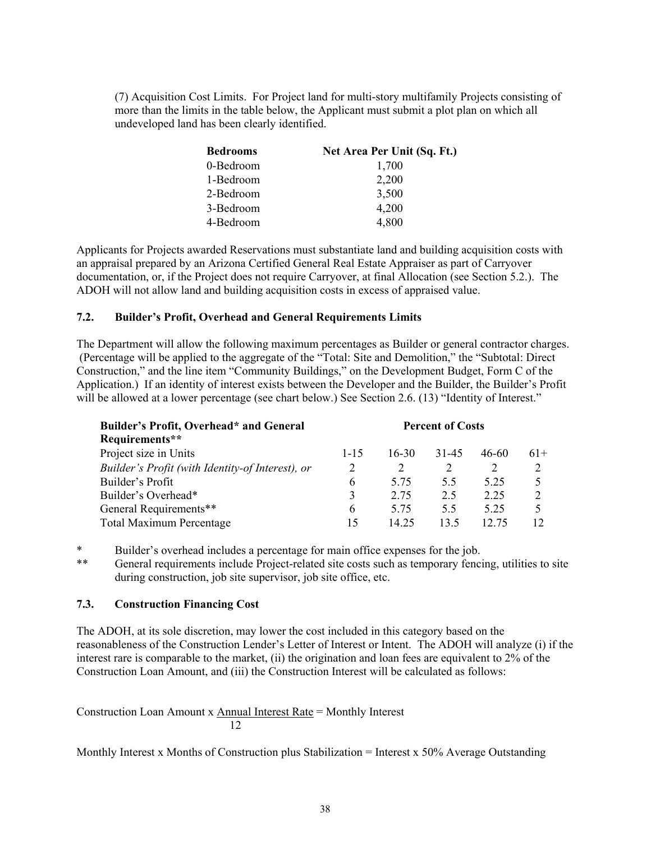(7) Acquisition Cost Limits. For Project land for multi-story multifamily Projects consisting of more than the limits in the table below, the Applicant must submit a plot plan on which all undeveloped land has been clearly identified.

| <b>Bedrooms</b> | Net Area Per Unit (Sq. Ft.) |
|-----------------|-----------------------------|
| 0-Bedroom       | 1,700                       |
| 1-Bedroom       | 2,200                       |
| 2-Bedroom       | 3,500                       |
| 3-Bedroom       | 4,200                       |
| 4-Bedroom       | 4,800                       |

Applicants for Projects awarded Reservations must substantiate land and building acquisition costs with an appraisal prepared by an Arizona Certified General Real Estate Appraiser as part of Carryover documentation, or, if the Project does not require Carryover, at final Allocation (see Section 5.2.). The ADOH will not allow land and building acquisition costs in excess of appraised value.

#### **7.2. Builder's Profit, Overhead and General Requirements Limits**

The Department will allow the following maximum percentages as Builder or general contractor charges. (Percentage will be applied to the aggregate of the "Total: Site and Demolition," the "Subtotal: Direct Construction," and the line item "Community Buildings," on the Development Budget, Form C of the Application.) If an identity of interest exists between the Developer and the Builder, the Builder's Profit will be allowed at a lower percentage (see chart below.) See Section 2.6. (13) "Identity of Interest."

| Builder's Profit, Overhead* and General          | <b>Percent of Costs</b> |       |       |       |       |
|--------------------------------------------------|-------------------------|-------|-------|-------|-------|
| Requirements**                                   |                         |       |       |       |       |
| Project size in Units                            | $1 - 15$                | 16-30 | 31-45 | 46-60 | $61+$ |
| Builder's Profit (with Identity-of Interest), or | 2                       |       |       | 2     |       |
| Builder's Profit                                 | 6                       | 5.75  | 55    | 5 2 5 |       |
| Builder's Overhead*                              | 3                       | 2.75  | 2.5   | 2.25  |       |
| General Requirements**                           | 6                       | 5 75  | 55    | 5 2 5 |       |
| <b>Total Maximum Percentage</b>                  | 15                      | 14 25 | 13.5  | 12 75 |       |

\* Builder's overhead includes a percentage for main office expenses for the job.<br>\*\* General requirements include Project-related site costs such as temporary fenc General requirements include Project-related site costs such as temporary fencing, utilities to site during construction, job site supervisor, job site office, etc.

## **7.3. Construction Financing Cost**

The ADOH, at its sole discretion, may lower the cost included in this category based on the reasonableness of the Construction Lender's Letter of Interest or Intent. The ADOH will analyze (i) if the interest rare is comparable to the market, (ii) the origination and loan fees are equivalent to 2% of the Construction Loan Amount, and (iii) the Construction Interest will be calculated as follows:

Construction Loan Amount x Annual Interest Rate = Monthly Interest 12

Monthly Interest x Months of Construction plus Stabilization = Interest x 50% Average Outstanding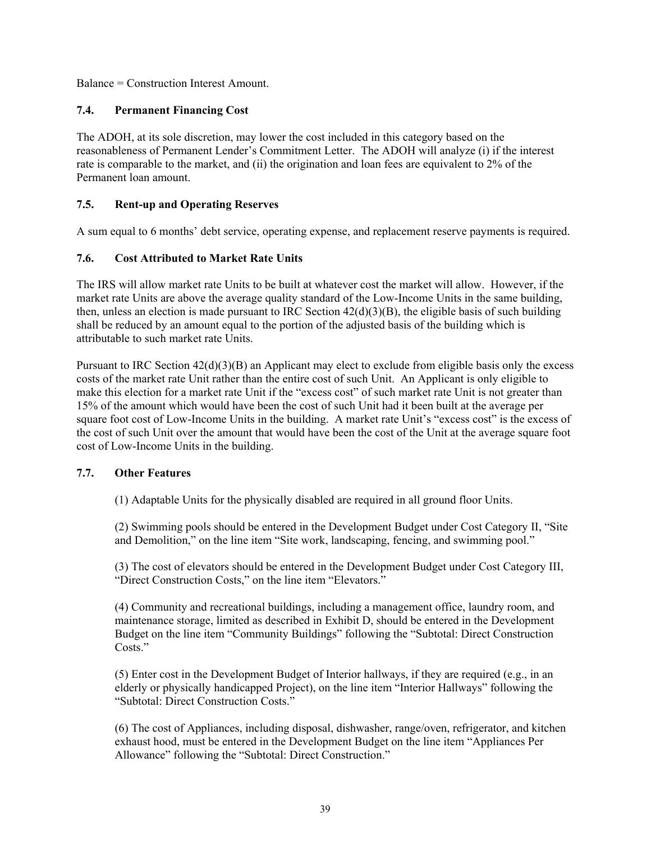Balance = Construction Interest Amount.

## **7.4. Permanent Financing Cost**

The ADOH, at its sole discretion, may lower the cost included in this category based on the reasonableness of Permanent Lender's Commitment Letter. The ADOH will analyze (i) if the interest rate is comparable to the market, and (ii) the origination and loan fees are equivalent to 2% of the Permanent loan amount.

## **7.5. Rent-up and Operating Reserves**

A sum equal to 6 months' debt service, operating expense, and replacement reserve payments is required.

## **7.6. Cost Attributed to Market Rate Units**

The IRS will allow market rate Units to be built at whatever cost the market will allow. However, if the market rate Units are above the average quality standard of the Low-Income Units in the same building, then, unless an election is made pursuant to IRC Section  $42(d)(3)(B)$ , the eligible basis of such building shall be reduced by an amount equal to the portion of the adjusted basis of the building which is attributable to such market rate Units.

Pursuant to IRC Section  $42(d)(3)(B)$  an Applicant may elect to exclude from eligible basis only the excess costs of the market rate Unit rather than the entire cost of such Unit. An Applicant is only eligible to make this election for a market rate Unit if the "excess cost" of such market rate Unit is not greater than 15% of the amount which would have been the cost of such Unit had it been built at the average per square foot cost of Low-Income Units in the building. A market rate Unit's "excess cost" is the excess of the cost of such Unit over the amount that would have been the cost of the Unit at the average square foot cost of Low-Income Units in the building.

## **7.7. Other Features**

(1) Adaptable Units for the physically disabled are required in all ground floor Units.

(2) Swimming pools should be entered in the Development Budget under Cost Category II, "Site and Demolition," on the line item "Site work, landscaping, fencing, and swimming pool."

(3) The cost of elevators should be entered in the Development Budget under Cost Category III, "Direct Construction Costs," on the line item "Elevators."

(4) Community and recreational buildings, including a management office, laundry room, and maintenance storage, limited as described in Exhibit D, should be entered in the Development Budget on the line item "Community Buildings" following the "Subtotal: Direct Construction Costs."

(5) Enter cost in the Development Budget of Interior hallways, if they are required (e.g., in an elderly or physically handicapped Project), on the line item "Interior Hallways" following the "Subtotal: Direct Construction Costs."

(6) The cost of Appliances, including disposal, dishwasher, range/oven, refrigerator, and kitchen exhaust hood, must be entered in the Development Budget on the line item "Appliances Per Allowance" following the "Subtotal: Direct Construction."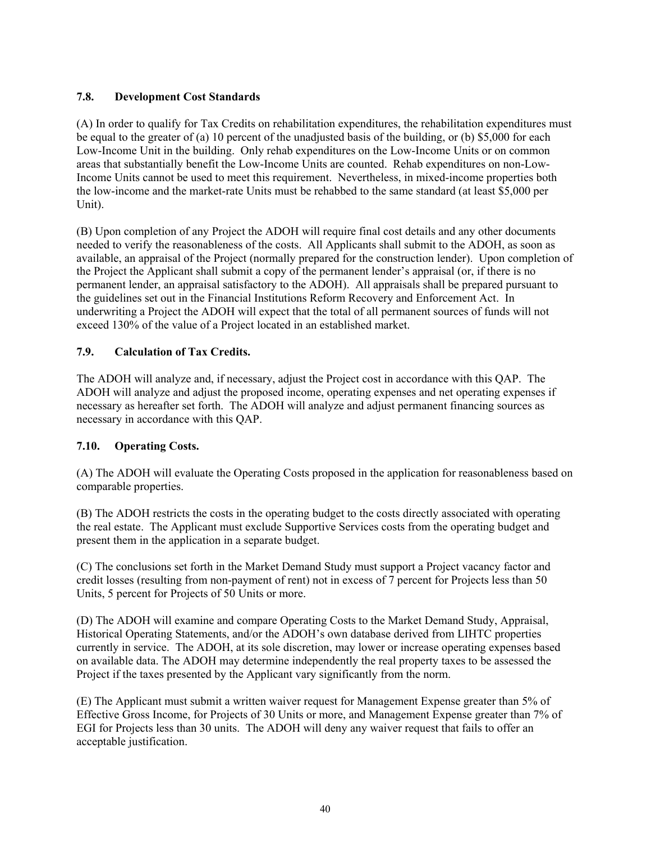## **7.8. Development Cost Standards**

(A) In order to qualify for Tax Credits on rehabilitation expenditures, the rehabilitation expenditures must be equal to the greater of (a) 10 percent of the unadjusted basis of the building, or (b) \$5,000 for each Low-Income Unit in the building. Only rehab expenditures on the Low-Income Units or on common areas that substantially benefit the Low-Income Units are counted. Rehab expenditures on non-Low-Income Units cannot be used to meet this requirement. Nevertheless, in mixed-income properties both the low-income and the market-rate Units must be rehabbed to the same standard (at least \$5,000 per Unit).

(B) Upon completion of any Project the ADOH will require final cost details and any other documents needed to verify the reasonableness of the costs. All Applicants shall submit to the ADOH, as soon as available, an appraisal of the Project (normally prepared for the construction lender). Upon completion of the Project the Applicant shall submit a copy of the permanent lender's appraisal (or, if there is no permanent lender, an appraisal satisfactory to the ADOH). All appraisals shall be prepared pursuant to the guidelines set out in the Financial Institutions Reform Recovery and Enforcement Act. In underwriting a Project the ADOH will expect that the total of all permanent sources of funds will not exceed 130% of the value of a Project located in an established market.

## **7.9. Calculation of Tax Credits.**

The ADOH will analyze and, if necessary, adjust the Project cost in accordance with this QAP. The ADOH will analyze and adjust the proposed income, operating expenses and net operating expenses if necessary as hereafter set forth. The ADOH will analyze and adjust permanent financing sources as necessary in accordance with this QAP.

## **7.10. Operating Costs.**

(A) The ADOH will evaluate the Operating Costs proposed in the application for reasonableness based on comparable properties.

(B) The ADOH restricts the costs in the operating budget to the costs directly associated with operating the real estate. The Applicant must exclude Supportive Services costs from the operating budget and present them in the application in a separate budget.

(C) The conclusions set forth in the Market Demand Study must support a Project vacancy factor and credit losses (resulting from non-payment of rent) not in excess of 7 percent for Projects less than 50 Units, 5 percent for Projects of 50 Units or more.

(D) The ADOH will examine and compare Operating Costs to the Market Demand Study, Appraisal, Historical Operating Statements, and/or the ADOH's own database derived from LIHTC properties currently in service. The ADOH, at its sole discretion, may lower or increase operating expenses based on available data. The ADOH may determine independently the real property taxes to be assessed the Project if the taxes presented by the Applicant vary significantly from the norm.

(E) The Applicant must submit a written waiver request for Management Expense greater than 5% of Effective Gross Income, for Projects of 30 Units or more, and Management Expense greater than 7% of EGI for Projects less than 30 units. The ADOH will deny any waiver request that fails to offer an acceptable justification.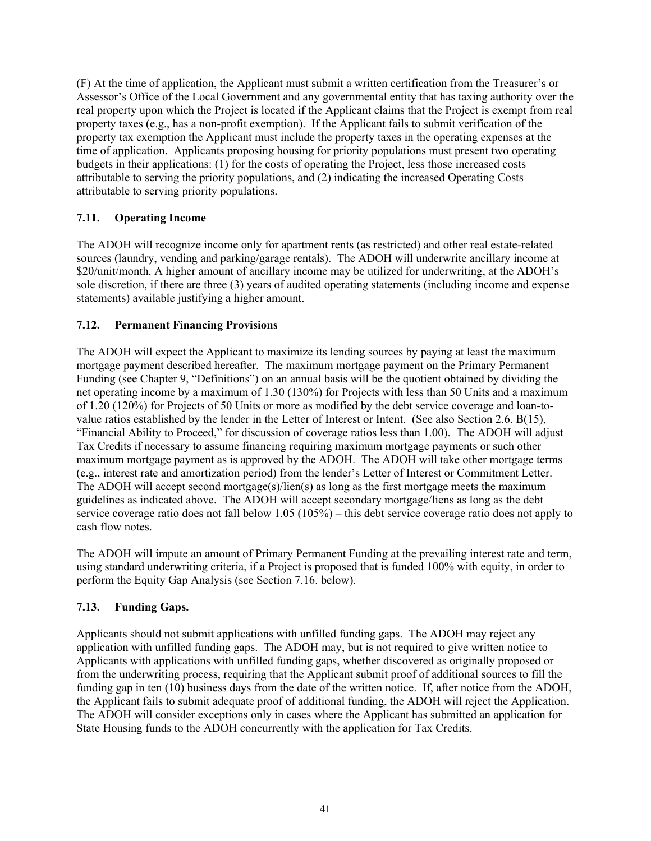(F) At the time of application, the Applicant must submit a written certification from the Treasurer's or Assessor's Office of the Local Government and any governmental entity that has taxing authority over the real property upon which the Project is located if the Applicant claims that the Project is exempt from real property taxes (e.g., has a non-profit exemption). If the Applicant fails to submit verification of the property tax exemption the Applicant must include the property taxes in the operating expenses at the time of application. Applicants proposing housing for priority populations must present two operating budgets in their applications: (1) for the costs of operating the Project, less those increased costs attributable to serving the priority populations, and (2) indicating the increased Operating Costs attributable to serving priority populations.

## **7.11. Operating Income**

The ADOH will recognize income only for apartment rents (as restricted) and other real estate-related sources (laundry, vending and parking/garage rentals). The ADOH will underwrite ancillary income at \$20/unit/month. A higher amount of ancillary income may be utilized for underwriting, at the ADOH's sole discretion, if there are three (3) years of audited operating statements (including income and expense statements) available justifying a higher amount.

## **7.12. Permanent Financing Provisions**

The ADOH will expect the Applicant to maximize its lending sources by paying at least the maximum mortgage payment described hereafter. The maximum mortgage payment on the Primary Permanent Funding (see Chapter 9, "Definitions") on an annual basis will be the quotient obtained by dividing the net operating income by a maximum of 1.30 (130%) for Projects with less than 50 Units and a maximum of 1.20 (120%) for Projects of 50 Units or more as modified by the debt service coverage and loan-tovalue ratios established by the lender in the Letter of Interest or Intent. (See also Section 2.6. B(15), "Financial Ability to Proceed," for discussion of coverage ratios less than 1.00). The ADOH will adjust Tax Credits if necessary to assume financing requiring maximum mortgage payments or such other maximum mortgage payment as is approved by the ADOH. The ADOH will take other mortgage terms (e.g., interest rate and amortization period) from the lender's Letter of Interest or Commitment Letter. The ADOH will accept second mortgage(s)/lien(s) as long as the first mortgage meets the maximum guidelines as indicated above. The ADOH will accept secondary mortgage/liens as long as the debt service coverage ratio does not fall below 1.05 (105%) – this debt service coverage ratio does not apply to cash flow notes.

The ADOH will impute an amount of Primary Permanent Funding at the prevailing interest rate and term, using standard underwriting criteria, if a Project is proposed that is funded 100% with equity, in order to perform the Equity Gap Analysis (see Section 7.16. below).

## **7.13. Funding Gaps.**

Applicants should not submit applications with unfilled funding gaps. The ADOH may reject any application with unfilled funding gaps. The ADOH may, but is not required to give written notice to Applicants with applications with unfilled funding gaps, whether discovered as originally proposed or from the underwriting process, requiring that the Applicant submit proof of additional sources to fill the funding gap in ten (10) business days from the date of the written notice. If, after notice from the ADOH, the Applicant fails to submit adequate proof of additional funding, the ADOH will reject the Application. The ADOH will consider exceptions only in cases where the Applicant has submitted an application for State Housing funds to the ADOH concurrently with the application for Tax Credits.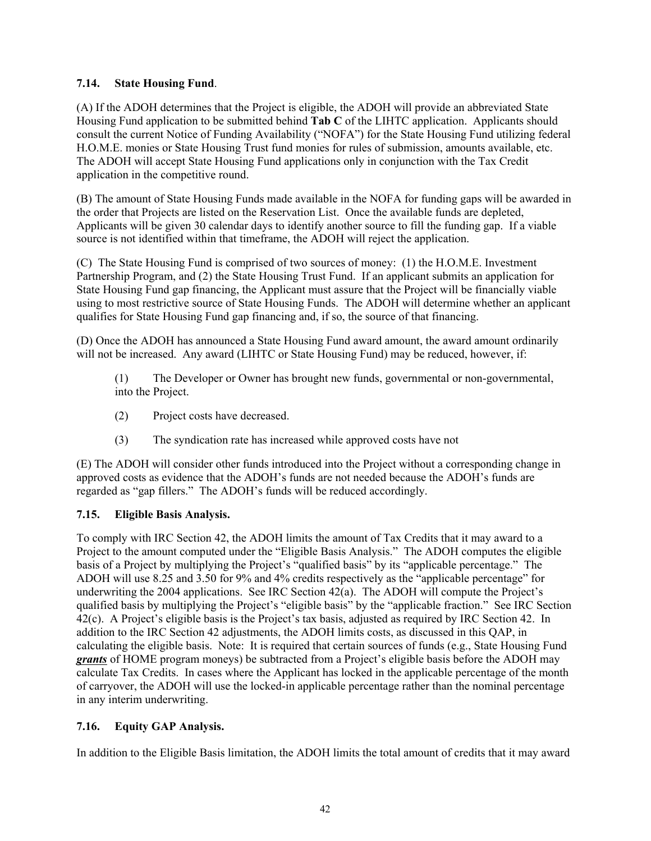## **7.14. State Housing Fund**.

(A) If the ADOH determines that the Project is eligible, the ADOH will provide an abbreviated State Housing Fund application to be submitted behind **Tab C** of the LIHTC application. Applicants should consult the current Notice of Funding Availability ("NOFA") for the State Housing Fund utilizing federal H.O.M.E. monies or State Housing Trust fund monies for rules of submission, amounts available, etc. The ADOH will accept State Housing Fund applications only in conjunction with the Tax Credit application in the competitive round.

(B) The amount of State Housing Funds made available in the NOFA for funding gaps will be awarded in the order that Projects are listed on the Reservation List. Once the available funds are depleted, Applicants will be given 30 calendar days to identify another source to fill the funding gap. If a viable source is not identified within that timeframe, the ADOH will reject the application.

(C) The State Housing Fund is comprised of two sources of money: (1) the H.O.M.E. Investment Partnership Program, and (2) the State Housing Trust Fund. If an applicant submits an application for State Housing Fund gap financing, the Applicant must assure that the Project will be financially viable using to most restrictive source of State Housing Funds. The ADOH will determine whether an applicant qualifies for State Housing Fund gap financing and, if so, the source of that financing.

(D) Once the ADOH has announced a State Housing Fund award amount, the award amount ordinarily will not be increased. Any award (LIHTC or State Housing Fund) may be reduced, however, if:

(1) The Developer or Owner has brought new funds, governmental or non-governmental, into the Project.

- (2) Project costs have decreased.
- (3) The syndication rate has increased while approved costs have not

(E) The ADOH will consider other funds introduced into the Project without a corresponding change in approved costs as evidence that the ADOH's funds are not needed because the ADOH's funds are regarded as "gap fillers." The ADOH's funds will be reduced accordingly.

## **7.15. Eligible Basis Analysis.**

To comply with IRC Section 42, the ADOH limits the amount of Tax Credits that it may award to a Project to the amount computed under the "Eligible Basis Analysis." The ADOH computes the eligible basis of a Project by multiplying the Project's "qualified basis" by its "applicable percentage." The ADOH will use 8.25 and 3.50 for 9% and 4% credits respectively as the "applicable percentage" for underwriting the 2004 applications. See IRC Section  $42(a)$ . The ADOH will compute the Project's qualified basis by multiplying the Project's "eligible basis" by the "applicable fraction." See IRC Section 42(c). A Project's eligible basis is the Project's tax basis, adjusted as required by IRC Section 42. In addition to the IRC Section 42 adjustments, the ADOH limits costs, as discussed in this QAP, in calculating the eligible basis. Note: It is required that certain sources of funds (e.g., State Housing Fund *grants* of HOME program moneys) be subtracted from a Project's eligible basis before the ADOH may calculate Tax Credits. In cases where the Applicant has locked in the applicable percentage of the month of carryover, the ADOH will use the locked-in applicable percentage rather than the nominal percentage in any interim underwriting.

## **7.16. Equity GAP Analysis.**

In addition to the Eligible Basis limitation, the ADOH limits the total amount of credits that it may award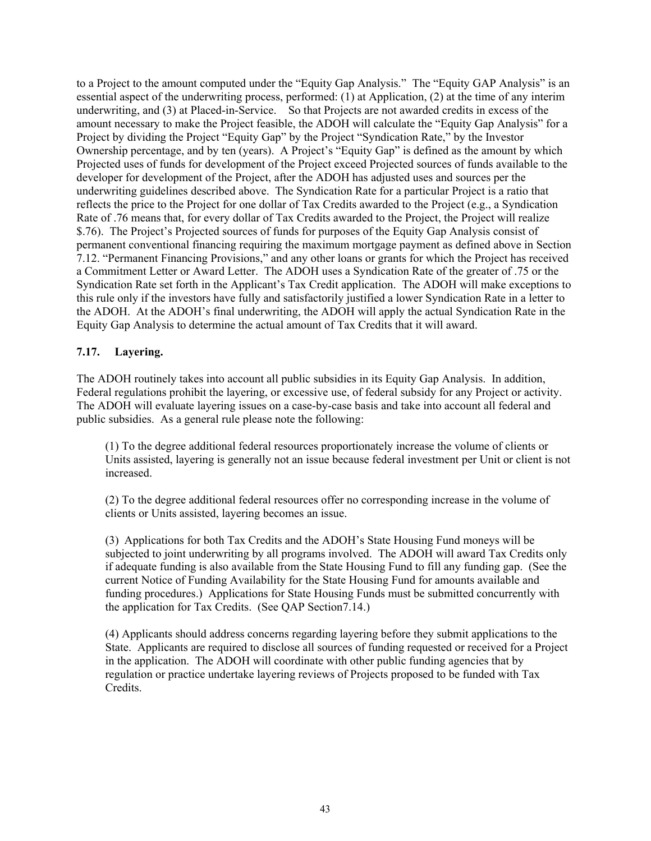to a Project to the amount computed under the "Equity Gap Analysis." The "Equity GAP Analysis" is an essential aspect of the underwriting process, performed: (1) at Application, (2) at the time of any interim underwriting, and (3) at Placed-in-Service. So that Projects are not awarded credits in excess of the amount necessary to make the Project feasible, the ADOH will calculate the "Equity Gap Analysis" for a Project by dividing the Project "Equity Gap" by the Project "Syndication Rate," by the Investor Ownership percentage, and by ten (years). A Project's "Equity Gap" is defined as the amount by which Projected uses of funds for development of the Project exceed Projected sources of funds available to the developer for development of the Project, after the ADOH has adjusted uses and sources per the underwriting guidelines described above. The Syndication Rate for a particular Project is a ratio that reflects the price to the Project for one dollar of Tax Credits awarded to the Project (e.g., a Syndication Rate of .76 means that, for every dollar of Tax Credits awarded to the Project, the Project will realize \$.76). The Project's Projected sources of funds for purposes of the Equity Gap Analysis consist of permanent conventional financing requiring the maximum mortgage payment as defined above in Section 7.12. "Permanent Financing Provisions," and any other loans or grants for which the Project has received a Commitment Letter or Award Letter. The ADOH uses a Syndication Rate of the greater of .75 or the Syndication Rate set forth in the Applicant's Tax Credit application. The ADOH will make exceptions to this rule only if the investors have fully and satisfactorily justified a lower Syndication Rate in a letter to the ADOH. At the ADOH's final underwriting, the ADOH will apply the actual Syndication Rate in the Equity Gap Analysis to determine the actual amount of Tax Credits that it will award.

## **7.17. Layering.**

The ADOH routinely takes into account all public subsidies in its Equity Gap Analysis. In addition, Federal regulations prohibit the layering, or excessive use, of federal subsidy for any Project or activity. The ADOH will evaluate layering issues on a case-by-case basis and take into account all federal and public subsidies. As a general rule please note the following:

(1) To the degree additional federal resources proportionately increase the volume of clients or Units assisted, layering is generally not an issue because federal investment per Unit or client is not increased.

(2) To the degree additional federal resources offer no corresponding increase in the volume of clients or Units assisted, layering becomes an issue.

(3) Applications for both Tax Credits and the ADOH's State Housing Fund moneys will be subjected to joint underwriting by all programs involved. The ADOH will award Tax Credits only if adequate funding is also available from the State Housing Fund to fill any funding gap. (See the current Notice of Funding Availability for the State Housing Fund for amounts available and funding procedures.) Applications for State Housing Funds must be submitted concurrently with the application for Tax Credits. (See QAP Section7.14.)

(4) Applicants should address concerns regarding layering before they submit applications to the State. Applicants are required to disclose all sources of funding requested or received for a Project in the application. The ADOH will coordinate with other public funding agencies that by regulation or practice undertake layering reviews of Projects proposed to be funded with Tax Credits.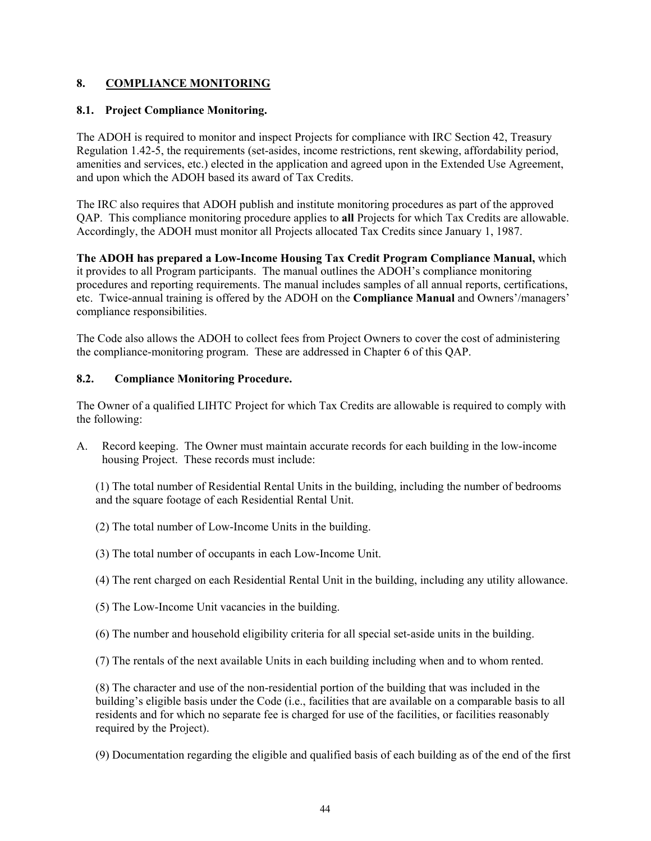## **8. COMPLIANCE MONITORING**

## **8.1. Project Compliance Monitoring.**

The ADOH is required to monitor and inspect Projects for compliance with IRC Section 42, Treasury Regulation 1.42-5, the requirements (set-asides, income restrictions, rent skewing, affordability period, amenities and services, etc.) elected in the application and agreed upon in the Extended Use Agreement, and upon which the ADOH based its award of Tax Credits.

The IRC also requires that ADOH publish and institute monitoring procedures as part of the approved QAP. This compliance monitoring procedure applies to **all** Projects for which Tax Credits are allowable. Accordingly, the ADOH must monitor all Projects allocated Tax Credits since January 1, 1987.

**The ADOH has prepared a Low-Income Housing Tax Credit Program Compliance Manual,** which it provides to all Program participants. The manual outlines the ADOH's compliance monitoring procedures and reporting requirements. The manual includes samples of all annual reports, certifications, etc. Twice-annual training is offered by the ADOH on the **Compliance Manual** and Owners'/managers' compliance responsibilities.

The Code also allows the ADOH to collect fees from Project Owners to cover the cost of administering the compliance-monitoring program. These are addressed in Chapter 6 of this QAP.

## **8.2. Compliance Monitoring Procedure.**

The Owner of a qualified LIHTC Project for which Tax Credits are allowable is required to comply with the following:

A. Record keeping. The Owner must maintain accurate records for each building in the low-income housing Project. These records must include:

(1) The total number of Residential Rental Units in the building, including the number of bedrooms and the square footage of each Residential Rental Unit.

- (2) The total number of Low-Income Units in the building.
- (3) The total number of occupants in each Low-Income Unit.
- (4) The rent charged on each Residential Rental Unit in the building, including any utility allowance.
- (5) The Low-Income Unit vacancies in the building.
- (6) The number and household eligibility criteria for all special set-aside units in the building.

(7) The rentals of the next available Units in each building including when and to whom rented.

(8) The character and use of the non-residential portion of the building that was included in the building's eligible basis under the Code (i.e., facilities that are available on a comparable basis to all residents and for which no separate fee is charged for use of the facilities, or facilities reasonably required by the Project).

(9) Documentation regarding the eligible and qualified basis of each building as of the end of the first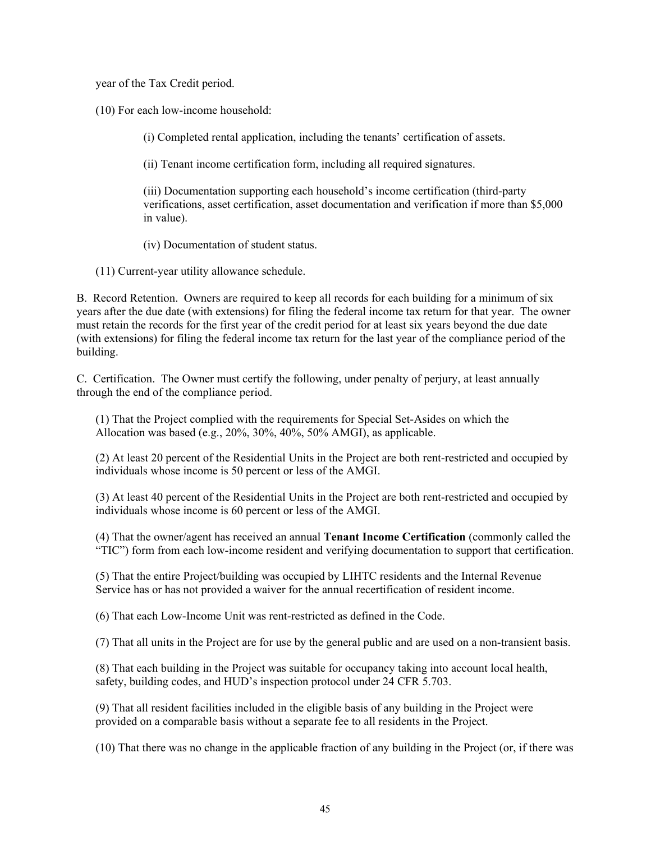year of the Tax Credit period.

(10) For each low-income household:

(i) Completed rental application, including the tenants' certification of assets.

(ii) Tenant income certification form, including all required signatures.

(iii) Documentation supporting each household's income certification (third-party verifications, asset certification, asset documentation and verification if more than \$5,000 in value).

(iv) Documentation of student status.

(11) Current-year utility allowance schedule.

B. Record Retention. Owners are required to keep all records for each building for a minimum of six years after the due date (with extensions) for filing the federal income tax return for that year. The owner must retain the records for the first year of the credit period for at least six years beyond the due date (with extensions) for filing the federal income tax return for the last year of the compliance period of the building.

C. Certification. The Owner must certify the following, under penalty of perjury, at least annually through the end of the compliance period.

(1) That the Project complied with the requirements for Special Set-Asides on which the Allocation was based (e.g., 20%, 30%, 40%, 50% AMGI), as applicable.

(2) At least 20 percent of the Residential Units in the Project are both rent-restricted and occupied by individuals whose income is 50 percent or less of the AMGI.

(3) At least 40 percent of the Residential Units in the Project are both rent-restricted and occupied by individuals whose income is 60 percent or less of the AMGI.

(4) That the owner/agent has received an annual **Tenant Income Certification** (commonly called the "TIC") form from each low-income resident and verifying documentation to support that certification.

(5) That the entire Project/building was occupied by LIHTC residents and the Internal Revenue Service has or has not provided a waiver for the annual recertification of resident income.

(6) That each Low-Income Unit was rent-restricted as defined in the Code.

(7) That all units in the Project are for use by the general public and are used on a non-transient basis.

(8) That each building in the Project was suitable for occupancy taking into account local health, safety, building codes, and HUD's inspection protocol under 24 CFR 5.703.

(9) That all resident facilities included in the eligible basis of any building in the Project were provided on a comparable basis without a separate fee to all residents in the Project.

(10) That there was no change in the applicable fraction of any building in the Project (or, if there was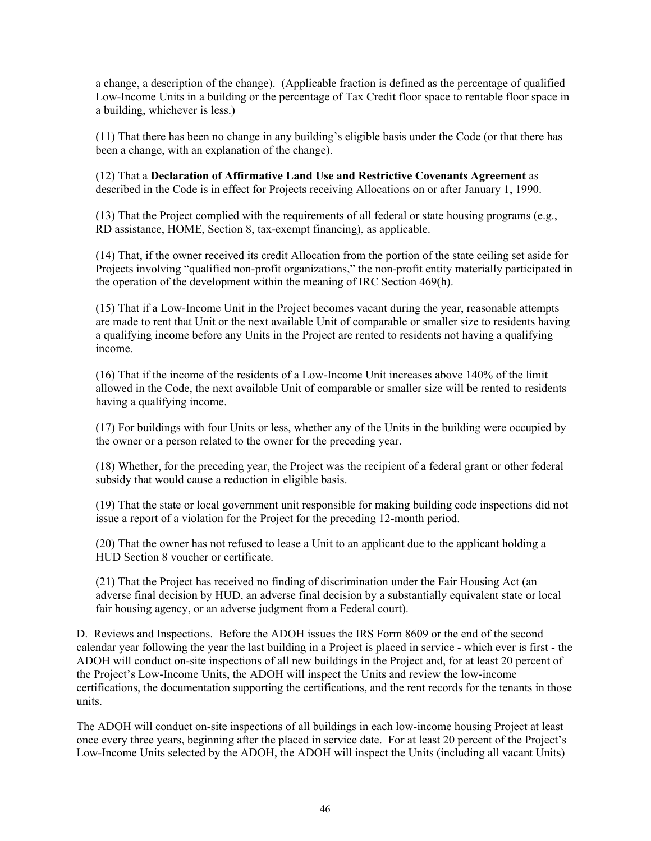a change, a description of the change). (Applicable fraction is defined as the percentage of qualified Low-Income Units in a building or the percentage of Tax Credit floor space to rentable floor space in a building, whichever is less.)

(11) That there has been no change in any building's eligible basis under the Code (or that there has been a change, with an explanation of the change).

(12) That a **Declaration of Affirmative Land Use and Restrictive Covenants Agreement** as described in the Code is in effect for Projects receiving Allocations on or after January 1, 1990.

(13) That the Project complied with the requirements of all federal or state housing programs (e.g., RD assistance, HOME, Section 8, tax-exempt financing), as applicable.

(14) That, if the owner received its credit Allocation from the portion of the state ceiling set aside for Projects involving "qualified non-profit organizations," the non-profit entity materially participated in the operation of the development within the meaning of IRC Section 469(h).

(15) That if a Low-Income Unit in the Project becomes vacant during the year, reasonable attempts are made to rent that Unit or the next available Unit of comparable or smaller size to residents having a qualifying income before any Units in the Project are rented to residents not having a qualifying income.

(16) That if the income of the residents of a Low-Income Unit increases above 140% of the limit allowed in the Code, the next available Unit of comparable or smaller size will be rented to residents having a qualifying income.

(17) For buildings with four Units or less, whether any of the Units in the building were occupied by the owner or a person related to the owner for the preceding year.

(18) Whether, for the preceding year, the Project was the recipient of a federal grant or other federal subsidy that would cause a reduction in eligible basis.

(19) That the state or local government unit responsible for making building code inspections did not issue a report of a violation for the Project for the preceding 12-month period.

(20) That the owner has not refused to lease a Unit to an applicant due to the applicant holding a HUD Section 8 voucher or certificate.

(21) That the Project has received no finding of discrimination under the Fair Housing Act (an adverse final decision by HUD, an adverse final decision by a substantially equivalent state or local fair housing agency, or an adverse judgment from a Federal court).

D. Reviews and Inspections. Before the ADOH issues the IRS Form 8609 or the end of the second calendar year following the year the last building in a Project is placed in service - which ever is first - the ADOH will conduct on-site inspections of all new buildings in the Project and, for at least 20 percent of the Project's Low-Income Units, the ADOH will inspect the Units and review the low-income certifications, the documentation supporting the certifications, and the rent records for the tenants in those units.

The ADOH will conduct on-site inspections of all buildings in each low-income housing Project at least once every three years, beginning after the placed in service date. For at least 20 percent of the Project's Low-Income Units selected by the ADOH, the ADOH will inspect the Units (including all vacant Units)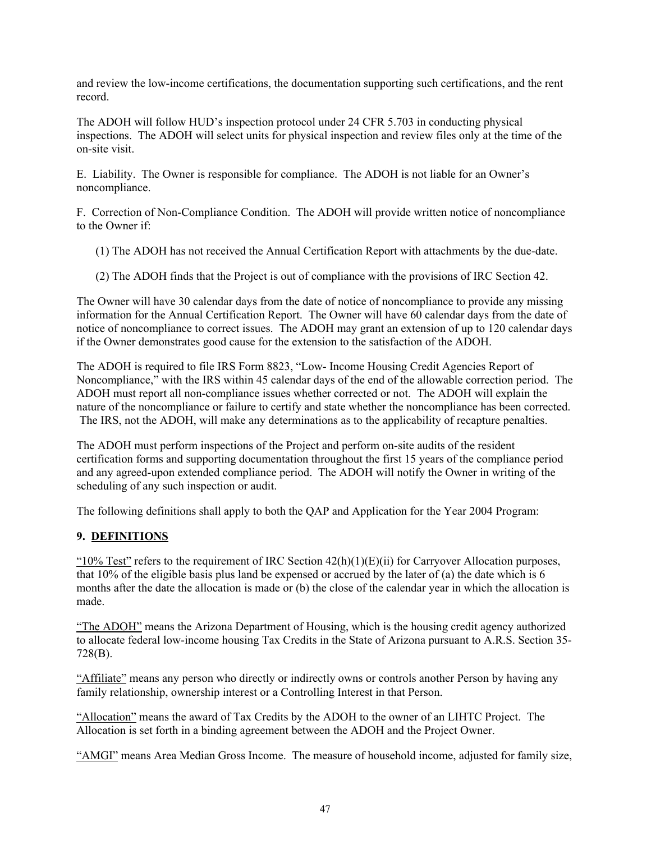and review the low-income certifications, the documentation supporting such certifications, and the rent record.

The ADOH will follow HUD's inspection protocol under 24 CFR 5.703 in conducting physical inspections. The ADOH will select units for physical inspection and review files only at the time of the on-site visit.

E. Liability. The Owner is responsible for compliance. The ADOH is not liable for an Owner's noncompliance.

F. Correction of Non-Compliance Condition. The ADOH will provide written notice of noncompliance to the Owner if:

- (1) The ADOH has not received the Annual Certification Report with attachments by the due-date.
- (2) The ADOH finds that the Project is out of compliance with the provisions of IRC Section 42.

The Owner will have 30 calendar days from the date of notice of noncompliance to provide any missing information for the Annual Certification Report. The Owner will have 60 calendar days from the date of notice of noncompliance to correct issues. The ADOH may grant an extension of up to 120 calendar days if the Owner demonstrates good cause for the extension to the satisfaction of the ADOH.

The ADOH is required to file IRS Form 8823, "Low- Income Housing Credit Agencies Report of Noncompliance," with the IRS within 45 calendar days of the end of the allowable correction period. The ADOH must report all non-compliance issues whether corrected or not. The ADOH will explain the nature of the noncompliance or failure to certify and state whether the noncompliance has been corrected. The IRS, not the ADOH, will make any determinations as to the applicability of recapture penalties.

The ADOH must perform inspections of the Project and perform on-site audits of the resident certification forms and supporting documentation throughout the first 15 years of the compliance period and any agreed-upon extended compliance period. The ADOH will notify the Owner in writing of the scheduling of any such inspection or audit.

The following definitions shall apply to both the QAP and Application for the Year 2004 Program:

## **9. DEFINITIONS**

"10% Test" refers to the requirement of IRC Section  $42(h)(1)(E)(ii)$  for Carryover Allocation purposes, that 10% of the eligible basis plus land be expensed or accrued by the later of (a) the date which is 6 months after the date the allocation is made or (b) the close of the calendar year in which the allocation is made.

"The ADOH" means the Arizona Department of Housing, which is the housing credit agency authorized to allocate federal low-income housing Tax Credits in the State of Arizona pursuant to A.R.S. Section 35- 728(B).

"Affiliate" means any person who directly or indirectly owns or controls another Person by having any family relationship, ownership interest or a Controlling Interest in that Person.

"Allocation" means the award of Tax Credits by the ADOH to the owner of an LIHTC Project. The Allocation is set forth in a binding agreement between the ADOH and the Project Owner.

"AMGI" means Area Median Gross Income. The measure of household income, adjusted for family size,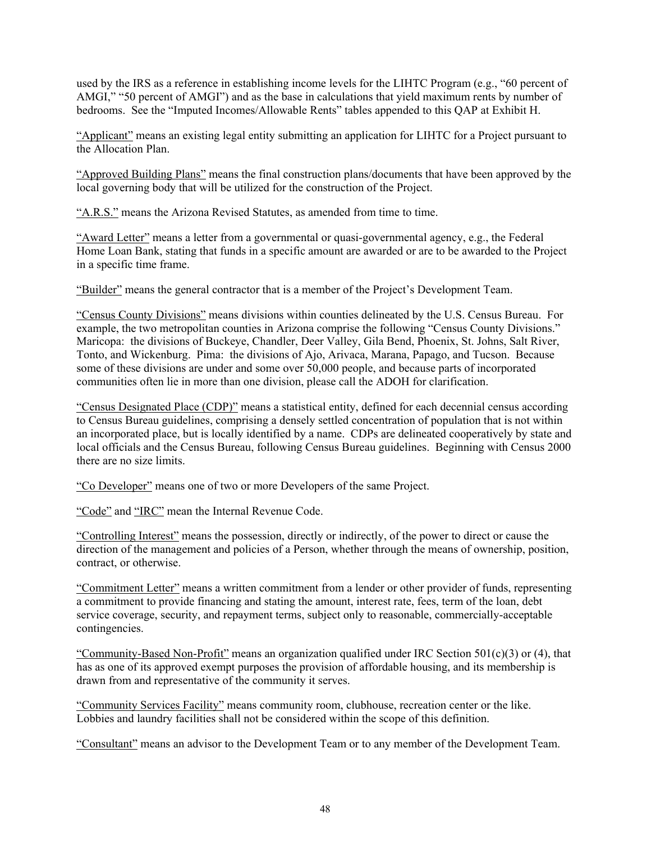used by the IRS as a reference in establishing income levels for the LIHTC Program (e.g., "60 percent of AMGI," "50 percent of AMGI") and as the base in calculations that yield maximum rents by number of bedrooms. See the "Imputed Incomes/Allowable Rents" tables appended to this QAP at Exhibit H.

"Applicant" means an existing legal entity submitting an application for LIHTC for a Project pursuant to the Allocation Plan.

"Approved Building Plans" means the final construction plans/documents that have been approved by the local governing body that will be utilized for the construction of the Project.

"A.R.S." means the Arizona Revised Statutes, as amended from time to time.

"Award Letter" means a letter from a governmental or quasi-governmental agency, e.g., the Federal Home Loan Bank, stating that funds in a specific amount are awarded or are to be awarded to the Project in a specific time frame.

"Builder" means the general contractor that is a member of the Project's Development Team.

"Census County Divisions" means divisions within counties delineated by the U.S. Census Bureau. For example, the two metropolitan counties in Arizona comprise the following "Census County Divisions." Maricopa: the divisions of Buckeye, Chandler, Deer Valley, Gila Bend, Phoenix, St. Johns, Salt River, Tonto, and Wickenburg. Pima: the divisions of Ajo, Arivaca, Marana, Papago, and Tucson. Because some of these divisions are under and some over 50,000 people, and because parts of incorporated communities often lie in more than one division, please call the ADOH for clarification.

"Census Designated Place (CDP)" means a statistical entity, defined for each decennial census according to Census Bureau guidelines, comprising a densely settled concentration of population that is not within an incorporated place, but is locally identified by a name. CDPs are delineated cooperatively by state and local officials and the Census Bureau, following Census Bureau guidelines. Beginning with Census 2000 there are no size limits.

"Co Developer" means one of two or more Developers of the same Project.

"Code" and "IRC" mean the Internal Revenue Code.

"Controlling Interest" means the possession, directly or indirectly, of the power to direct or cause the direction of the management and policies of a Person, whether through the means of ownership, position, contract, or otherwise.

"Commitment Letter" means a written commitment from a lender or other provider of funds, representing a commitment to provide financing and stating the amount, interest rate, fees, term of the loan, debt service coverage, security, and repayment terms, subject only to reasonable, commercially-acceptable contingencies.

"Community-Based Non-Profit" means an organization qualified under IRC Section  $501(c)(3)$  or (4), that has as one of its approved exempt purposes the provision of affordable housing, and its membership is drawn from and representative of the community it serves.

"Community Services Facility" means community room, clubhouse, recreation center or the like. Lobbies and laundry facilities shall not be considered within the scope of this definition.

"Consultant" means an advisor to the Development Team or to any member of the Development Team.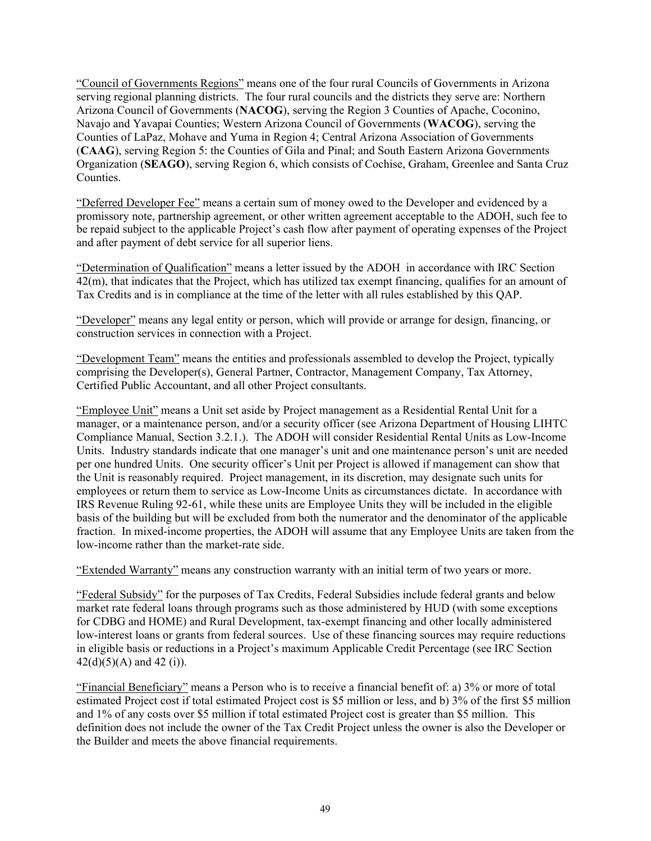"Council of Governments Regions" means one of the four rural Councils of Governments in Arizona serving regional planning districts. The four rural councils and the districts they serve are: Northern Arizona Council of Governments (**NACOG**), serving the Region 3 Counties of Apache, Coconino, Navajo and Yavapai Counties; Western Arizona Council of Governments (**WACOG**), serving the Counties of LaPaz, Mohave and Yuma in Region 4; Central Arizona Association of Governments (**CAAG**), serving Region 5: the Counties of Gila and Pinal; and South Eastern Arizona Governments Organization (**SEAGO**), serving Region 6, which consists of Cochise, Graham, Greenlee and Santa Cruz Counties.

"Deferred Developer Fee" means a certain sum of money owed to the Developer and evidenced by a promissory note, partnership agreement, or other written agreement acceptable to the ADOH, such fee to be repaid subject to the applicable Project's cash flow after payment of operating expenses of the Project and after payment of debt service for all superior liens.

"Determination of Qualification" means a letter issued by the ADOH in accordance with IRC Section 42(m), that indicates that the Project, which has utilized tax exempt financing, qualifies for an amount of Tax Credits and is in compliance at the time of the letter with all rules established by this QAP.

"Developer" means any legal entity or person, which will provide or arrange for design, financing, or construction services in connection with a Project.

"Development Team" means the entities and professionals assembled to develop the Project, typically comprising the Developer(s), General Partner, Contractor, Management Company, Tax Attorney, Certified Public Accountant, and all other Project consultants.

"Employee Unit" means a Unit set aside by Project management as a Residential Rental Unit for a manager, or a maintenance person, and/or a security officer (see Arizona Department of Housing LIHTC Compliance Manual, Section 3.2.1.). The ADOH will consider Residential Rental Units as Low-Income Units. Industry standards indicate that one manager's unit and one maintenance person's unit are needed per one hundred Units. One security officer's Unit per Project is allowed if management can show that the Unit is reasonably required. Project management, in its discretion, may designate such units for employees or return them to service as Low-Income Units as circumstances dictate. In accordance with IRS Revenue Ruling 92-61, while these units are Employee Units they will be included in the eligible basis of the building but will be excluded from both the numerator and the denominator of the applicable fraction. In mixed-income properties, the ADOH will assume that any Employee Units are taken from the low-income rather than the market-rate side.

"Extended Warranty" means any construction warranty with an initial term of two years or more.

"Federal Subsidy" for the purposes of Tax Credits, Federal Subsidies include federal grants and below market rate federal loans through programs such as those administered by HUD (with some exceptions for CDBG and HOME) and Rural Development, tax-exempt financing and other locally administered low-interest loans or grants from federal sources. Use of these financing sources may require reductions in eligible basis or reductions in a Project's maximum Applicable Credit Percentage (see IRC Section  $42(d)(5)(A)$  and  $42(i)$ .

"Financial Beneficiary" means a Person who is to receive a financial benefit of: a) 3% or more of total estimated Project cost if total estimated Project cost is \$5 million or less, and b) 3% of the first \$5 million and 1% of any costs over \$5 million if total estimated Project cost is greater than \$5 million. This definition does not include the owner of the Tax Credit Project unless the owner is also the Developer or the Builder and meets the above financial requirements.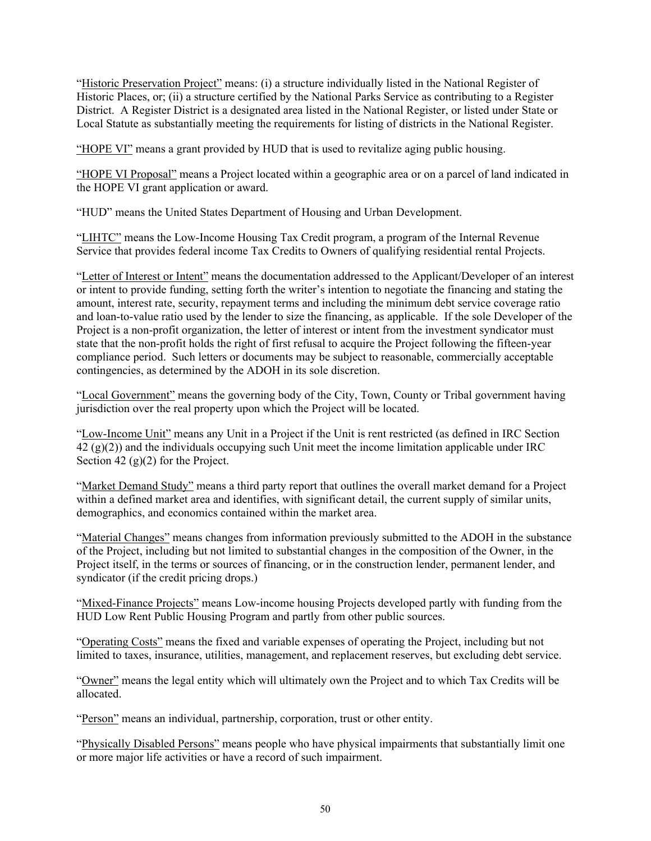"Historic Preservation Project" means: (i) a structure individually listed in the National Register of Historic Places, or; (ii) a structure certified by the National Parks Service as contributing to a Register District. A Register District is a designated area listed in the National Register, or listed under State or Local Statute as substantially meeting the requirements for listing of districts in the National Register.

"HOPE VI" means a grant provided by HUD that is used to revitalize aging public housing.

"HOPE VI Proposal" means a Project located within a geographic area or on a parcel of land indicated in the HOPE VI grant application or award.

"HUD" means the United States Department of Housing and Urban Development.

"LIHTC" means the Low-Income Housing Tax Credit program, a program of the Internal Revenue Service that provides federal income Tax Credits to Owners of qualifying residential rental Projects.

"Letter of Interest or Intent" means the documentation addressed to the Applicant/Developer of an interest or intent to provide funding, setting forth the writer's intention to negotiate the financing and stating the amount, interest rate, security, repayment terms and including the minimum debt service coverage ratio and loan-to-value ratio used by the lender to size the financing, as applicable. If the sole Developer of the Project is a non-profit organization, the letter of interest or intent from the investment syndicator must state that the non-profit holds the right of first refusal to acquire the Project following the fifteen-year compliance period. Such letters or documents may be subject to reasonable, commercially acceptable contingencies, as determined by the ADOH in its sole discretion.

"Local Government" means the governing body of the City, Town, County or Tribal government having jurisdiction over the real property upon which the Project will be located.

"Low-Income Unit" means any Unit in a Project if the Unit is rent restricted (as defined in IRC Section 42 (g)(2)) and the individuals occupying such Unit meet the income limitation applicable under IRC Section 42 (g)(2) for the Project.

"Market Demand Study" means a third party report that outlines the overall market demand for a Project within a defined market area and identifies, with significant detail, the current supply of similar units, demographics, and economics contained within the market area.

"Material Changes" means changes from information previously submitted to the ADOH in the substance of the Project, including but not limited to substantial changes in the composition of the Owner, in the Project itself, in the terms or sources of financing, or in the construction lender, permanent lender, and syndicator (if the credit pricing drops.)

"Mixed-Finance Projects" means Low-income housing Projects developed partly with funding from the HUD Low Rent Public Housing Program and partly from other public sources.

"Operating Costs" means the fixed and variable expenses of operating the Project, including but not limited to taxes, insurance, utilities, management, and replacement reserves, but excluding debt service.

"Owner" means the legal entity which will ultimately own the Project and to which Tax Credits will be allocated.

"Person" means an individual, partnership, corporation, trust or other entity.

"Physically Disabled Persons" means people who have physical impairments that substantially limit one or more major life activities or have a record of such impairment.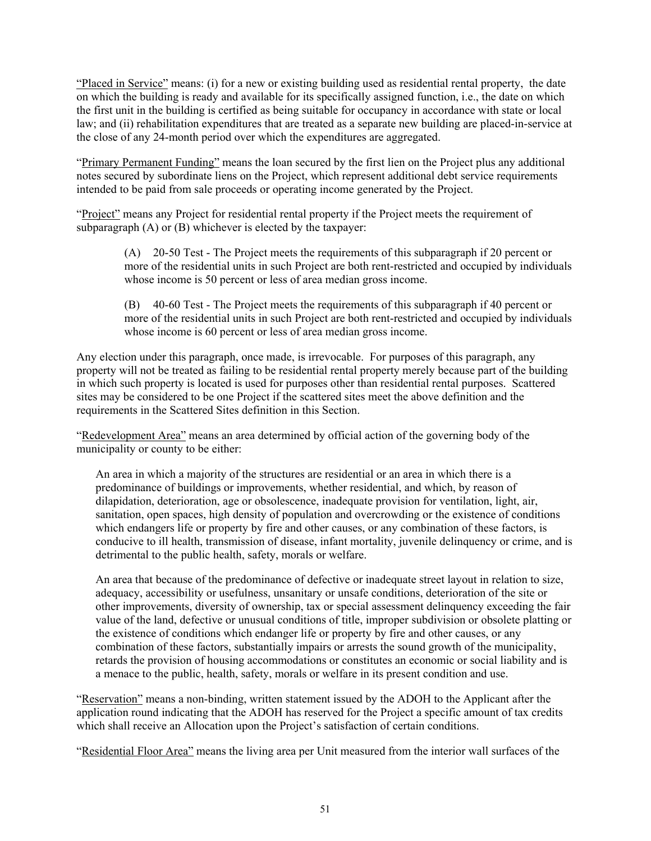"Placed in Service" means: (i) for a new or existing building used as residential rental property, the date on which the building is ready and available for its specifically assigned function, i.e., the date on which the first unit in the building is certified as being suitable for occupancy in accordance with state or local law; and (ii) rehabilitation expenditures that are treated as a separate new building are placed-in-service at the close of any 24-month period over which the expenditures are aggregated.

"Primary Permanent Funding" means the loan secured by the first lien on the Project plus any additional notes secured by subordinate liens on the Project, which represent additional debt service requirements intended to be paid from sale proceeds or operating income generated by the Project.

"Project" means any Project for residential rental property if the Project meets the requirement of subparagraph (A) or (B) whichever is elected by the taxpayer:

> (A) 20-50 Test - The Project meets the requirements of this subparagraph if 20 percent or more of the residential units in such Project are both rent-restricted and occupied by individuals whose income is 50 percent or less of area median gross income.

> (B) 40-60 Test - The Project meets the requirements of this subparagraph if 40 percent or more of the residential units in such Project are both rent-restricted and occupied by individuals whose income is 60 percent or less of area median gross income.

Any election under this paragraph, once made, is irrevocable. For purposes of this paragraph, any property will not be treated as failing to be residential rental property merely because part of the building in which such property is located is used for purposes other than residential rental purposes. Scattered sites may be considered to be one Project if the scattered sites meet the above definition and the requirements in the Scattered Sites definition in this Section.

"Redevelopment Area" means an area determined by official action of the governing body of the municipality or county to be either:

An area in which a majority of the structures are residential or an area in which there is a predominance of buildings or improvements, whether residential, and which, by reason of dilapidation, deterioration, age or obsolescence, inadequate provision for ventilation, light, air, sanitation, open spaces, high density of population and overcrowding or the existence of conditions which endangers life or property by fire and other causes, or any combination of these factors, is conducive to ill health, transmission of disease, infant mortality, juvenile delinquency or crime, and is detrimental to the public health, safety, morals or welfare.

An area that because of the predominance of defective or inadequate street layout in relation to size, adequacy, accessibility or usefulness, unsanitary or unsafe conditions, deterioration of the site or other improvements, diversity of ownership, tax or special assessment delinquency exceeding the fair value of the land, defective or unusual conditions of title, improper subdivision or obsolete platting or the existence of conditions which endanger life or property by fire and other causes, or any combination of these factors, substantially impairs or arrests the sound growth of the municipality, retards the provision of housing accommodations or constitutes an economic or social liability and is a menace to the public, health, safety, morals or welfare in its present condition and use.

"Reservation" means a non-binding, written statement issued by the ADOH to the Applicant after the application round indicating that the ADOH has reserved for the Project a specific amount of tax credits which shall receive an Allocation upon the Project's satisfaction of certain conditions.

"Residential Floor Area" means the living area per Unit measured from the interior wall surfaces of the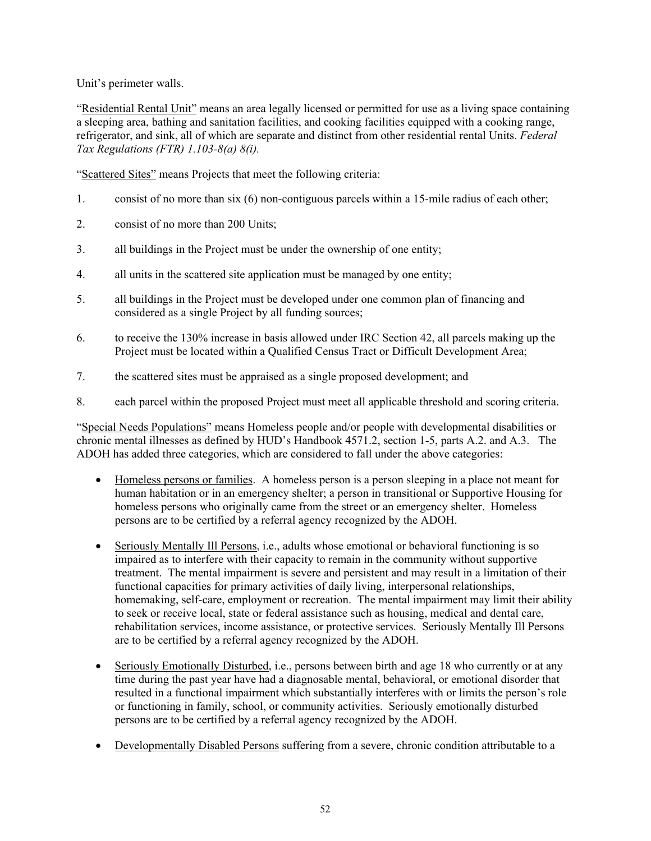Unit's perimeter walls.

"Residential Rental Unit" means an area legally licensed or permitted for use as a living space containing a sleeping area, bathing and sanitation facilities, and cooking facilities equipped with a cooking range, refrigerator, and sink, all of which are separate and distinct from other residential rental Units. *Federal Tax Regulations (FTR) 1.103-8(a) 8(i).*

"Scattered Sites" means Projects that meet the following criteria:

- 1. consist of no more than six (6) non-contiguous parcels within a 15-mile radius of each other;
- 2. consist of no more than 200 Units;
- 3. all buildings in the Project must be under the ownership of one entity;
- 4. all units in the scattered site application must be managed by one entity;
- 5. all buildings in the Project must be developed under one common plan of financing and considered as a single Project by all funding sources;
- 6. to receive the 130% increase in basis allowed under IRC Section 42, all parcels making up the Project must be located within a Qualified Census Tract or Difficult Development Area;
- 7. the scattered sites must be appraised as a single proposed development; and
- 8. each parcel within the proposed Project must meet all applicable threshold and scoring criteria.

"Special Needs Populations" means Homeless people and/or people with developmental disabilities or chronic mental illnesses as defined by HUD's Handbook 4571.2, section 1-5, parts A.2. and A.3. The ADOH has added three categories, which are considered to fall under the above categories:

- Homeless persons or families. A homeless person is a person sleeping in a place not meant for human habitation or in an emergency shelter; a person in transitional or Supportive Housing for homeless persons who originally came from the street or an emergency shelter. Homeless persons are to be certified by a referral agency recognized by the ADOH.
- Seriously Mentally Ill Persons, i.e., adults whose emotional or behavioral functioning is so impaired as to interfere with their capacity to remain in the community without supportive treatment. The mental impairment is severe and persistent and may result in a limitation of their functional capacities for primary activities of daily living, interpersonal relationships, homemaking, self-care, employment or recreation. The mental impairment may limit their ability to seek or receive local, state or federal assistance such as housing, medical and dental care, rehabilitation services, income assistance, or protective services. Seriously Mentally Ill Persons are to be certified by a referral agency recognized by the ADOH.
- Seriously Emotionally Disturbed, i.e., persons between birth and age 18 who currently or at any time during the past year have had a diagnosable mental, behavioral, or emotional disorder that resulted in a functional impairment which substantially interferes with or limits the person's role or functioning in family, school, or community activities. Seriously emotionally disturbed persons are to be certified by a referral agency recognized by the ADOH.
- Developmentally Disabled Persons suffering from a severe, chronic condition attributable to a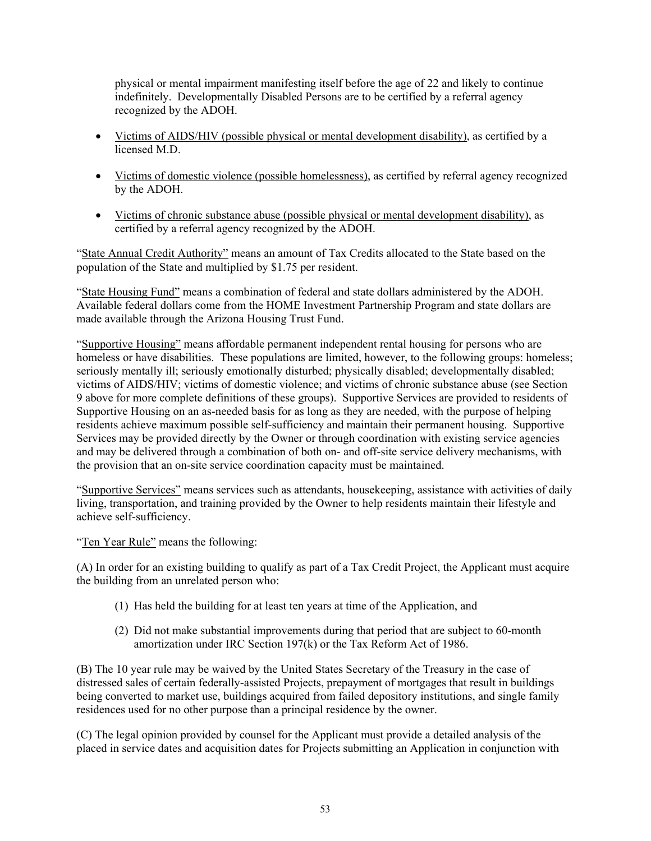physical or mental impairment manifesting itself before the age of 22 and likely to continue indefinitely. Developmentally Disabled Persons are to be certified by a referral agency recognized by the ADOH.

- Victims of AIDS/HIV (possible physical or mental development disability), as certified by a licensed M.D.
- Victims of domestic violence (possible homelessness), as certified by referral agency recognized by the ADOH.
- Victims of chronic substance abuse (possible physical or mental development disability), as certified by a referral agency recognized by the ADOH.

"State Annual Credit Authority" means an amount of Tax Credits allocated to the State based on the population of the State and multiplied by \$1.75 per resident.

"State Housing Fund" means a combination of federal and state dollars administered by the ADOH. Available federal dollars come from the HOME Investment Partnership Program and state dollars are made available through the Arizona Housing Trust Fund.

"Supportive Housing" means affordable permanent independent rental housing for persons who are homeless or have disabilities. These populations are limited, however, to the following groups: homeless; seriously mentally ill; seriously emotionally disturbed; physically disabled; developmentally disabled; victims of AIDS/HIV; victims of domestic violence; and victims of chronic substance abuse (see Section 9 above for more complete definitions of these groups). Supportive Services are provided to residents of Supportive Housing on an as-needed basis for as long as they are needed, with the purpose of helping residents achieve maximum possible self-sufficiency and maintain their permanent housing. Supportive Services may be provided directly by the Owner or through coordination with existing service agencies and may be delivered through a combination of both on- and off-site service delivery mechanisms, with the provision that an on-site service coordination capacity must be maintained.

"Supportive Services" means services such as attendants, housekeeping, assistance with activities of daily living, transportation, and training provided by the Owner to help residents maintain their lifestyle and achieve self-sufficiency.

"Ten Year Rule" means the following:

(A) In order for an existing building to qualify as part of a Tax Credit Project, the Applicant must acquire the building from an unrelated person who:

- (1) Has held the building for at least ten years at time of the Application, and
- (2) Did not make substantial improvements during that period that are subject to 60-month amortization under IRC Section 197(k) or the Tax Reform Act of 1986.

(B) The 10 year rule may be waived by the United States Secretary of the Treasury in the case of distressed sales of certain federally-assisted Projects, prepayment of mortgages that result in buildings being converted to market use, buildings acquired from failed depository institutions, and single family residences used for no other purpose than a principal residence by the owner.

(C) The legal opinion provided by counsel for the Applicant must provide a detailed analysis of the placed in service dates and acquisition dates for Projects submitting an Application in conjunction with